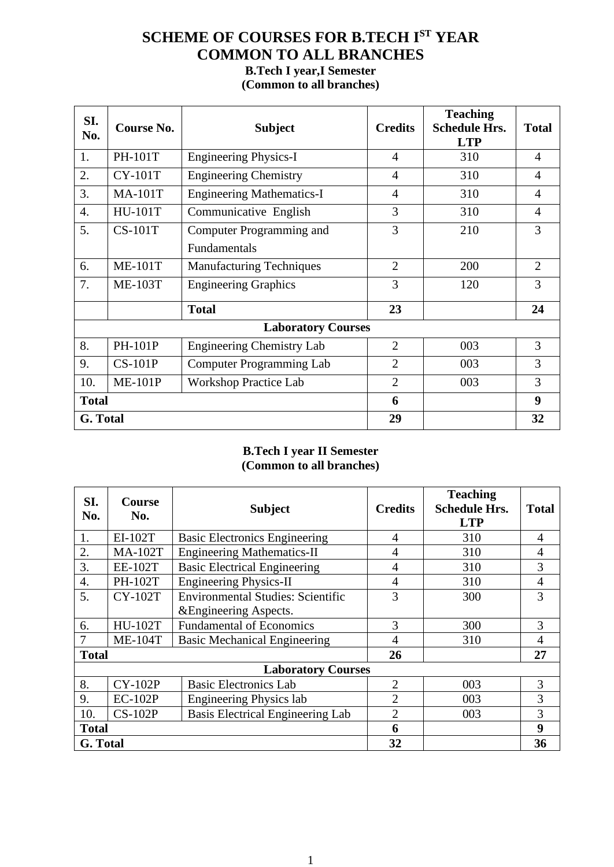# **SCHEME OF COURSES FOR B.TECH I ST YEAR COMMON TO ALL BRANCHES B.Tech I year,I Semester (Common to all branches)**

| SI.<br>No.       | Course No.                              | <b>Subject</b>                   | <b>Credits</b> | <b>Teaching</b><br><b>Schedule Hrs.</b><br><b>LTP</b> | <b>Total</b>   |
|------------------|-----------------------------------------|----------------------------------|----------------|-------------------------------------------------------|----------------|
| 1.               | <b>PH-101T</b>                          | <b>Engineering Physics-I</b>     |                | 310                                                   | $\overline{4}$ |
| 2.               | <b>CY-101T</b>                          | <b>Engineering Chemistry</b>     | $\overline{4}$ | 310                                                   | 4              |
| 3.               | <b>MA-101T</b>                          | <b>Engineering Mathematics-I</b> | $\overline{4}$ | 310                                                   | 4              |
| $\overline{4}$ . | Communicative English<br><b>HU-101T</b> |                                  | 3              | 310                                                   | 4              |
| 5.               | <b>CS-101T</b>                          | Computer Programming and         | 3              | 210                                                   | 3              |
|                  |                                         | Fundamentals                     |                |                                                       |                |
| 6.               | <b>ME-101T</b>                          | <b>Manufacturing Techniques</b>  | $\overline{2}$ | 200                                                   | $\overline{2}$ |
| 7.               | <b>ME-103T</b>                          | <b>Engineering Graphics</b>      | 3              | 120                                                   | 3              |
|                  |                                         | <b>Total</b>                     | 23             |                                                       | 24             |
|                  |                                         | <b>Laboratory Courses</b>        |                |                                                       |                |
| 8.               | PH-101P                                 | <b>Engineering Chemistry Lab</b> | $\overline{2}$ | 003                                                   | 3              |
| 9.               | <b>CS-101P</b>                          | <b>Computer Programming Lab</b>  | $\overline{2}$ | 003                                                   | 3              |
| 10.              | <b>ME-101P</b>                          | <b>Workshop Practice Lab</b>     | $\overline{2}$ | 003                                                   | 3              |
|                  | <b>Total</b>                            |                                  |                |                                                       | 9              |
| G. Total         |                                         |                                  | 29             |                                                       | 32             |

### **B.Tech I year II Semester (Common to all branches)**

| SI.<br>No.         | <b>Course</b><br>No. | <b>Subject</b>                           | <b>Credits</b> | <b>Teaching</b><br><b>Schedule Hrs.</b><br><b>LTP</b> | <b>Total</b>   |
|--------------------|----------------------|------------------------------------------|----------------|-------------------------------------------------------|----------------|
| 1.                 | EI-102T              | <b>Basic Electronics Engineering</b>     | $\overline{4}$ | 310                                                   | $\overline{A}$ |
| 2.                 | <b>MA-102T</b>       | <b>Engineering Mathematics-II</b>        | 4              | 310                                                   | 4              |
| 3.                 | <b>EE-102T</b>       | <b>Basic Electrical Engineering</b>      | 4              | 310                                                   | 3              |
| $\boldsymbol{4}$ . | <b>PH-102T</b>       | <b>Engineering Physics-II</b>            | 4              | 310                                                   | 4              |
| 5.                 | <b>CY-102T</b>       | <b>Environmental Studies: Scientific</b> | 3              | 300                                                   | 3              |
|                    |                      | & Engineering Aspects.                   |                |                                                       |                |
| 6.                 | <b>HU-102T</b>       | <b>Fundamental of Economics</b>          | 3              | 300                                                   | 3              |
|                    | <b>ME-104T</b>       | <b>Basic Mechanical Engineering</b>      | 4              | 310                                                   | 4              |
| <b>Total</b>       |                      |                                          | 26             |                                                       | 27             |
|                    |                      | <b>Laboratory Courses</b>                |                |                                                       |                |
| 8.                 | <b>CY-102P</b>       | <b>Basic Electronics Lab</b>             | $\overline{2}$ | 003                                                   | 3              |
| 9.                 | $EC-102P$            | <b>Engineering Physics lab</b>           | $\overline{2}$ | 003                                                   | 3              |
| 10.                | $CS-102P$            | <b>Basis Electrical Engineering Lab</b>  | $\overline{2}$ | 003                                                   | 3              |
|                    | <b>Total</b>         |                                          |                |                                                       | 9              |
|                    | G. Total             |                                          |                |                                                       | 36             |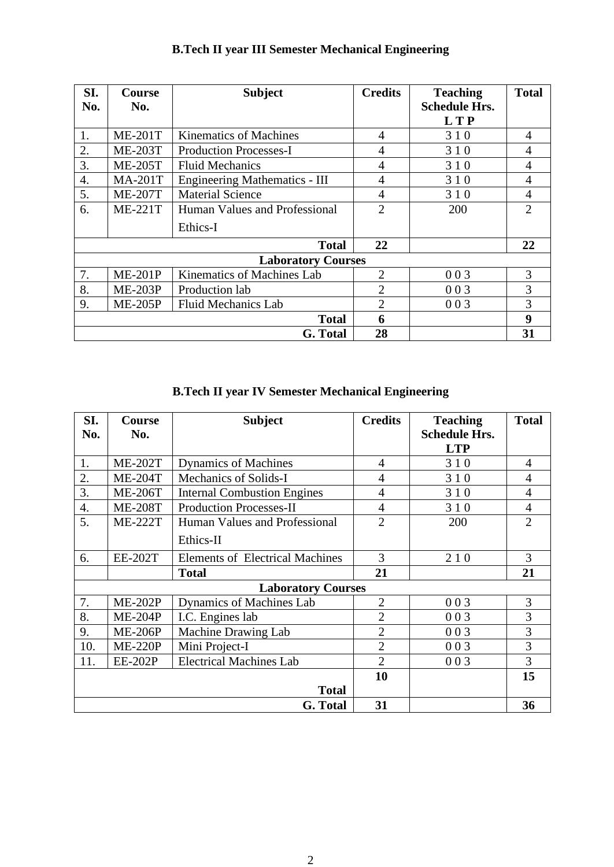| SI.<br>No.       | <b>Course</b><br>No. | <b>Subject</b>                       | <b>Credits</b> | <b>Teaching</b><br><b>Schedule Hrs.</b> | <b>Total</b>   |
|------------------|----------------------|--------------------------------------|----------------|-----------------------------------------|----------------|
|                  |                      |                                      |                | <b>LTP</b>                              |                |
| 1.               | $ME-201T$            | <b>Kinematics of Machines</b>        | 4              | 310                                     | 4              |
| 2.               | <b>ME-203T</b>       | <b>Production Processes-I</b>        | 4              | 310                                     | 4              |
| 3.               | <b>ME-205T</b>       | <b>Fluid Mechanics</b>               | 4              | 310                                     | 4              |
| $\overline{4}$ . | <b>MA-201T</b>       | <b>Engineering Mathematics - III</b> | $\overline{4}$ | 3 1 0                                   | 4              |
| 5.               | <b>ME-207T</b>       | <b>Material Science</b>              | 4              | 310                                     | 4              |
| 6.               | <b>ME-221T</b>       | Human Values and Professional        | $\overline{2}$ | 200                                     | $\overline{2}$ |
|                  |                      | Ethics-I                             |                |                                         |                |
|                  |                      | <b>Total</b>                         | 22             |                                         | 22             |
|                  |                      | <b>Laboratory Courses</b>            |                |                                         |                |
| 7.               | $ME-201P$            | Kinematics of Machines Lab           | $\overline{2}$ | 003                                     | 3              |
| 8.               | <b>ME-203P</b>       | Production lab                       | $\overline{2}$ | 003                                     | 3              |
| 9.               | <b>ME-205P</b>       | <b>Fluid Mechanics Lab</b>           | $\overline{2}$ | 003                                     | 3              |
|                  |                      | <b>Total</b>                         | 6              |                                         | 9              |
|                  |                      | G. Total                             | 28             |                                         | 31             |

# **B.Tech II year III Semester Mechanical Engineering**

# **B.Tech II year IV Semester Mechanical Engineering**

| SI.<br>No.         | <b>Course</b><br>No.      | <b>Subject</b>                         | <b>Credits</b> | <b>Teaching</b><br><b>Schedule Hrs.</b><br><b>LTP</b> | <b>Total</b>   |
|--------------------|---------------------------|----------------------------------------|----------------|-------------------------------------------------------|----------------|
| 1.                 | <b>ME-202T</b>            | <b>Dynamics of Machines</b>            | 4              | 310                                                   | $\overline{4}$ |
| 2.                 | <b>ME-204T</b>            | Mechanics of Solids-I                  | $\overline{4}$ | 310                                                   | $\overline{4}$ |
| 3.                 | <b>ME-206T</b>            | <b>Internal Combustion Engines</b>     | 4              | 310                                                   | 4              |
| $\boldsymbol{4}$ . | <b>ME-208T</b>            | <b>Production Processes-II</b>         | 4              | 310                                                   | 4              |
| 5.                 | <b>ME-222T</b>            | Human Values and Professional          | $\overline{2}$ | 200                                                   | $\overline{2}$ |
|                    |                           | Ethics-II                              |                |                                                       |                |
| 6.                 | <b>EE-202T</b>            | <b>Elements of Electrical Machines</b> | 3              | 210                                                   | 3              |
|                    |                           | <b>Total</b>                           | 21             |                                                       | 21             |
|                    | <b>Laboratory Courses</b> |                                        |                |                                                       |                |
| 7.                 | <b>ME-202P</b>            | Dynamics of Machines Lab               | $\overline{2}$ | 003                                                   | 3              |
| 8.                 | <b>ME-204P</b>            | I.C. Engines lab                       | $\overline{2}$ | 003                                                   | 3              |
| 9.                 | <b>ME-206P</b>            | Machine Drawing Lab                    | $\overline{2}$ | 003                                                   | 3              |
| 10.                | <b>ME-220P</b>            | Mini Project-I                         | $\overline{2}$ | 003                                                   | 3              |
| 11.                | <b>EE-202P</b>            | <b>Electrical Machines Lab</b>         | $\overline{2}$ | 003                                                   | 3              |
|                    |                           |                                        | 10             |                                                       | 15             |
|                    |                           | <b>Total</b>                           |                |                                                       |                |
|                    |                           | G. Total                               | 31             |                                                       | 36             |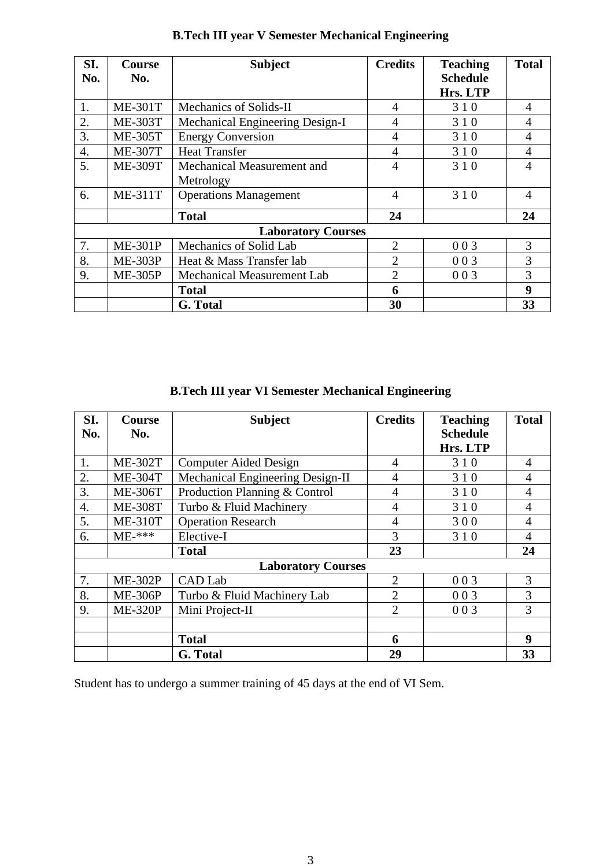| SI. | <b>Course</b>  | <b>Subject</b>                    | <b>Credits</b> | <b>Teaching</b> | <b>Total</b> |
|-----|----------------|-----------------------------------|----------------|-----------------|--------------|
| No. | No.            |                                   |                | <b>Schedule</b> |              |
|     |                |                                   |                | Hrs. LTP        |              |
| 1.  | <b>ME-301T</b> | Mechanics of Solids-II            | $\overline{4}$ | 310             | 4            |
| 2.  | <b>ME-303T</b> | Mechanical Engineering Design-I   | 4              | 310             | 4            |
| 3.  | <b>ME-305T</b> | <b>Energy Conversion</b>          | $\overline{4}$ | 310             | 4            |
| 4.  | <b>ME-307T</b> | <b>Heat Transfer</b>              | $\overline{4}$ | 310             | 4            |
| 5.  | <b>ME-309T</b> | Mechanical Measurement and        | $\overline{4}$ | 310             | 4            |
|     |                | Metrology                         |                |                 |              |
| 6.  | <b>ME-311T</b> | <b>Operations Management</b>      | $\overline{4}$ | 310             | 4            |
|     |                | <b>Total</b>                      | 24             |                 | 24           |
|     |                | <b>Laboratory Courses</b>         |                |                 |              |
| 7.  | <b>ME-301P</b> | Mechanics of Solid Lab            | $\overline{2}$ | 003             | 3            |
| 8.  | <b>ME-303P</b> | Heat & Mass Transfer lab          | 2              | 003             | 3            |
| 9.  | <b>ME-305P</b> | <b>Mechanical Measurement Lab</b> | $\overline{2}$ | 003             | 3            |
|     |                | <b>Total</b>                      | 6              |                 | 9            |
|     |                | G. Total                          | 30             |                 | 33           |

# **B.Tech III year V Semester Mechanical Engineering**

**B.Tech III year VI Semester Mechanical Engineering**

| SI.                       | Course         | <b>Subject</b>                   | <b>Credits</b> | <b>Teaching</b> | <b>Total</b> |
|---------------------------|----------------|----------------------------------|----------------|-----------------|--------------|
| No.                       | No.            |                                  |                | <b>Schedule</b> |              |
|                           |                |                                  |                | Hrs. LTP        |              |
| 1.                        | <b>ME-302T</b> | <b>Computer Aided Design</b>     |                | 310             | 4            |
| 2.                        | <b>ME-304T</b> | Mechanical Engineering Design-II | $\overline{4}$ | 310             | 4            |
| 3.                        | <b>ME-306T</b> | Production Planning & Control    | 4              | 310             | 4            |
| 4.                        | <b>ME-308T</b> | Turbo & Fluid Machinery          | $\overline{4}$ | 310             | 4            |
| 5.                        | <b>ME-310T</b> | <b>Operation Research</b>        | $\overline{4}$ | 300             | 4            |
| 6.                        | $ME-***$       | Elective-I                       | 3              | 310             | 4            |
|                           |                | <b>Total</b>                     | 23             |                 | 24           |
| <b>Laboratory Courses</b> |                |                                  |                |                 |              |
| 7.                        | <b>ME-302P</b> | CAD Lab                          | $\overline{2}$ | 003             | 3            |
| 8.                        | <b>ME-306P</b> | Turbo & Fluid Machinery Lab      | $\overline{2}$ | 003             | 3            |
| 9.                        | <b>ME-320P</b> | Mini Project-II                  | $\overline{2}$ | 003             | 3            |
|                           |                |                                  |                |                 |              |
|                           |                | <b>Total</b>                     | 6              |                 | 9            |
|                           |                | G. Total                         | 29             |                 | 33           |

Student has to undergo a summer training of 45 days at the end of VI Sem.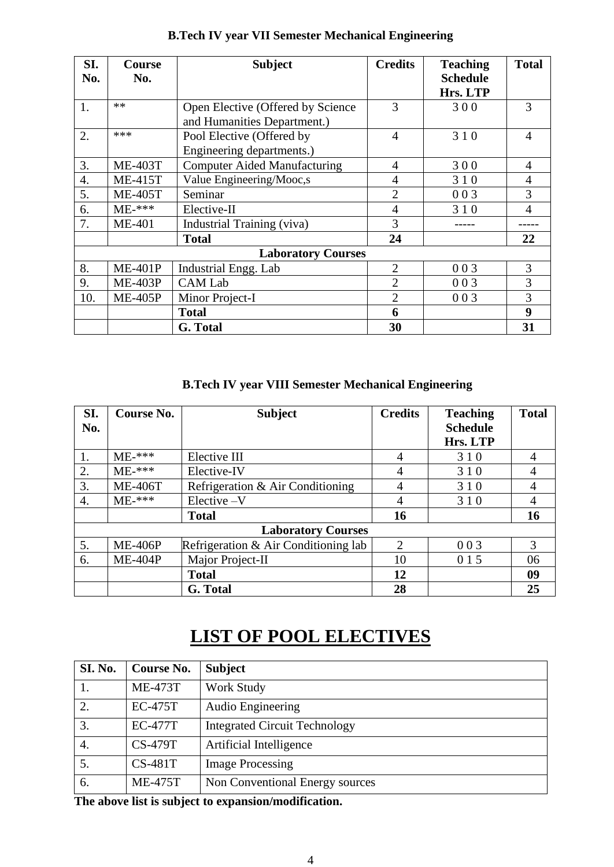| SI.<br>No. | <b>Subject</b><br><b>Course</b><br>No. |                                     | <b>Credits</b> | <b>Teaching</b><br><b>Schedule</b><br>Hrs. LTP | <b>Total</b>   |
|------------|----------------------------------------|-------------------------------------|----------------|------------------------------------------------|----------------|
| 1.         | $**$                                   | Open Elective (Offered by Science   | 3              | 300                                            | 3              |
|            |                                        | and Humanities Department.)         |                |                                                |                |
| 2.         | ***                                    | Pool Elective (Offered by           | 4              | 310                                            | 4              |
|            |                                        | Engineering departments.)           |                |                                                |                |
| 3.         | <b>ME-403T</b>                         | <b>Computer Aided Manufacturing</b> | $\overline{4}$ | 300                                            | $\overline{4}$ |
| 4.         | <b>ME-415T</b>                         | Value Engineering/Mooc,s            | $\overline{4}$ | 310                                            | 4              |
| 5.         | <b>ME-405T</b>                         | Seminar                             | $\overline{2}$ | 003                                            | 3              |
| 6.         | $ME-***$                               | Elective-II                         | $\overline{4}$ | 310                                            | 4              |
| 7.         | <b>ME-401</b>                          | Industrial Training (viva)          | 3              |                                                |                |
|            |                                        | <b>Total</b>                        | 24             |                                                | 22             |
|            |                                        | <b>Laboratory Courses</b>           |                |                                                |                |
| 8.         | <b>ME-401P</b>                         | Industrial Engg. Lab                | $\overline{2}$ | 003                                            | 3              |
| 9.         | <b>ME-403P</b>                         | <b>CAM Lab</b>                      | $\overline{2}$ | 003                                            | 3              |
| 10.        | <b>ME-405P</b>                         | Minor Project-I                     | $\overline{2}$ | 003                                            | 3              |
|            |                                        | <b>Total</b>                        | 6              |                                                | 9              |
|            |                                        | G. Total                            | 30             |                                                | 31             |

# **B.Tech IV year VII Semester Mechanical Engineering**

 **B.Tech IV year VIII Semester Mechanical Engineering**

| SI. | Course No.     | <b>Subject</b>                       | <b>Credits</b>              | <b>Teaching</b> | <b>Total</b> |
|-----|----------------|--------------------------------------|-----------------------------|-----------------|--------------|
| No. |                |                                      |                             | <b>Schedule</b> |              |
|     |                |                                      |                             | Hrs. LTP        |              |
| 1.  | $ME-***$       | Elective III                         | 4                           | 310             | 4            |
| 2.  | $ME-****$      | Elective-IV                          | 4                           | 310             | 4            |
| 3.  | <b>ME-406T</b> | Refrigeration & Air Conditioning     | 4                           | 310             | 4            |
| 4.  | $ME-****$      | $Electric-V$                         | 4                           | 310             | 4            |
|     |                | <b>Total</b>                         | 16                          |                 | 16           |
|     |                | <b>Laboratory Courses</b>            |                             |                 |              |
| 5.  | <b>ME-406P</b> | Refrigeration & Air Conditioning lab | $\mathcal{D}_{\mathcal{L}}$ | 003             | 3            |
| 6.  | <b>ME-404P</b> | Major Project-II                     | 10                          | 0 1 5           | 06           |
|     |                | <b>Total</b>                         | 12                          |                 | 09           |
|     |                | G. Total                             | 28                          |                 | 25           |

# **LIST OF POOL ELECTIVES**

| Course No.     | <b>Subject</b>                       |
|----------------|--------------------------------------|
| <b>ME-473T</b> | Work Study                           |
| <b>EC-475T</b> | <b>Audio Engineering</b>             |
| <b>EC-477T</b> | <b>Integrated Circuit Technology</b> |
| <b>CS-479T</b> | Artificial Intelligence              |
| $CS-481T$      | <b>Image Processing</b>              |
| <b>ME-475T</b> | Non Conventional Energy sources      |
|                |                                      |

**The above list is subject to expansion/modification.**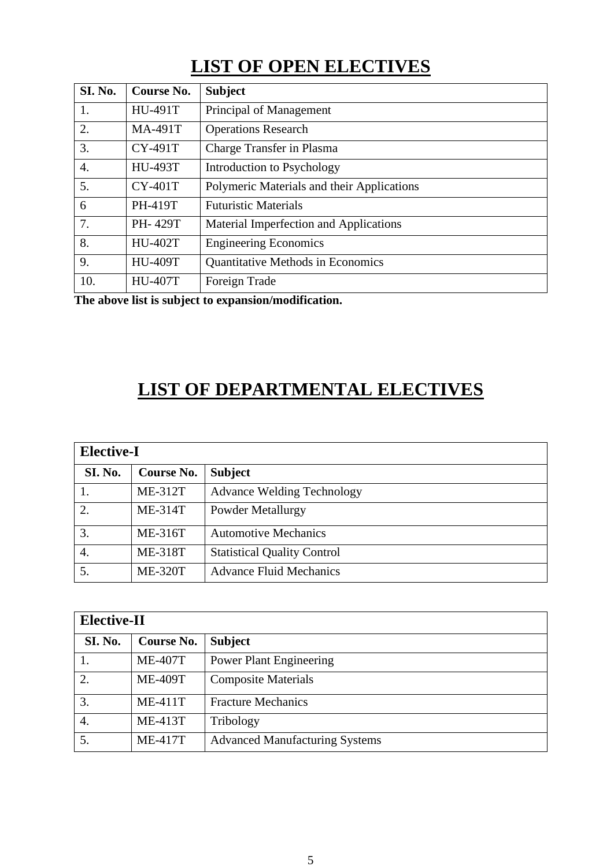# **LIST OF OPEN ELECTIVES**

| <b>SI. No.</b> | Course No.     | <b>Subject</b>                             |
|----------------|----------------|--------------------------------------------|
| 1.             | <b>HU-491T</b> | Principal of Management                    |
| 2.             | <b>MA-491T</b> | <b>Operations Research</b>                 |
| 3.             | <b>CY-491T</b> | Charge Transfer in Plasma                  |
| 4.             | <b>HU-493T</b> | Introduction to Psychology                 |
| 5.             | <b>CY-401T</b> | Polymeric Materials and their Applications |
| 6              | <b>PH-419T</b> | <b>Futuristic Materials</b>                |
| 7.             | PH-429T        | Material Imperfection and Applications     |
| 8.             | <b>HU-402T</b> | <b>Engineering Economics</b>               |
| 9.             | <b>HU-409T</b> | <b>Quantitative Methods in Economics</b>   |
| 10.            | <b>HU-407T</b> | Foreign Trade                              |

**The above list is subject to expansion/modification.**

# **LIST OF DEPARTMENTAL ELECTIVES**

|                | <b>Elective-I</b> |                                    |  |  |  |
|----------------|-------------------|------------------------------------|--|--|--|
| SI. No.        | Course No.        | <b>Subject</b>                     |  |  |  |
|                | <b>ME-312T</b>    | <b>Advance Welding Technology</b>  |  |  |  |
| $\overline{2}$ | <b>ME-314T</b>    | Powder Metallurgy                  |  |  |  |
| 3.             | ME-316T           | <b>Automotive Mechanics</b>        |  |  |  |
| 4.             | <b>ME-318T</b>    | <b>Statistical Quality Control</b> |  |  |  |
| 5.             | <b>ME-320T</b>    | <b>Advance Fluid Mechanics</b>     |  |  |  |

|         | <b>Elective-II</b> |                                       |  |  |  |
|---------|--------------------|---------------------------------------|--|--|--|
| SI. No. | Course No.         | <b>Subject</b>                        |  |  |  |
|         | <b>ME-407T</b>     | <b>Power Plant Engineering</b>        |  |  |  |
| 2.      | <b>ME-409T</b>     | <b>Composite Materials</b>            |  |  |  |
| 3.      | $ME-411T$          | <b>Fracture Mechanics</b>             |  |  |  |
| 4.      | <b>ME-413T</b>     | Tribology                             |  |  |  |
| 5.      | <b>ME-417T</b>     | <b>Advanced Manufacturing Systems</b> |  |  |  |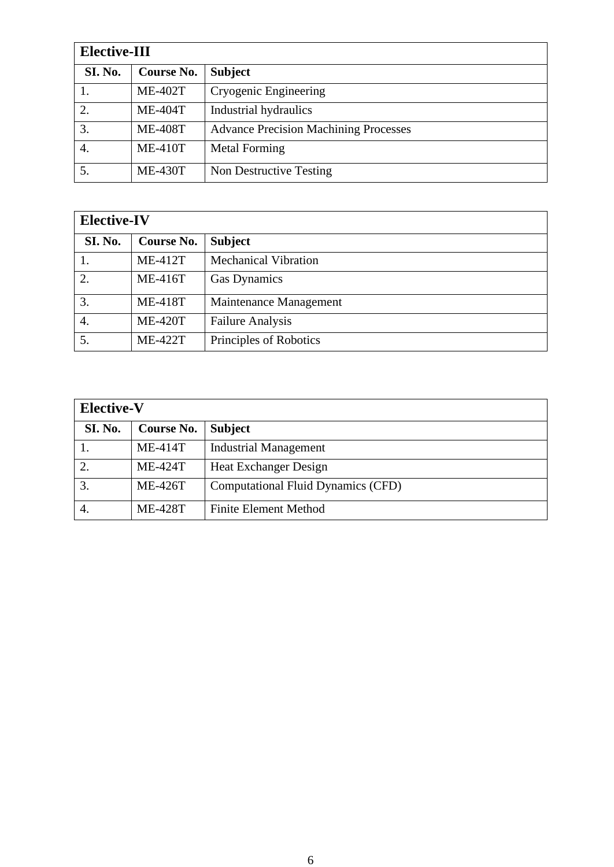| <b>Elective-III</b> |                   |                                              |
|---------------------|-------------------|----------------------------------------------|
| <b>SI. No.</b>      | <b>Course No.</b> | <b>Subject</b>                               |
|                     | <b>ME-402T</b>    | Cryogenic Engineering                        |
| 2.                  | <b>ME-404T</b>    | Industrial hydraulics                        |
| 3.                  | <b>ME-408T</b>    | <b>Advance Precision Machining Processes</b> |
| 4.                  | <b>ME-410T</b>    | <b>Metal Forming</b>                         |
|                     | <b>ME-430T</b>    | Non Destructive Testing                      |

| <b>Elective-IV</b> |                   |                             |
|--------------------|-------------------|-----------------------------|
| SI. No.            | <b>Course No.</b> | <b>Subject</b>              |
|                    | <b>ME-412T</b>    | <b>Mechanical Vibration</b> |
| 2.                 | <b>ME-416T</b>    | <b>Gas Dynamics</b>         |
| 3.                 | <b>ME-418T</b>    | Maintenance Management      |
| 4.                 | <b>ME-420T</b>    | <b>Failure Analysis</b>     |
| 5.                 | <b>ME-422T</b>    | Principles of Robotics      |

| <b>Elective-V</b> |                   |                                           |
|-------------------|-------------------|-------------------------------------------|
| <b>SI. No.</b>    | <b>Course No.</b> | <b>Subject</b>                            |
|                   | $ME-414T$         | <b>Industrial Management</b>              |
| 2.                | <b>ME-424T</b>    | <b>Heat Exchanger Design</b>              |
| 3.                | <b>ME-426T</b>    | <b>Computational Fluid Dynamics (CFD)</b> |
|                   | <b>ME-428T</b>    | <b>Finite Element Method</b>              |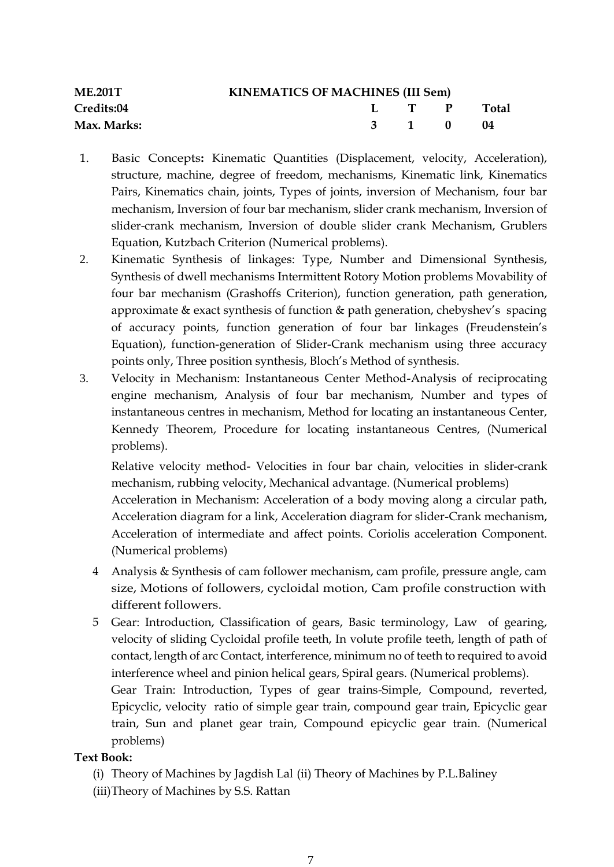| <b>ME.201T</b>    | <b>KINEMATICS OF MACHINES (III Sem)</b> |  |                                        |              |  |  |
|-------------------|-----------------------------------------|--|----------------------------------------|--------------|--|--|
| <b>Credits:04</b> |                                         |  | $\mathbf{L}$ $\mathbf{T}$ $\mathbf{P}$ | <b>Total</b> |  |  |
| Max. Marks:       |                                         |  | 3 1 0                                  | -04          |  |  |

- 1. Basic Concepts**:** Kinematic Quantities (Displacement, velocity, Acceleration), structure, machine, degree of freedom, mechanisms, Kinematic link, Kinematics Pairs, Kinematics chain, joints, Types of joints, inversion of Mechanism, four bar mechanism, Inversion of four bar mechanism, slider crank mechanism, Inversion of slider-crank mechanism, Inversion of double slider crank Mechanism, Grublers Equation, Kutzbach Criterion (Numerical problems).
- 2. Kinematic Synthesis of linkages: Type, Number and Dimensional Synthesis, Synthesis of dwell mechanisms Intermittent Rotory Motion problems Movability of four bar mechanism (Grashoffs Criterion), function generation, path generation, approximate & exact synthesis of function & path generation, chebyshev's spacing of accuracy points, function generation of four bar linkages (Freudenstein's Equation), function-generation of Slider-Crank mechanism using three accuracy points only, Three position synthesis, Bloch's Method of synthesis.
- 3. Velocity in Mechanism: Instantaneous Center Method-Analysis of reciprocating engine mechanism, Analysis of four bar mechanism, Number and types of instantaneous centres in mechanism, Method for locating an instantaneous Center, Kennedy Theorem, Procedure for locating instantaneous Centres, (Numerical problems).

Relative velocity method- Velocities in four bar chain, velocities in slider-crank mechanism, rubbing velocity, Mechanical advantage. (Numerical problems)

Acceleration in Mechanism: Acceleration of a body moving along a circular path, Acceleration diagram for a link, Acceleration diagram for slider-Crank mechanism, Acceleration of intermediate and affect points. Coriolis acceleration Component. (Numerical problems)

- 4 Analysis & Synthesis of cam follower mechanism, cam profile, pressure angle, cam size, Motions of followers, cycloidal motion, Cam profile construction with different followers.
- 5 Gear: Introduction, Classification of gears, Basic terminology, Law of gearing, velocity of sliding Cycloidal profile teeth, In volute profile teeth, length of path of contact, length of arc Contact, interference, minimum no of teeth to required to avoid interference wheel and pinion helical gears, Spiral gears. (Numerical problems).

Gear Train: Introduction, Types of gear trains-Simple, Compound, reverted, Epicyclic, velocity ratio of simple gear train, compound gear train, Epicyclic gear train, Sun and planet gear train, Compound epicyclic gear train. (Numerical problems)

# **Text Book:**

- (i) Theory of Machines by Jagdish Lal (ii) Theory of Machines by P.L.Baliney
- (iii)Theory of Machines by S.S. Rattan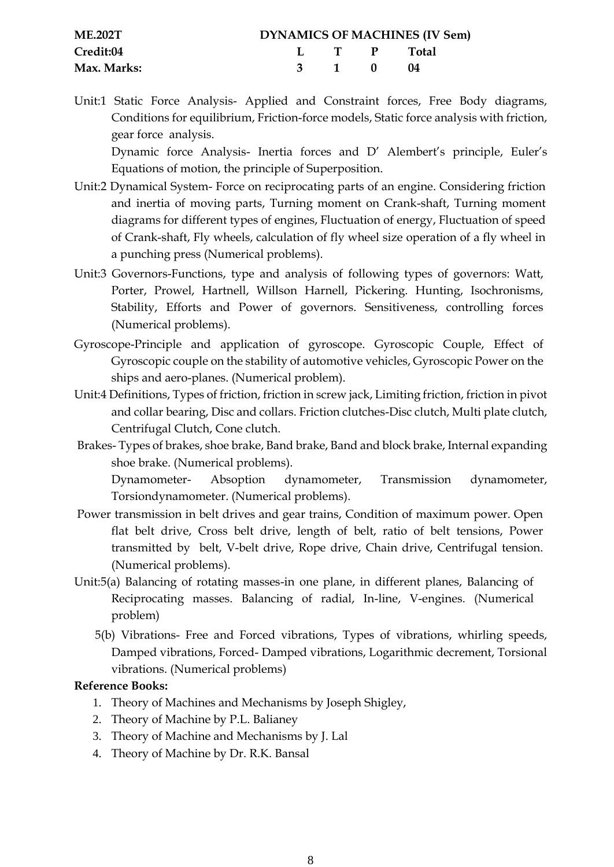| <b>ME.202T</b> |  |          | <b>DYNAMICS OF MACHINES (IV Sem)</b> |
|----------------|--|----------|--------------------------------------|
| Credit:04      |  |          | L T P Total                          |
| Max. Marks:    |  | 3 1 0 04 |                                      |

Unit:1 Static Force Analysis- Applied and Constraint forces, Free Body diagrams, Conditions for equilibrium, Friction-force models, Static force analysis with friction, gear force analysis.

Dynamic force Analysis- Inertia forces and D' Alembert's principle, Euler's Equations of motion, the principle of Superposition.

- Unit:2 Dynamical System- Force on reciprocating parts of an engine. Considering friction and inertia of moving parts, Turning moment on Crank-shaft, Turning moment diagrams for different types of engines, Fluctuation of energy, Fluctuation of speed of Crank-shaft, Fly wheels, calculation of fly wheel size operation of a fly wheel in a punching press (Numerical problems).
- Unit:3 Governors-Functions, type and analysis of following types of governors: Watt, Porter, Prowel, Hartnell, Willson Harnell, Pickering. Hunting, Isochronisms, Stability, Efforts and Power of governors. Sensitiveness, controlling forces (Numerical problems).
- Gyroscope-Principle and application of gyroscope. Gyroscopic Couple, Effect of Gyroscopic couple on the stability of automotive vehicles, Gyroscopic Power on the ships and aero-planes. (Numerical problem).
- Unit:4 Definitions, Types of friction, friction in screw jack, Limiting friction, friction in pivot and collar bearing, Disc and collars. Friction clutches-Disc clutch, Multi plate clutch, Centrifugal Clutch, Cone clutch.
- Brakes- Types of brakes, shoe brake, Band brake, Band and block brake, Internal expanding shoe brake. (Numerical problems).

Dynamometer- Absoption dynamometer, Transmission dynamometer, Torsiondynamometer. (Numerical problems).

- Power transmission in belt drives and gear trains, Condition of maximum power. Open flat belt drive, Cross belt drive, length of belt, ratio of belt tensions, Power transmitted by belt, V-belt drive, Rope drive, Chain drive, Centrifugal tension. (Numerical problems).
- Unit:5(a) Balancing of rotating masses-in one plane, in different planes, Balancing of Reciprocating masses. Balancing of radial, In-line, V-engines. (Numerical problem)
	- 5(b) Vibrations- Free and Forced vibrations, Types of vibrations, whirling speeds, Damped vibrations, Forced- Damped vibrations, Logarithmic decrement, Torsional vibrations. (Numerical problems)

#### **Reference Books:**

- 1. Theory of Machines and Mechanisms by Joseph Shigley,
- 2. Theory of Machine by P.L. Balianey
- 3. Theory of Machine and Mechanisms by J. Lal
- 4. Theory of Machine by Dr. R.K. Bansal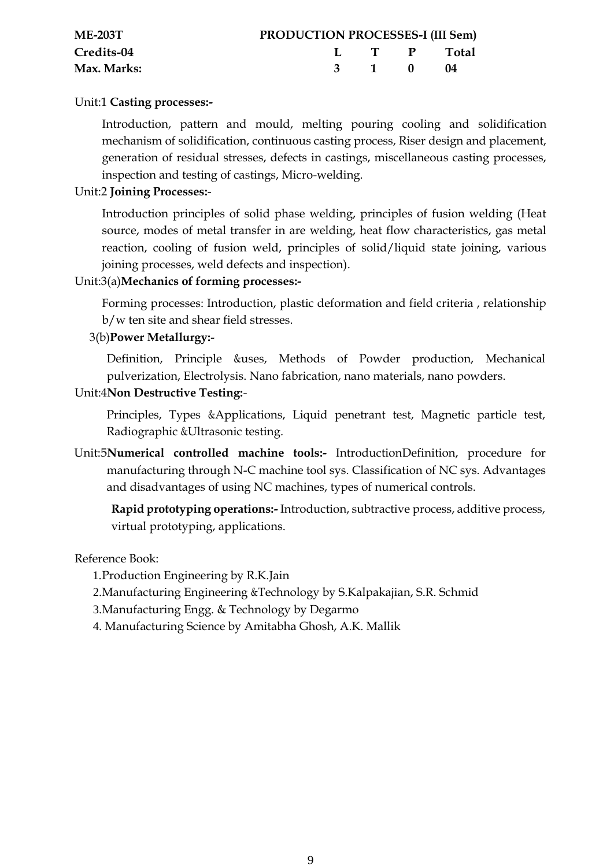| $ME-203T$         | <b>PRODUCTION PROCESSES-I (III Sem)</b> |       |             |
|-------------------|-----------------------------------------|-------|-------------|
| <b>Credits-04</b> |                                         |       | L T P Total |
| Max. Marks:       |                                         | 3 1 0 | (14         |

### Unit:1 **Casting processes:-**

Introduction, pattern and mould, melting pouring cooling and solidification mechanism of solidification, continuous casting process, Riser design and placement, generation of residual stresses, defects in castings, miscellaneous casting processes, inspection and testing of castings, Micro-welding.

#### Unit:2 **Joining Processes:**-

Introduction principles of solid phase welding, principles of fusion welding (Heat source, modes of metal transfer in are welding, heat flow characteristics, gas metal reaction, cooling of fusion weld, principles of solid/liquid state joining, various joining processes, weld defects and inspection).

# Unit:3(a)**Mechanics of forming processes:-**

Forming processes: Introduction, plastic deformation and field criteria , relationship b/w ten site and shear field stresses.

#### 3(b)**Power Metallurgy:**-

Definition, Principle &uses, Methods of Powder production, Mechanical pulverization, Electrolysis. Nano fabrication, nano materials, nano powders.

#### Unit:4**Non Destructive Testing:**-

Principles, Types &Applications, Liquid penetrant test, Magnetic particle test, Radiographic &Ultrasonic testing.

Unit:5**Numerical controlled machine tools:-** IntroductionDefinition, procedure for manufacturing through N-C machine tool sys. Classification of NC sys. Advantages and disadvantages of using NC machines, types of numerical controls.

**Rapid prototyping operations:-** Introduction, subtractive process, additive process, virtual prototyping, applications.

#### Reference Book:

1.Production Engineering by R.K.Jain

- 2.Manufacturing Engineering &Technology by S.Kalpakajian, S.R. Schmid
- 3.Manufacturing Engg. & Technology by Degarmo
- 4. Manufacturing Science by Amitabha Ghosh, A.K. Mallik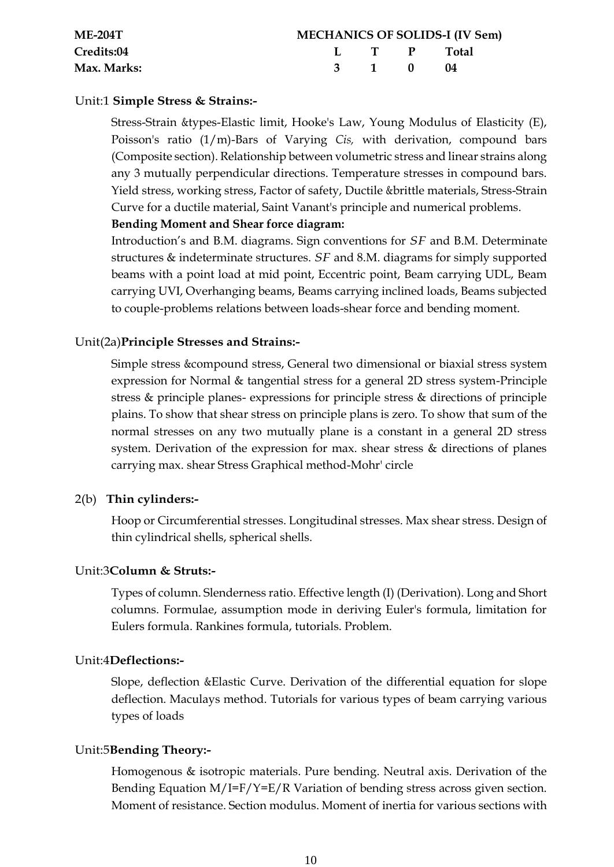| $ME-204T$   |       | <b>MECHANICS OF SOLIDS-I (IV Sem)</b> |
|-------------|-------|---------------------------------------|
| Credits:04  |       | L T P Total                           |
| Max. Marks: | 3 1 0 | $\blacksquare$ (14                    |

#### Unit:1 **Simple Stress & Strains:-**

Stress-Strain &types-Elastic limit, Hooke's Law, Young Modulus of Elasticity (E), Poisson's ratio (1/m)-Bars of Varying *Cis,* with derivation, compound bars (Composite section). Relationship between volumetric stress and linear strains along any 3 mutually perpendicular directions. Temperature stresses in compound bars. Yield stress, working stress, Factor of safety, Ductile &brittle materials, Stress-Strain Curve for a ductile material, Saint Vanant's principle and numerical problems.

#### **Bending Moment and Shear force diagram:**

Introduction's and B.M. diagrams. Sign conventions for *SF* and B.M. Determinate structures & indeterminate structures. *SF* and 8.M. diagrams for simply supported beams with a point load at mid point, Eccentric point, Beam carrying UDL, Beam carrying UVI, Overhanging beams, Beams carrying inclined loads, Beams subjected to couple-problems relations between loads-shear force and bending moment.

#### Unit(2a)**Principle Stresses and Strains:-**

Simple stress &compound stress, General two dimensional or biaxial stress system expression for Normal & tangential stress for a general 2D stress system-Principle stress & principle planes- expressions for principle stress & directions of principle plains. To show that shear stress on principle plans is zero. To show that sum of the normal stresses on any two mutually plane is a constant in a general 2D stress system. Derivation of the expression for max. shear stress & directions of planes carrying max. shear Stress Graphical method-Mohr' circle

# 2(b) **Thin cylinders:-**

Hoop or Circumferential stresses. Longitudinal stresses. Max shear stress. Design of thin cylindrical shells, spherical shells.

#### Unit:3**Column & Struts:-**

Types of column. Slenderness ratio. Effective length (I) (Derivation). Long and Short columns. Formulae, assumption mode in deriving Euler's formula, limitation for Eulers formula. Rankines formula, tutorials. Problem.

#### Unit:4**Deflections:-**

Slope, deflection &Elastic Curve. Derivation of the differential equation for slope deflection. Maculays method. Tutorials for various types of beam carrying various types of loads

#### Unit:5**Bending Theory:-**

Homogenous & isotropic materials. Pure bending. Neutral axis. Derivation of the Bending Equation M/I=F/Y=E/R Variation of bending stress across given section. Moment of resistance. Section modulus. Moment of inertia for various sections with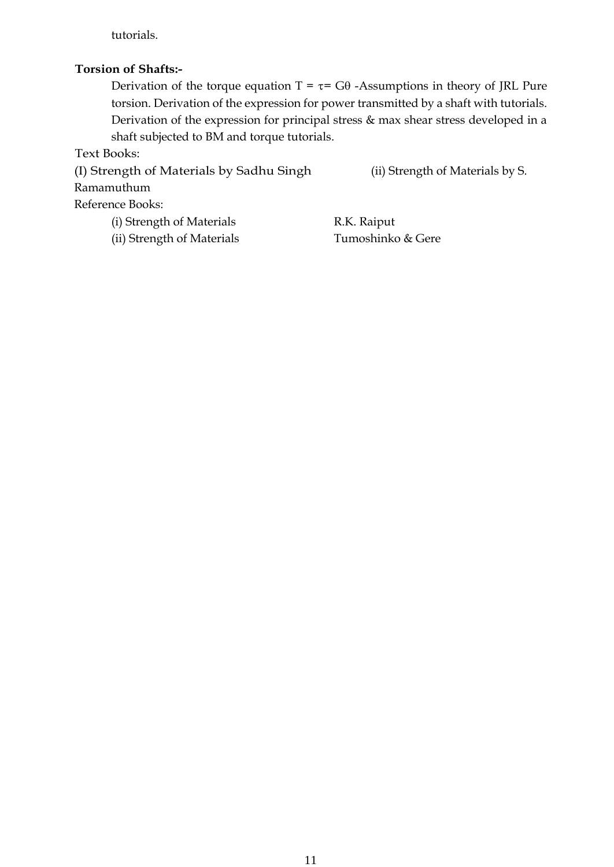tutorials.

#### **Torsion of Shafts:-**

Derivation of the torque equation  $T = \tau = G\theta$  -Assumptions in theory of JRL Pure torsion. Derivation of the expression for power transmitted by a shaft with tutorials. Derivation of the expression for principal stress & max shear stress developed in a shaft subjected to BM and torque tutorials.

Text Books:

(I) Strength of Materials by Sadhu Singh (ii) Strength of Materials by S. Ramamuthum Reference Books: (i) Strength of Materials R.K. Raiput

(ii) Strength of Materials Tumoshinko & Gere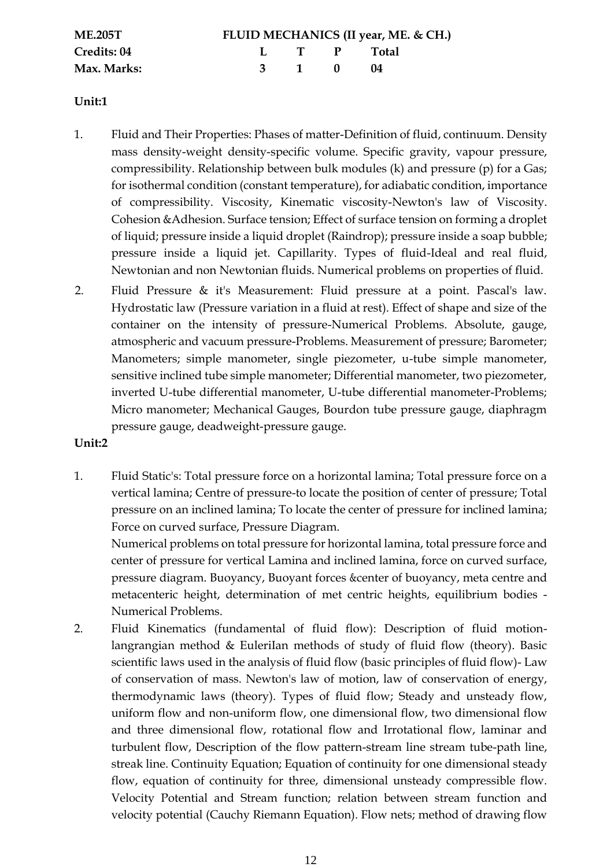| <b>ME.205T</b> |       |             | FLUID MECHANICS (II year, ME. & CH.) |
|----------------|-------|-------------|--------------------------------------|
| Credits: 04    |       | L I P Total |                                      |
| Max. Marks:    | 3 1 0 |             | - 04                                 |

#### **Unit:1**

- 1. Fluid and Their Properties: Phases of matter-Definition of fluid, continuum. Density mass density-weight density-specific volume. Specific gravity, vapour pressure, compressibility. Relationship between bulk modules (k) and pressure (p) for a Gas; for isothermal condition (constant temperature), for adiabatic condition, importance of compressibility. Viscosity, Kinematic viscosity-Newton's law of Viscosity. Cohesion &Adhesion. Surface tension; Effect of surface tension on forming a droplet of liquid; pressure inside a liquid droplet (Raindrop); pressure inside a soap bubble; pressure inside a liquid jet. Capillarity. Types of fluid-Ideal and real fluid, Newtonian and non Newtonian fluids. Numerical problems on properties of fluid.
- 2. Fluid Pressure & it's Measurement: Fluid pressure at a point. Pascal's law. Hydrostatic law (Pressure variation in a fluid at rest). Effect of shape and size of the container on the intensity of pressure-Numerical Problems. Absolute, gauge, atmospheric and vacuum pressure-Problems. Measurement of pressure; Barometer; Manometers; simple manometer, single piezometer, u-tube simple manometer, sensitive inclined tube simple manometer; Differential manometer, two piezometer, inverted U-tube differential manometer, U-tube differential manometer-Problems; Micro manometer; Mechanical Gauges, Bourdon tube pressure gauge, diaphragm pressure gauge, deadweight-pressure gauge.

#### **Unit:2**

1. Fluid Static's: Total pressure force on a horizontal lamina; Total pressure force on a vertical lamina; Centre of pressure-to locate the position of center of pressure; Total pressure on an inclined lamina; To locate the center of pressure for inclined lamina; Force on curved surface, Pressure Diagram.

Numerical problems on total pressure for horizontal lamina, total pressure force and center of pressure for vertical Lamina and inclined lamina, force on curved surface, pressure diagram. Buoyancy, Buoyant forces & center of buoyancy, meta centre and metacenteric height, determination of met centric heights, equilibrium bodies - Numerical Problems.

2. Fluid Kinematics (fundamental of fluid flow): Description of fluid motionlangrangian method & EuleriIan methods of study of fluid flow (theory). Basic scientific laws used in the analysis of fluid flow (basic principles of fluid flow)- Law of conservation of mass. Newton's law of motion, law of conservation of energy, thermodynamic laws (theory). Types of fluid flow; Steady and unsteady flow, uniform flow and non-uniform flow, one dimensional flow, two dimensional flow and three dimensional flow, rotational flow and Irrotational flow, laminar and turbulent flow, Description of the flow pattern-stream line stream tube-path line, streak line. Continuity Equation; Equation of continuity for one dimensional steady flow, equation of continuity for three, dimensional unsteady compressible flow. Velocity Potential and Stream function; relation between stream function and velocity potential (Cauchy Riemann Equation). Flow nets; method of drawing flow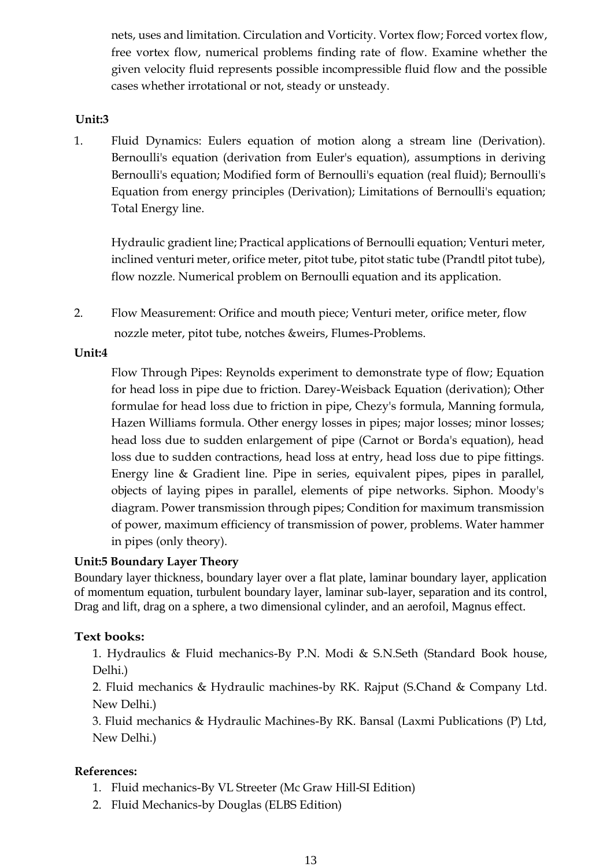nets, uses and limitation. Circulation and Vorticity. Vortex flow; Forced vortex flow, free vortex flow, numerical problems finding rate of flow. Examine whether the given velocity fluid represents possible incompressible fluid flow and the possible cases whether irrotational or not, steady or unsteady.

# **Unit:3**

1. Fluid Dynamics: Eulers equation of motion along a stream line (Derivation). Bernoulli's equation (derivation from Euler's equation), assumptions in deriving Bernoulli's equation; Modified form of Bernoulli's equation (real fluid); Bernoulli's Equation from energy principles (Derivation); Limitations of Bernoulli's equation; Total Energy line.

Hydraulic gradient line; Practical applications of Bernoulli equation; Venturi meter, inclined venturi meter, orifice meter, pitot tube, pitot static tube (Prandtl pitot tube), flow nozzle. Numerical problem on Bernoulli equation and its application.

2. Flow Measurement: Orifice and mouth piece; Venturi meter, orifice meter, flow nozzle meter, pitot tube, notches &weirs, Flumes-Problems.

#### **Unit:4**

Flow Through Pipes: Reynolds experiment to demonstrate type of flow; Equation for head loss in pipe due to friction. Darey-Weisback Equation (derivation); Other formulae for head loss due to friction in pipe, Chezy's formula, Manning formula, Hazen Williams formula. Other energy losses in pipes; major losses; minor losses; head loss due to sudden enlargement of pipe (Carnot or Borda's equation), head loss due to sudden contractions, head loss at entry, head loss due to pipe fittings. Energy line & Gradient line. Pipe in series, equivalent pipes, pipes in parallel, objects of laying pipes in parallel, elements of pipe networks. Siphon. Moody's diagram. Power transmission through pipes; Condition for maximum transmission of power, maximum efficiency of transmission of power, problems. Water hammer in pipes (only theory).

# **Unit:5 Boundary Layer Theory**

Boundary layer thickness, boundary layer over a flat plate, laminar boundary layer, application of momentum equation, turbulent boundary layer, laminar sub-layer, separation and its control, Drag and lift, drag on a sphere, a two dimensional cylinder, and an aerofoil, Magnus effect.

# **Text books:**

1. Hydraulics & Fluid mechanics-By P.N. Modi & S.N.Seth (Standard Book house, Delhi.)

2. Fluid mechanics & Hydraulic machines-by RK. Rajput (S.Chand & Company Ltd. New Delhi.)

3. Fluid mechanics & Hydraulic Machines-By RK. Bansal (Laxmi Publications (P) Ltd, New Delhi.)

# **References:**

- 1. Fluid mechanics-By VL Streeter (Mc Graw Hill-SI Edition)
- 2. Fluid Mechanics-by Douglas (ELBS Edition)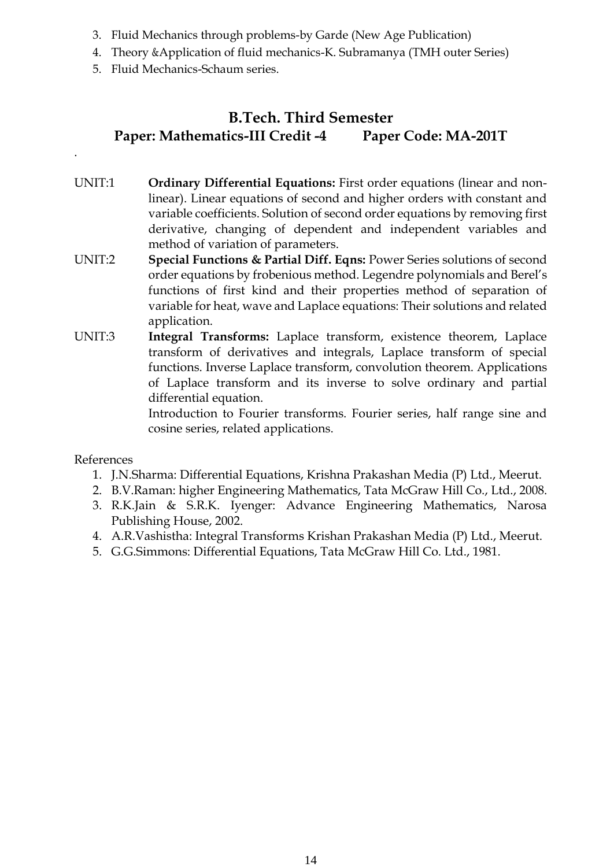- 3. Fluid Mechanics through problems-by Garde (New Age Publication)
- 4. Theory &Application of fluid mechanics-K. Subramanya (TMH outer Series)
- 5. Fluid Mechanics-Schaum series.

# **B.Tech. Third Semester Paper: Mathematics-III Credit -4 Paper Code: MA-201T**

- UNIT:1 **Ordinary Differential Equations:** First order equations (linear and nonlinear). Linear equations of second and higher orders with constant and variable coefficients. Solution of second order equations by removing first derivative, changing of dependent and independent variables and method of variation of parameters.
- UNIT:2 **Special Functions & Partial Diff. Eqns:** Power Series solutions of second order equations by frobenious method. Legendre polynomials and Berel's functions of first kind and their properties method of separation of variable for heat, wave and Laplace equations: Their solutions and related application.
- UNIT:3 **Integral Transforms:** Laplace transform, existence theorem, Laplace transform of derivatives and integrals, Laplace transform of special functions. Inverse Laplace transform, convolution theorem. Applications of Laplace transform and its inverse to solve ordinary and partial differential equation.

Introduction to Fourier transforms. Fourier series, half range sine and cosine series, related applications.

References

.

- 1. J.N.Sharma: Differential Equations, Krishna Prakashan Media (P) Ltd., Meerut.
- 2. B.V.Raman: higher Engineering Mathematics, Tata McGraw Hill Co., Ltd., 2008.
- 3. R.K.Jain & S.R.K. Iyenger: Advance Engineering Mathematics, Narosa Publishing House, 2002.
- 4. A.R.Vashistha: Integral Transforms Krishan Prakashan Media (P) Ltd., Meerut.
- 5. G.G.Simmons: Differential Equations, Tata McGraw Hill Co. Ltd., 1981.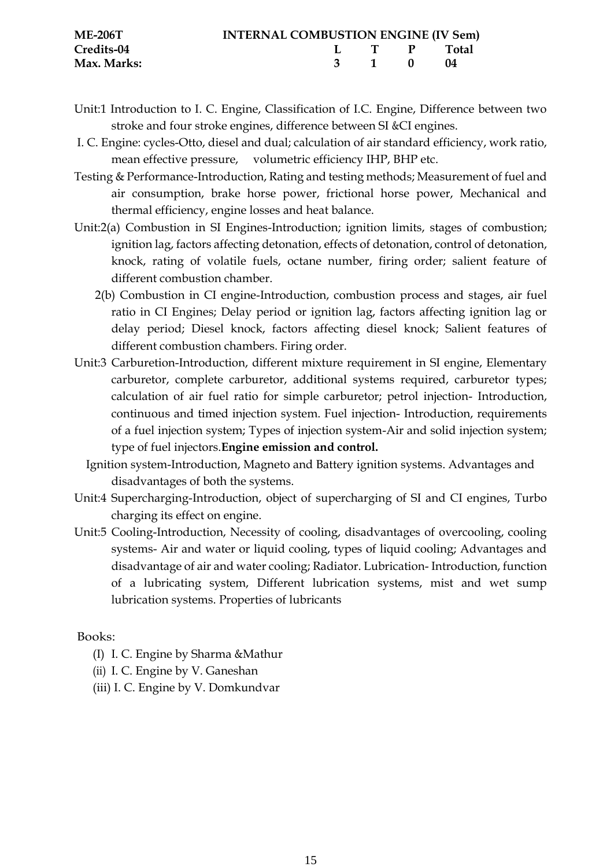| <b>ME-206T</b> | <b>INTERNAL COMBUSTION ENGINE (IV Sem)</b> |             |  |
|----------------|--------------------------------------------|-------------|--|
| Credits-04     |                                            | L T P Total |  |
| Max. Marks:    |                                            | 3 1 0 04    |  |

- Unit:1 Introduction to I. C. Engine, Classification of I.C. Engine, Difference between two stroke and four stroke engines, difference between SI &CI engines.
- I. C. Engine: cycles-Otto, diesel and dual; calculation of air standard efficiency, work ratio, mean effective pressure, volumetric efficiency IHP, BHP etc.
- Testing & Performance-Introduction, Rating and testing methods; Measurement of fuel and air consumption, brake horse power, frictional horse power, Mechanical and thermal efficiency, engine losses and heat balance.
- Unit:2(a) Combustion in SI Engines-Introduction; ignition limits, stages of combustion; ignition lag, factors affecting detonation, effects of detonation, control of detonation, knock, rating of volatile fuels, octane number, firing order; salient feature of different combustion chamber.
	- 2(b) Combustion in CI engine-Introduction, combustion process and stages, air fuel ratio in CI Engines; Delay period or ignition lag, factors affecting ignition lag or delay period; Diesel knock, factors affecting diesel knock; Salient features of different combustion chambers. Firing order.
- Unit:3 Carburetion-Introduction, different mixture requirement in SI engine, Elementary carburetor, complete carburetor, additional systems required, carburetor types; calculation of air fuel ratio for simple carburetor; petrol injection- Introduction, continuous and timed injection system. Fuel injection- Introduction, requirements of a fuel injection system; Types of injection system-Air and solid injection system; type of fuel injectors.**Engine emission and control.**
	- Ignition system-Introduction, Magneto and Battery ignition systems. Advantages and disadvantages of both the systems.
- Unit:4 Supercharging-Introduction, object of supercharging of SI and CI engines, Turbo charging its effect on engine.
- Unit:5 Cooling-Introduction, Necessity of cooling, disadvantages of overcooling, cooling systems- Air and water or liquid cooling, types of liquid cooling; Advantages and disadvantage of air and water cooling; Radiator. Lubrication- Introduction, function of a lubricating system, Different lubrication systems, mist and wet sump lubrication systems. Properties of lubricants

Books:

- (I) I. C. Engine by Sharma &Mathur
- (ii) I. C. Engine by V. Ganeshan
- (iii) I. C. Engine by V. Domkundvar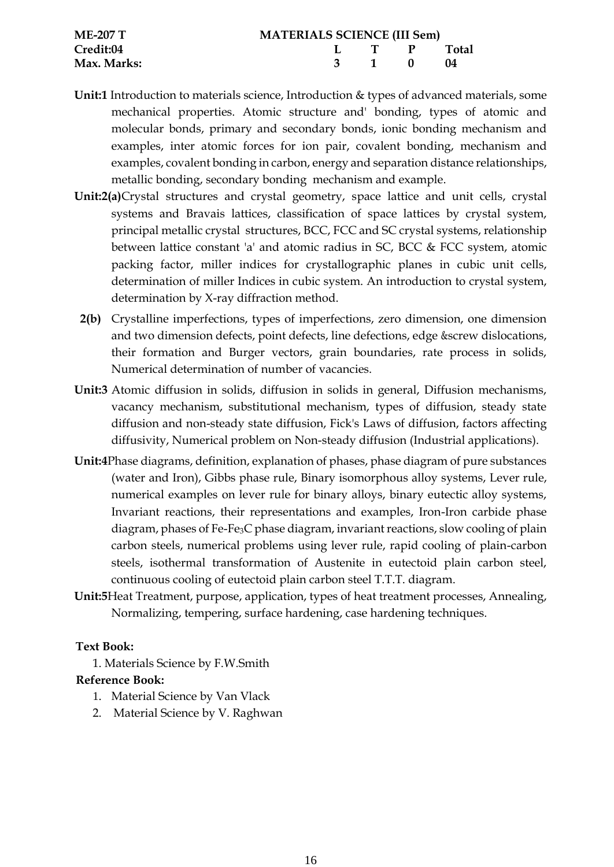| ME-207 T    | <b>MATERIALS SCIENCE (III Sem)</b> |       |  |                |  |  |  |
|-------------|------------------------------------|-------|--|----------------|--|--|--|
| Credit:04   |                                    |       |  | L T P Total    |  |  |  |
| Max. Marks: |                                    | 3 1 0 |  | $\blacksquare$ |  |  |  |

- **Unit:1** Introduction to materials science, Introduction & types of advanced materials, some mechanical properties. Atomic structure and' bonding, types of atomic and molecular bonds, primary and secondary bonds, ionic bonding mechanism and examples, inter atomic forces for ion pair, covalent bonding, mechanism and examples, covalent bonding in carbon, energy and separation distance relationships, metallic bonding, secondary bonding mechanism and example.
- **Unit:2(a)**Crystal structures and crystal geometry, space lattice and unit cells, crystal systems and Bravais lattices, classification of space lattices by crystal system, principal metallic crystal structures, BCC, FCC and SC crystal systems, relationship between lattice constant 'a' and atomic radius in SC, BCC & FCC system, atomic packing factor, miller indices for crystallographic planes in cubic unit cells, determination of miller Indices in cubic system. An introduction to crystal system, determination by X-ray diffraction method.
- **2(b)** Crystalline imperfections, types of imperfections, zero dimension, one dimension and two dimension defects, point defects, line defections, edge &screw dislocations, their formation and Burger vectors, grain boundaries, rate process in solids, Numerical determination of number of vacancies.
- **Unit:3** Atomic diffusion in solids, diffusion in solids in general, Diffusion mechanisms, vacancy mechanism, substitutional mechanism, types of diffusion, steady state diffusion and non-steady state diffusion, Fick's Laws of diffusion, factors affecting diffusivity, Numerical problem on Non-steady diffusion (Industrial applications).
- **Unit:4**Phase diagrams, definition, explanation of phases, phase diagram of pure substances (water and Iron), Gibbs phase rule, Binary isomorphous alloy systems, Lever rule, numerical examples on lever rule for binary alloys, binary eutectic alloy systems, Invariant reactions, their representations and examples, Iron-Iron carbide phase diagram, phases of Fe-Fe3C phase diagram, invariant reactions, slow cooling of plain carbon steels, numerical problems using lever rule, rapid cooling of plain-carbon steels, isothermal transformation of Austenite in eutectoid plain carbon steel, continuous cooling of eutectoid plain carbon steel T.T.T. diagram.
- **Unit:5**Heat Treatment, purpose, application, types of heat treatment processes, Annealing, Normalizing, tempering, surface hardening, case hardening techniques.

# **Text Book:**

1. Materials Science by F.W.Smith

# **Reference Book:**

- 1. Material Science by Van Vlack
- 2. Material Science by V. Raghwan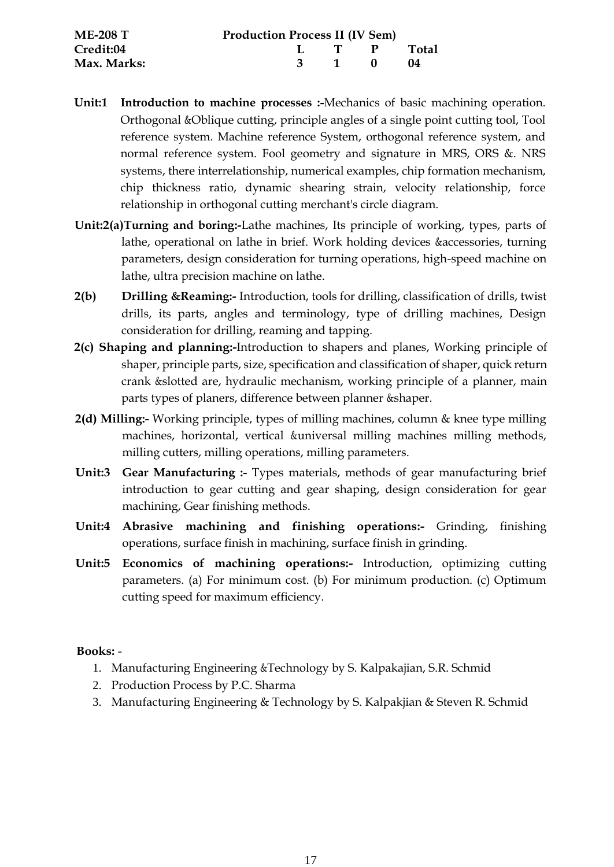| <b>ME-208 T</b>  | <b>Production Process II (IV Sem)</b> |       |             |     |
|------------------|---------------------------------------|-------|-------------|-----|
| <b>Credit:04</b> |                                       |       | L T P Total |     |
| Max. Marks:      |                                       | 3 1 0 |             | -04 |

- **Unit:1 Introduction to machine processes :-**Mechanics of basic machining operation. Orthogonal &Oblique cutting, principle angles of a single point cutting tool, Tool reference system. Machine reference System, orthogonal reference system, and normal reference system. Fool geometry and signature in MRS, ORS &. NRS systems, there interrelationship, numerical examples, chip formation mechanism, chip thickness ratio, dynamic shearing strain, velocity relationship, force relationship in orthogonal cutting merchant's circle diagram.
- **Unit:2(a)Turning and boring:-**Lathe machines, Its principle of working, types, parts of lathe, operational on lathe in brief. Work holding devices &accessories, turning parameters, design consideration for turning operations, high-speed machine on lathe, ultra precision machine on lathe.
- **2(b) Drilling &Reaming:-** Introduction, tools for drilling, classification of drills, twist drills, its parts, angles and terminology, type of drilling machines, Design consideration for drilling, reaming and tapping.
- **2(c) Shaping and planning:-**Introduction to shapers and planes, Working principle of shaper, principle parts, size, specification and classification of shaper, quick return crank &slotted are, hydraulic mechanism, working principle of a planner, main parts types of planers, difference between planner &shaper.
- **2(d) Milling:-** Working principle, types of milling machines, column & knee type milling machines, horizontal, vertical &universal milling machines milling methods, milling cutters, milling operations, milling parameters.
- **Unit:3 Gear Manufacturing :-** Types materials, methods of gear manufacturing brief introduction to gear cutting and gear shaping, design consideration for gear machining, Gear finishing methods.
- **Unit:4 Abrasive machining and finishing operations:-** Grinding, finishing operations, surface finish in machining, surface finish in grinding.
- **Unit:5 Economics of machining operations:-** Introduction, optimizing cutting parameters. (a) For minimum cost. (b) For minimum production. (c) Optimum cutting speed for maximum efficiency.

# **Books:** -

- 1. Manufacturing Engineering &Technology by S. Kalpakajian, S.R. Schmid
- 2. Production Process by P.C. Sharma
- 3. Manufacturing Engineering & Technology by S. Kalpakjian & Steven R. Schmid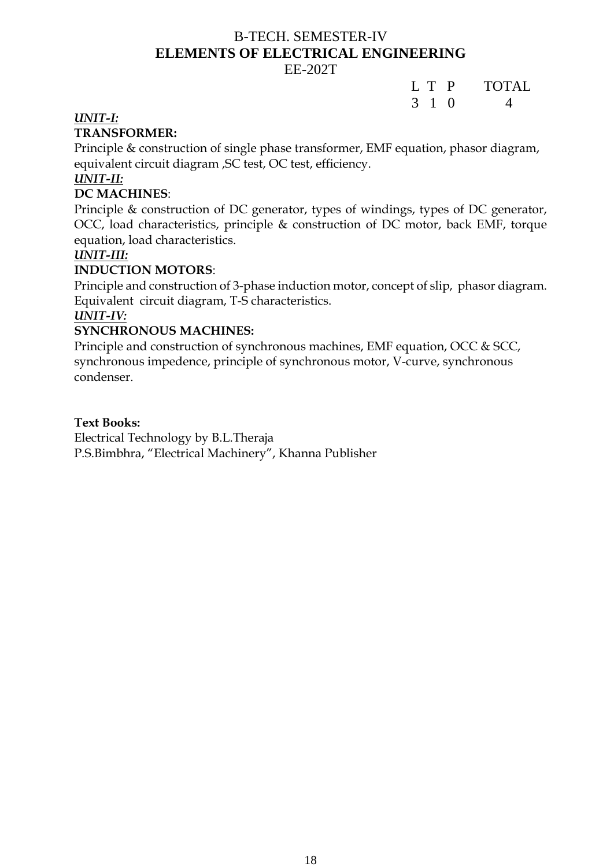# B-TECH. SEMESTER-IV **ELEMENTS OF ELECTRICAL ENGINEERING**

# EE-202T

# L T P TOTAL 3 1 0 4

# *UNIT-I:*

# **TRANSFORMER:**

Principle & construction of single phase transformer, EMF equation, phasor diagram, equivalent circuit diagram ,SC test, OC test, efficiency.

# *UNIT-II:*

# **DC MACHINES**:

Principle & construction of DC generator, types of windings, types of DC generator, OCC, load characteristics, principle & construction of DC motor, back EMF, torque equation, load characteristics.

# *UNIT-III:*

# **INDUCTION MOTORS**:

Principle and construction of 3-phase induction motor, concept of slip, phasor diagram. Equivalent circuit diagram, T-S characteristics.

# *UNIT-IV:*

# **SYNCHRONOUS MACHINES:**

Principle and construction of synchronous machines, EMF equation, OCC & SCC, synchronous impedence, principle of synchronous motor, V-curve, synchronous condenser.

# **Text Books:**

Electrical Technology by B.L.Theraja P.S.Bimbhra, "Electrical Machinery", Khanna Publisher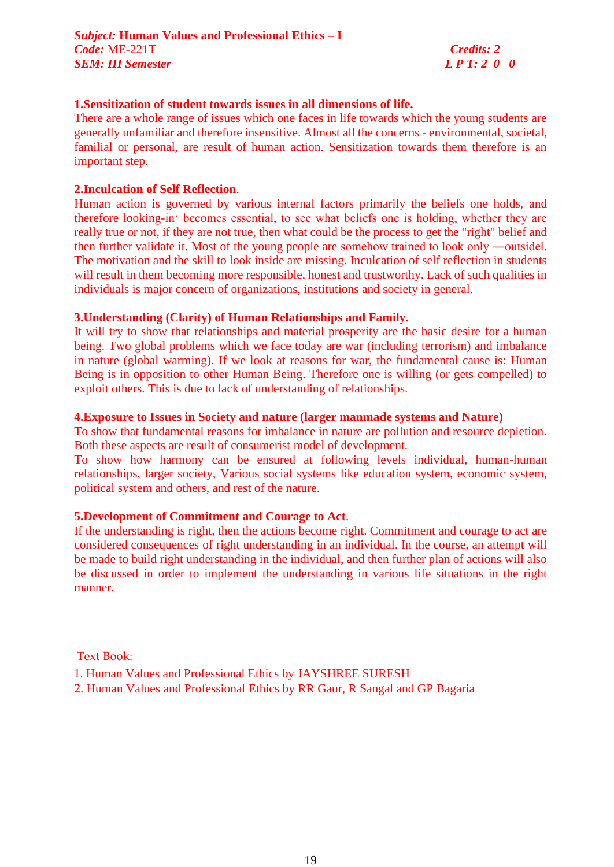#### **1.Sensitization of student towards issues in all dimensions of life.**

There are a whole range of issues which one faces in life towards which the young students are generally unfamiliar and therefore insensitive. Almost all the concerns - environmental, societal, familial or personal, are result of human action. Sensitization towards them therefore is an important step.

#### **2.Inculcation of Self Reflection**.

Human action is governed by various internal factors primarily the beliefs one holds, and therefore looking-in' becomes essential, to see what beliefs one is holding, whether they are really true or not, if they are not true, then what could be the process to get the "right" belief and then further validate it. Most of the young people are somehow trained to look only ―outside‖. The motivation and the skill to look inside are missing. Inculcation of self reflection in students will result in them becoming more responsible, honest and trustworthy. Lack of such qualities in individuals is major concern of organizations, institutions and society in general.

#### **3.Understanding (Clarity) of Human Relationships and Family.**

It will try to show that relationships and material prosperity are the basic desire for a human being. Two global problems which we face today are war (including terrorism) and imbalance in nature (global warming). If we look at reasons for war, the fundamental cause is: Human Being is in opposition to other Human Being. Therefore one is willing (or gets compelled) to exploit others. This is due to lack of understanding of relationships.

#### **4.Exposure to Issues in Society and nature (larger manmade systems and Nature)**

To show that fundamental reasons for imbalance in nature are pollution and resource depletion. Both these aspects are result of consumerist model of development.

To show how harmony can be ensured at following levels individual, human-human relationships, larger society, Various social systems like education system, economic system, political system and others, and rest of the nature.

#### **5.Development of Commitment and Courage to Act**.

If the understanding is right, then the actions become right. Commitment and courage to act are considered consequences of right understanding in an individual. In the course, an attempt will be made to build right understanding in the individual, and then further plan of actions will also be discussed in order to implement the understanding in various life situations in the right manner.

Text Book:

- 1. Human Values and Professional Ethics by JAYSHREE SURESH
- 2. Human Values and Professional Ethics by RR Gaur, R Sangal and GP Bagaria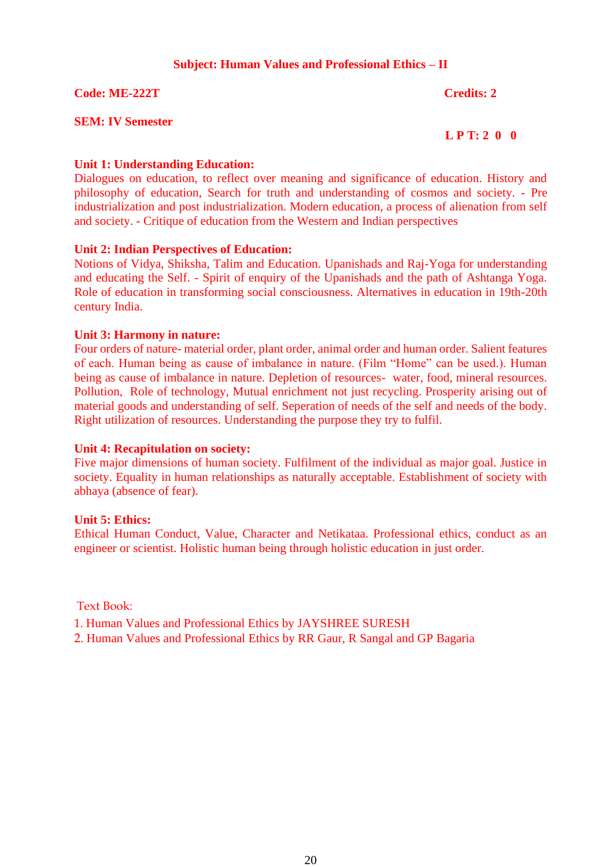### **Subject: Human Values and Professional Ethics – II**

**Code: ME-222T** Credits: 2

#### **SEM: IV Semester**

#### **L P T: 2 0 0**

#### **Unit 1: Understanding Education:**

Dialogues on education, to reflect over meaning and significance of education. History and philosophy of education, Search for truth and understanding of cosmos and society. - Pre industrialization and post industrialization. Modern education, a process of alienation from self and society. - Critique of education from the Western and Indian perspectives

#### **Unit 2: Indian Perspectives of Education:**

Notions of Vidya, Shiksha, Talim and Education. Upanishads and Raj-Yoga for understanding and educating the Self. - Spirit of enquiry of the Upanishads and the path of Ashtanga Yoga. Role of education in transforming social consciousness. Alternatives in education in 19th-20th century India.

#### **Unit 3: Harmony in nature:**

Four orders of nature- material order, plant order, animal order and human order. Salient features of each. Human being as cause of imbalance in nature. (Film "Home" can be used.). Human being as cause of imbalance in nature. Depletion of resources- water, food, mineral resources. Pollution, Role of technology, Mutual enrichment not just recycling. Prosperity arising out of material goods and understanding of self. Seperation of needs of the self and needs of the body. Right utilization of resources. Understanding the purpose they try to fulfil.

#### **Unit 4: Recapitulation on society:**

Five major dimensions of human society. Fulfilment of the individual as major goal. Justice in society. Equality in human relationships as naturally acceptable. Establishment of society with abhaya (absence of fear).

#### **Unit 5: Ethics:**

Ethical Human Conduct, Value, Character and Netikataa. Professional ethics, conduct as an engineer or scientist. Holistic human being through holistic education in just order.

Text Book:

1. Human Values and Professional Ethics by JAYSHREE SURESH

2. Human Values and Professional Ethics by RR Gaur, R Sangal and GP Bagaria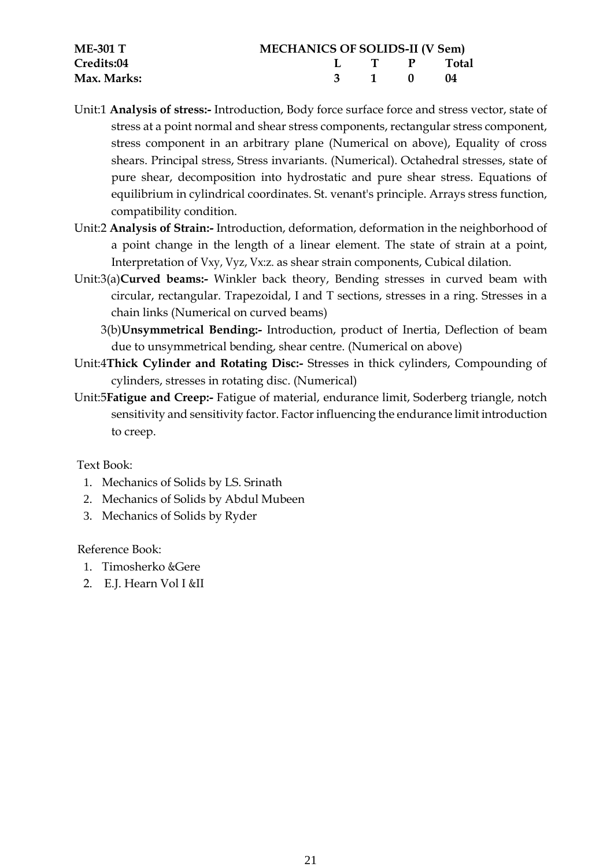| <b>ME-301 T</b> | <b>MECHANICS OF SOLIDS-II (V Sem)</b> |  |          |             |  |
|-----------------|---------------------------------------|--|----------|-------------|--|
| Credits:04      |                                       |  |          | L T P Total |  |
| Max. Marks:     |                                       |  | 3 1 0 04 |             |  |

- Unit:1 **Analysis of stress:-** Introduction, Body force surface force and stress vector, state of stress at a point normal and shear stress components, rectangular stress component, stress component in an arbitrary plane (Numerical on above), Equality of cross shears. Principal stress, Stress invariants. (Numerical). Octahedral stresses, state of pure shear, decomposition into hydrostatic and pure shear stress. Equations of equilibrium in cylindrical coordinates. St. venant's principle. Arrays stress function, compatibility condition.
- Unit:2 **Analysis of Strain:-** Introduction, deformation, deformation in the neighborhood of a point change in the length of a linear element. The state of strain at a point, Interpretation of Vxy, Vyz, Vx:z. as shear strain components, Cubical dilation.
- Unit:3(a)**Curved beams:-** Winkler back theory, Bending stresses in curved beam with circular, rectangular. Trapezoidal, I and T sections, stresses in a ring. Stresses in a chain links (Numerical on curved beams)
	- 3(b)**Unsymmetrical Bending:-** Introduction, product of Inertia, Deflection of beam due to unsymmetrical bending, shear centre. (Numerical on above)
- Unit:4**Thick Cylinder and Rotating Disc:-** Stresses in thick cylinders, Compounding of cylinders, stresses in rotating disc. (Numerical)
- Unit:5**Fatigue and Creep:-** Fatigue of material, endurance limit, Soderberg triangle, notch sensitivity and sensitivity factor. Factor influencing the endurance limit introduction to creep.

# Text Book:

- 1. Mechanics of Solids by LS. Srinath
- 2. Mechanics of Solids by Abdul Mubeen
- 3. Mechanics of Solids by Ryder

# Reference Book:

- 1. Timosherko &Gere
- 2. E.J. Hearn Vol I &II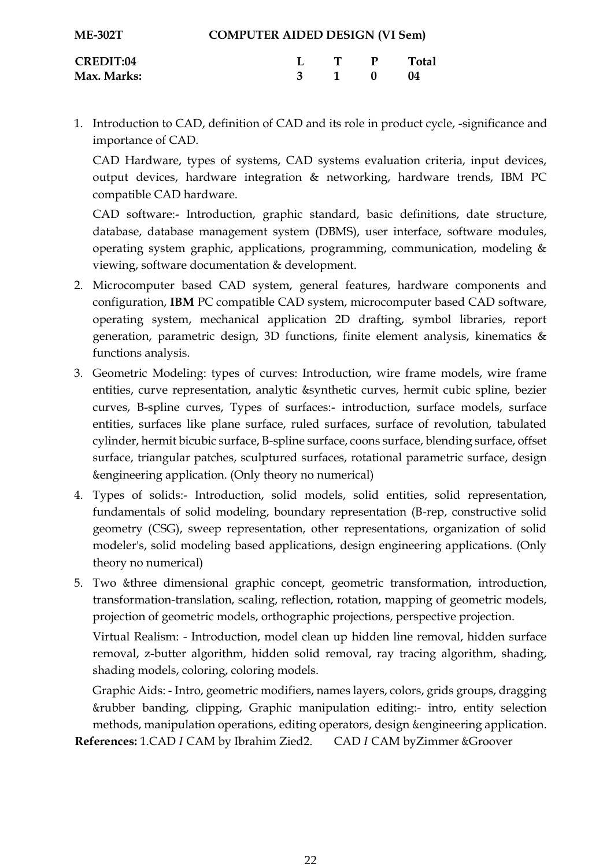| <b>ME-302T</b>   | <b>COMPUTER AIDED DESIGN (VI Sem)</b> |                             |  |              |  |  |  |
|------------------|---------------------------------------|-----------------------------|--|--------------|--|--|--|
| <b>CREDIT:04</b> |                                       | $\mathbf{T}$ , $\mathbf{P}$ |  | <b>Total</b> |  |  |  |
| Max. Marks:      |                                       | 3 1 0                       |  | $^{14}$      |  |  |  |

1. Introduction to CAD, definition of CAD and its role in product cycle, -significance and importance of CAD.

CAD Hardware, types of systems, CAD systems evaluation criteria, input devices, output devices, hardware integration & networking, hardware trends, IBM PC compatible CAD hardware.

CAD software:- Introduction, graphic standard, basic definitions, date structure, database, database management system (DBMS), user interface, software modules, operating system graphic, applications, programming, communication, modeling & viewing, software documentation & development.

- 2. Microcomputer based CAD system, general features, hardware components and configuration, **IBM** PC compatible CAD system, microcomputer based CAD software, operating system, mechanical application 2D drafting, symbol libraries, report generation, parametric design, 3D functions, finite element analysis, kinematics & functions analysis.
- 3. Geometric Modeling: types of curves: Introduction, wire frame models, wire frame entities, curve representation, analytic &synthetic curves, hermit cubic spline, bezier curves, B-spline curves, Types of surfaces:- introduction, surface models, surface entities, surfaces like plane surface, ruled surfaces, surface of revolution, tabulated cylinder, hermit bicubic surface, B-spline surface, coons surface, blending surface, offset surface, triangular patches, sculptured surfaces, rotational parametric surface, design &engineering application. (Only theory no numerical)
- 4. Types of solids:- Introduction, solid models, solid entities, solid representation, fundamentals of solid modeling, boundary representation (B-rep, constructive solid geometry (CSG), sweep representation, other representations, organization of solid modeler's, solid modeling based applications, design engineering applications. (Only theory no numerical)
- 5. Two &three dimensional graphic concept, geometric transformation, introduction, transformation-translation, scaling, reflection, rotation, mapping of geometric models, projection of geometric models, orthographic projections, perspective projection.

Virtual Realism: - Introduction, model clean up hidden line removal, hidden surface removal, z-butter algorithm, hidden solid removal, ray tracing algorithm, shading, shading models, coloring, coloring models.

Graphic Aids: - Intro, geometric modifiers, names layers, colors, grids groups, dragging &rubber banding, clipping, Graphic manipulation editing:- intro, entity selection methods, manipulation operations, editing operators, design &engineering application.

**References:** 1.CAD *I* CAM by Ibrahim Zied2. CAD *I* CAM byZimmer &Groover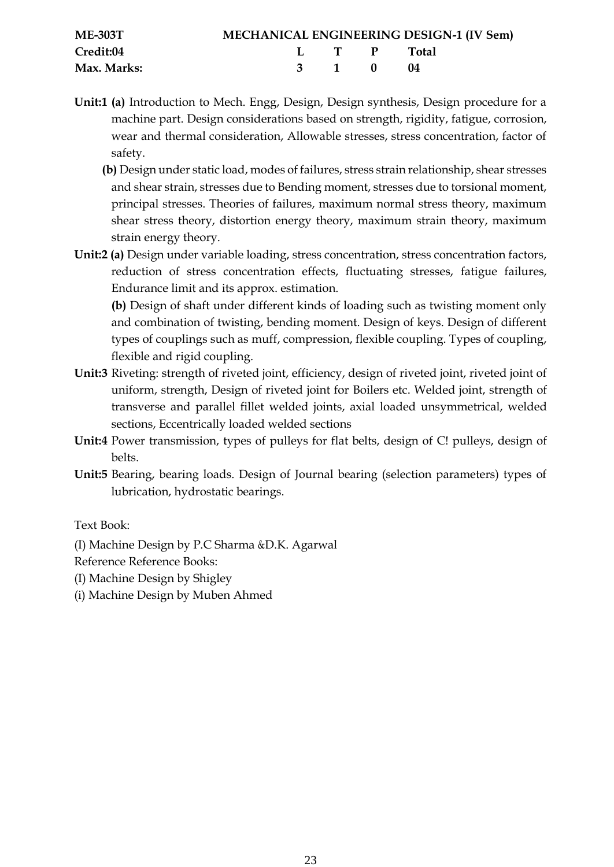| <b>ME-303T</b> |  |             | <b>MECHANICAL ENGINEERING DESIGN-1 (IV Sem)</b> |
|----------------|--|-------------|-------------------------------------------------|
| Credit:04      |  | L T P Total |                                                 |
| Max. Marks:    |  | 3 1 0 04    |                                                 |

- **Unit:1 (a)** Introduction to Mech. Engg, Design, Design synthesis, Design procedure for a machine part. Design considerations based on strength, rigidity, fatigue, corrosion, wear and thermal consideration, Allowable stresses, stress concentration, factor of safety.
	- **(b)** Design under static load, modes of failures, stress strain relationship, shear stresses and shear strain, stresses due to Bending moment, stresses due to torsional moment, principal stresses. Theories of failures, maximum normal stress theory, maximum shear stress theory, distortion energy theory, maximum strain theory, maximum strain energy theory.
- **Unit:2 (a)** Design under variable loading, stress concentration, stress concentration factors, reduction of stress concentration effects, fluctuating stresses, fatigue failures, Endurance limit and its approx. estimation.

**(b)** Design of shaft under different kinds of loading such as twisting moment only and combination of twisting, bending moment. Design of keys. Design of different types of couplings such as muff, compression, flexible coupling. Types of coupling, flexible and rigid coupling.

- **Unit:3** Riveting: strength of riveted joint, efficiency, design of riveted joint, riveted joint of uniform, strength, Design of riveted joint for Boilers etc. Welded joint, strength of transverse and parallel fillet welded joints, axial loaded unsymmetrical, welded sections, Eccentrically loaded welded sections
- **Unit:4** Power transmission, types of pulleys for flat belts, design of C! pulleys, design of belts.
- **Unit:5** Bearing, bearing loads. Design of Journal bearing (selection parameters) types of lubrication, hydrostatic bearings.

Text Book:

(I) Machine Design by P.C Sharma &D.K. Agarwal

Reference Reference Books:

- (I) Machine Design by Shigley
- (i) Machine Design by Muben Ahmed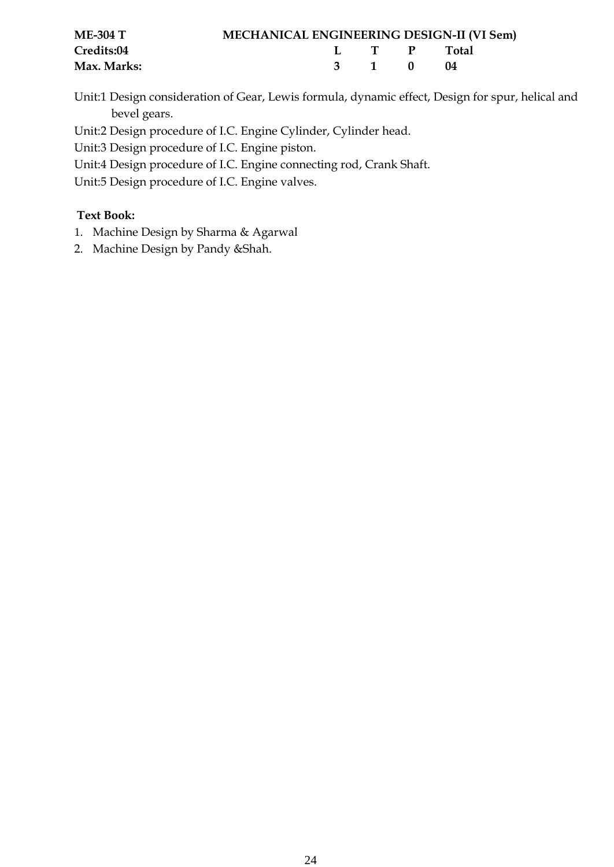| <b>ME-304 T</b> | <b>MECHANICAL ENGINEERING DESIGN-II (VI Sem)</b> |       |             |                |
|-----------------|--------------------------------------------------|-------|-------------|----------------|
| Credits:04      |                                                  |       | L I P Fotal |                |
| Max. Marks:     |                                                  | 3 1 0 |             | $\blacksquare$ |

Unit:1 Design consideration of Gear, Lewis formula, dynamic effect, Design for spur, helical and bevel gears.

Unit:2 Design procedure of I.C. Engine Cylinder, Cylinder head.

Unit:3 Design procedure of I.C. Engine piston.

Unit:4 Design procedure of I.C. Engine connecting rod, Crank Shaft.

Unit:5 Design procedure of I.C. Engine valves.

# **Text Book:**

- 1. Machine Design by Sharma & Agarwal
- 2. Machine Design by Pandy &Shah.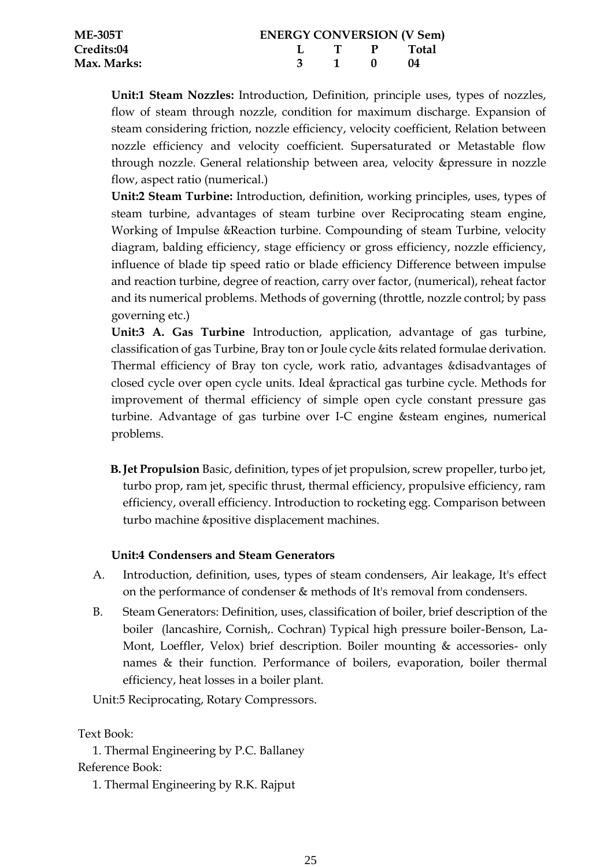| <b>ME-305T</b> | <b>ENERGY CONVERSION (V Sem)</b> |       |                             |         |  |  |  |
|----------------|----------------------------------|-------|-----------------------------|---------|--|--|--|
| Credits:04     |                                  |       | $\mathbf{L}$ T $\mathbf{P}$ | - Total |  |  |  |
| Max. Marks:    |                                  | 3 1 0 |                             | - 04    |  |  |  |

**Unit:1 Steam Nozzles:** Introduction, Definition, principle uses, types of nozzles, flow of steam through nozzle, condition for maximum discharge. Expansion of steam considering friction, nozzle efficiency, velocity coefficient, Relation between nozzle efficiency and velocity coefficient. Supersaturated or Metastable flow through nozzle. General relationship between area, velocity &pressure in nozzle flow, aspect ratio (numerical.)

**Unit:2 Steam Turbine:** Introduction, definition, working principles, uses, types of steam turbine, advantages of steam turbine over Reciprocating steam engine, Working of Impulse &Reaction turbine. Compounding of steam Turbine, velocity diagram, balding efficiency, stage efficiency or gross efficiency, nozzle efficiency, influence of blade tip speed ratio or blade efficiency Difference between impulse and reaction turbine, degree of reaction, carry over factor, (numerical), reheat factor and its numerical problems. Methods of governing (throttle, nozzle control; by pass governing etc.)

**Unit:3 A. Gas Turbine** Introduction, application, advantage of gas turbine, classification of gas Turbine, Bray ton or Joule cycle &its related formulae derivation. Thermal efficiency of Bray ton cycle, work ratio, advantages &disadvantages of closed cycle over open cycle units. Ideal &practical gas turbine cycle. Methods for improvement of thermal efficiency of simple open cycle constant pressure gas turbine. Advantage of gas turbine over I-C engine &steam engines, numerical problems.

**B.Jet Propulsion** Basic, definition, types of jet propulsion, screw propeller, turbo jet, turbo prop, ram jet, specific thrust, thermal efficiency, propulsive efficiency, ram efficiency, overall efficiency. Introduction to rocketing egg. Comparison between turbo machine &positive displacement machines.

# **Unit:4 Condensers and Steam Generators**

- A. Introduction, definition, uses, types of steam condensers, Air leakage, It's effect on the performance of condenser & methods of It's removal from condensers.
- B. Steam Generators: Definition, uses, classification of boiler, brief description of the boiler (lancashire, Cornish,. Cochran) Typical high pressure boiler-Benson, La-Mont, Loeffler, Velox) brief description. Boiler mounting & accessories- only names & their function. Performance of boilers, evaporation, boiler thermal efficiency, heat losses in a boiler plant.

Unit:5 Reciprocating, Rotary Compressors.

# Text Book:

1. Thermal Engineering by P.C. Ballaney Reference Book:

1. Thermal Engineering by R.K. Rajput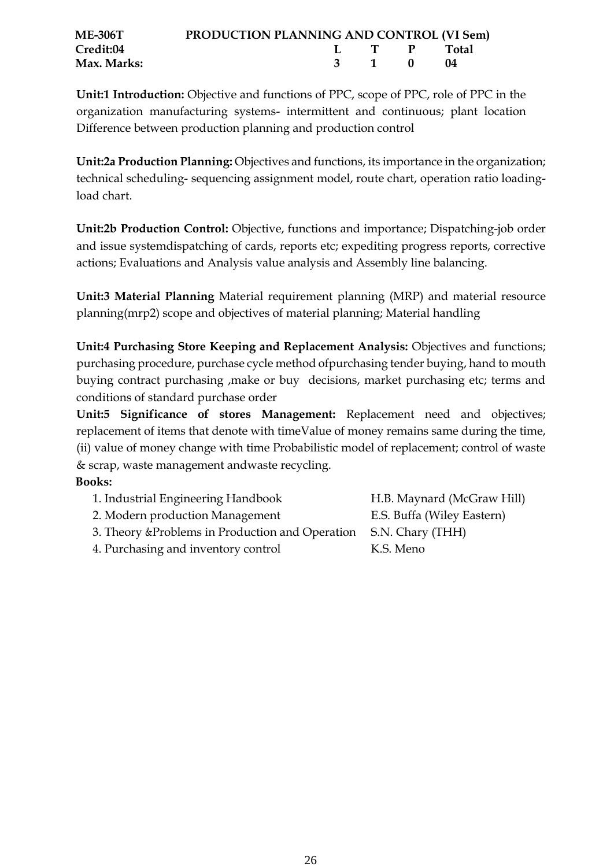| <b>ME-306T</b> | <b>PRODUCTION PLANNING AND CONTROL (VI Sem)</b> |             |      |  |
|----------------|-------------------------------------------------|-------------|------|--|
| Credit:04      |                                                 | L T P Total |      |  |
| Max. Marks:    |                                                 | 3 1 0       | (14) |  |

**Unit:1 Introduction:** Objective and functions of PPC, scope of PPC, role of PPC in the organization manufacturing systems- intermittent and continuous; plant location Difference between production planning and production control

**Unit:2a Production Planning:** Objectives and functions, its importance in the organization; technical scheduling- sequencing assignment model, route chart, operation ratio loadingload chart.

**Unit:2b Production Control:** Objective, functions and importance; Dispatching-job order and issue systemdispatching of cards, reports etc; expediting progress reports, corrective actions; Evaluations and Analysis value analysis and Assembly line balancing.

**Unit:3 Material Planning** Material requirement planning (MRP) and material resource planning(mrp2) scope and objectives of material planning; Material handling

**Unit:4 Purchasing Store Keeping and Replacement Analysis:** Objectives and functions; purchasing procedure, purchase cycle method ofpurchasing tender buying, hand to mouth buying contract purchasing ,make or buy decisions, market purchasing etc; terms and conditions of standard purchase order

**Unit:5 Significance of stores Management:** Replacement need and objectives; replacement of items that denote with timeValue of money remains same during the time, (ii) value of money change with time Probabilistic model of replacement; control of waste & scrap, waste management andwaste recycling.

# **Books:**

| 1. Industrial Engineering Handbook                                | H.B. Maynard (McGraw Hill) |
|-------------------------------------------------------------------|----------------------------|
| 2. Modern production Management                                   | E.S. Buffa (Wiley Eastern) |
| 3. Theory & Problems in Production and Operation S.N. Chary (THH) |                            |
| 4. Purchasing and inventory control                               | K.S. Meno                  |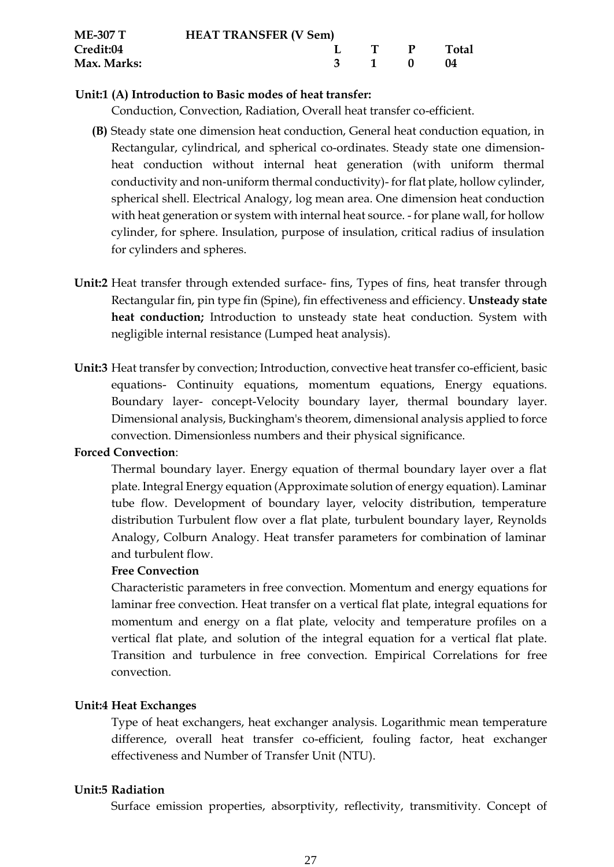| <b>ME-307 T</b> | <b>HEAT TRANSFER (V Sem)</b> |  |                                  |  |              |
|-----------------|------------------------------|--|----------------------------------|--|--------------|
| Credit:04       |                              |  | $\mathbf{L}$ is the $\mathbf{P}$ |  | <b>Total</b> |
| Max. Marks:     |                              |  | 3 1 0                            |  | - 04         |

#### **Unit:1 (A) Introduction to Basic modes of heat transfer:**

Conduction, Convection, Radiation, Overall heat transfer co-efficient.

- **(B)** Steady state one dimension heat conduction, General heat conduction equation, in Rectangular, cylindrical, and spherical co-ordinates. Steady state one dimensionheat conduction without internal heat generation (with uniform thermal conductivity and non-uniform thermal conductivity)- for flat plate, hollow cylinder, spherical shell. Electrical Analogy, log mean area. One dimension heat conduction with heat generation or system with internal heat source. - for plane wall, for hollow cylinder, for sphere. Insulation, purpose of insulation, critical radius of insulation for cylinders and spheres.
- **Unit:2** Heat transfer through extended surface- fins, Types of fins, heat transfer through Rectangular fin, pin type fin (Spine), fin effectiveness and efficiency. **Unsteady state heat conduction;** Introduction to unsteady state heat conduction. System with negligible internal resistance (Lumped heat analysis).
- **Unit:3** Heat transfer by convection; Introduction, convective heat transfer co-efficient, basic equations- Continuity equations, momentum equations, Energy equations. Boundary layer- concept-Velocity boundary layer, thermal boundary layer. Dimensional analysis, Buckingham's theorem, dimensional analysis applied to force convection. Dimensionless numbers and their physical significance.

#### **Forced Convection**:

Thermal boundary layer. Energy equation of thermal boundary layer over a flat plate. Integral Energy equation (Approximate solution of energy equation). Laminar tube flow. Development of boundary layer, velocity distribution, temperature distribution Turbulent flow over a flat plate, turbulent boundary layer, Reynolds Analogy, Colburn Analogy. Heat transfer parameters for combination of laminar and turbulent flow.

#### **Free Convection**

Characteristic parameters in free convection. Momentum and energy equations for laminar free convection. Heat transfer on a vertical flat plate, integral equations for momentum and energy on a flat plate, velocity and temperature profiles on a vertical flat plate, and solution of the integral equation for a vertical flat plate. Transition and turbulence in free convection. Empirical Correlations for free convection.

#### **Unit:4 Heat Exchanges**

Type of heat exchangers, heat exchanger analysis. Logarithmic mean temperature difference, overall heat transfer co-efficient, fouling factor, heat exchanger effectiveness and Number of Transfer Unit (NTU).

# **Unit:5 Radiation**

Surface emission properties, absorptivity, reflectivity, transmitivity. Concept of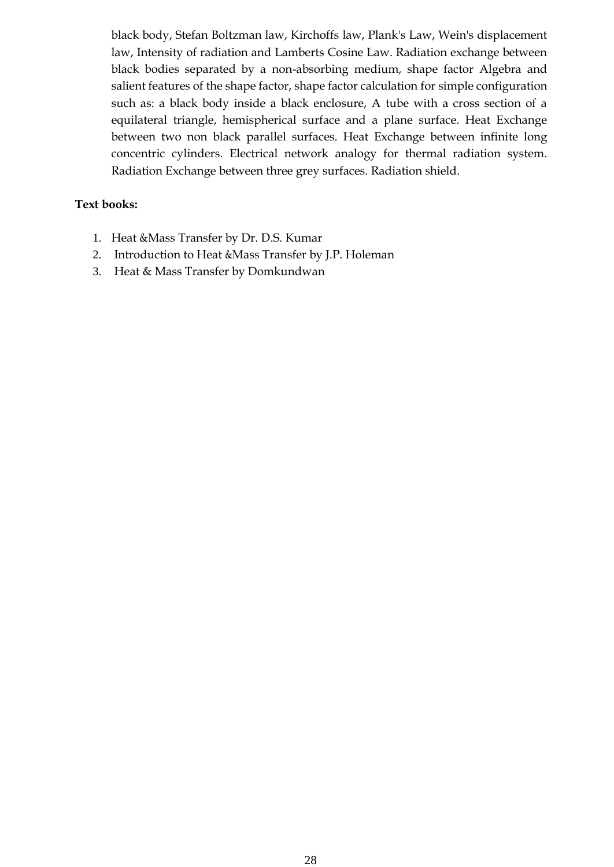black body, Stefan Boltzman law, Kirchoffs law, Plank's Law, Wein's displacement law, Intensity of radiation and Lamberts Cosine Law. Radiation exchange between black bodies separated by a non-absorbing medium, shape factor Algebra and salient features of the shape factor, shape factor calculation for simple configuration such as: a black body inside a black enclosure, A tube with a cross section of a equilateral triangle, hemispherical surface and a plane surface. Heat Exchange between two non black parallel surfaces. Heat Exchange between infinite long concentric cylinders. Electrical network analogy for thermal radiation system. Radiation Exchange between three grey surfaces. Radiation shield.

## **Text books:**

- 1. Heat &Mass Transfer by Dr. D.S. Kumar
- 2. Introduction to Heat &Mass Transfer by J.P. Holeman
- 3. Heat & Mass Transfer by Domkundwan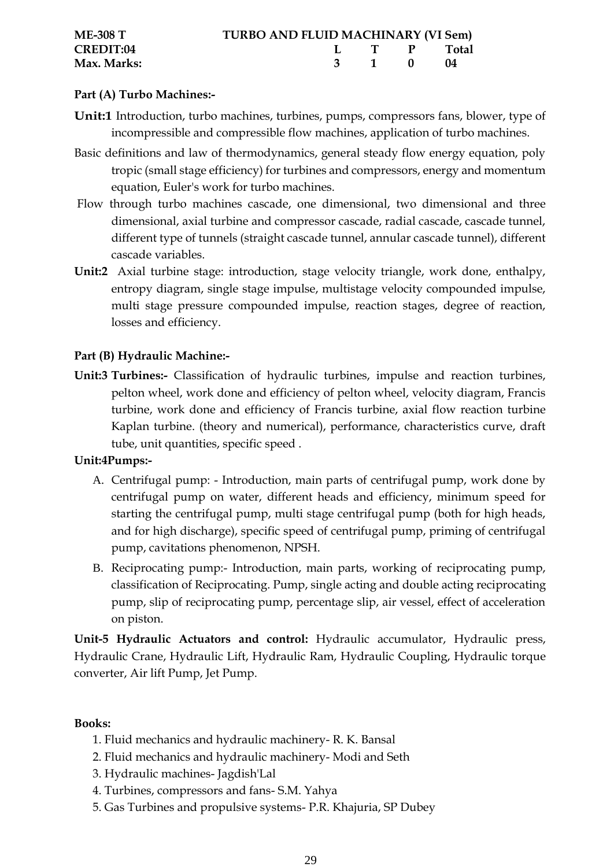| <b>ME-308 T</b>  | <b>TURBO AND FLUID MACHINARY (VI Sem)</b> |  |             |  |
|------------------|-------------------------------------------|--|-------------|--|
| <b>CREDIT:04</b> |                                           |  | I T P Total |  |
| Max. Marks:      |                                           |  | 3 1 0 04    |  |

# **Part (A) Turbo Machines:-**

- **Unit:1** Introduction, turbo machines, turbines, pumps, compressors fans, blower, type of incompressible and compressible flow machines, application of turbo machines.
- Basic definitions and law of thermodynamics, general steady flow energy equation, poly tropic (small stage efficiency) for turbines and compressors, energy and momentum equation, Euler's work for turbo machines.
- Flow through turbo machines cascade, one dimensional, two dimensional and three dimensional, axial turbine and compressor cascade, radial cascade, cascade tunnel, different type of tunnels (straight cascade tunnel, annular cascade tunnel), different cascade variables.
- **Unit:2** Axial turbine stage: introduction, stage velocity triangle, work done, enthalpy, entropy diagram, single stage impulse, multistage velocity compounded impulse, multi stage pressure compounded impulse, reaction stages, degree of reaction, losses and efficiency.

# **Part (B) Hydraulic Machine:-**

**Unit:3 Turbines:-** Classification of hydraulic turbines, impulse and reaction turbines, pelton wheel, work done and efficiency of pelton wheel, velocity diagram, Francis turbine, work done and efficiency of Francis turbine, axial flow reaction turbine Kaplan turbine. (theory and numerical), performance, characteristics curve, draft tube, unit quantities, specific speed .

# **Unit:4Pumps:-**

- A. Centrifugal pump: Introduction, main parts of centrifugal pump, work done by centrifugal pump on water, different heads and efficiency, minimum speed for starting the centrifugal pump, multi stage centrifugal pump (both for high heads, and for high discharge), specific speed of centrifugal pump, priming of centrifugal pump, cavitations phenomenon, NPSH.
- B. Reciprocating pump:- Introduction, main parts, working of reciprocating pump, classification of Reciprocating. Pump, single acting and double acting reciprocating pump, slip of reciprocating pump, percentage slip, air vessel, effect of acceleration on piston.

**Unit-5 Hydraulic Actuators and control:** Hydraulic accumulator, Hydraulic press, Hydraulic Crane, Hydraulic Lift, Hydraulic Ram, Hydraulic Coupling, Hydraulic torque converter, Air lift Pump, Jet Pump.

# **Books:**

- 1. Fluid mechanics and hydraulic machinery- R. K. Bansal
- 2. Fluid mechanics and hydraulic machinery- Modi and Seth
- 3. Hydraulic machines- Jagdish'Lal
- 4. Turbines, compressors and fans- S.M. Yahya
- 5. Gas Turbines and propulsive systems- P.R. Khajuria, SP Dubey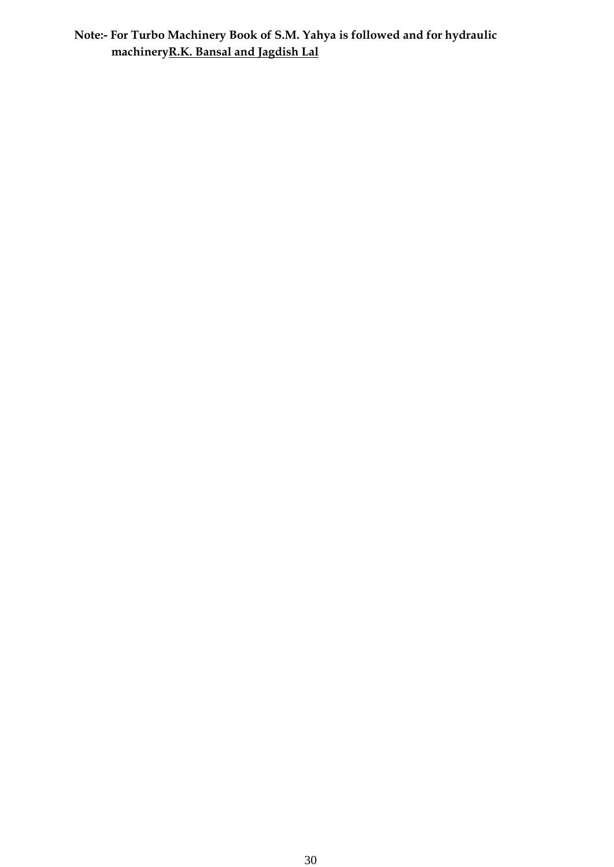**Note:- For Turbo Machinery Book of S.M. Yahya is followed and for hydraulic machineryR.K. Bansal and Jagdish Lal**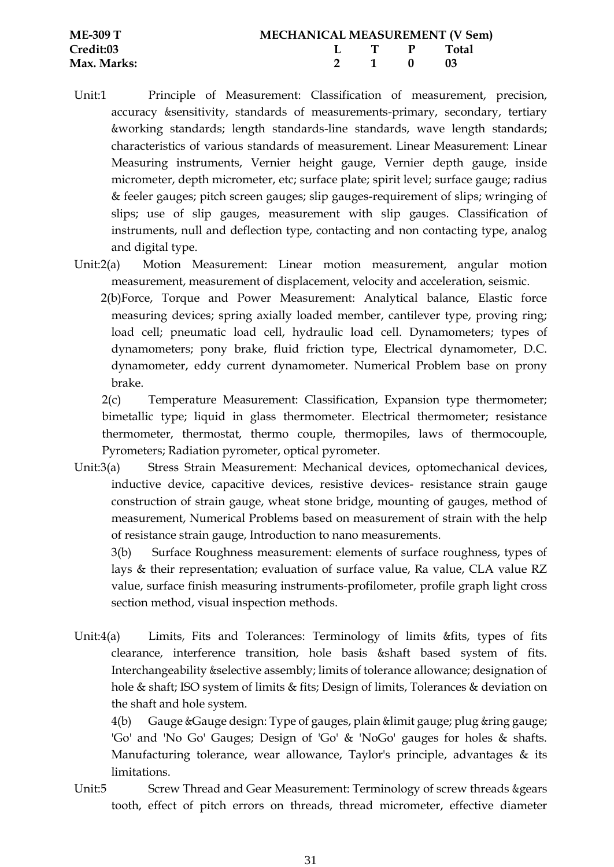| <b>ME-309 T</b>  | <b>MECHANICAL MEASUREMENT (V Sem)</b> |  |  |             |  |  |
|------------------|---------------------------------------|--|--|-------------|--|--|
| <b>Credit:03</b> |                                       |  |  | L T P Total |  |  |
| Max. Marks:      |                                       |  |  | 2 1 0 03    |  |  |

- Unit:1 Principle of Measurement: Classification of measurement, precision, accuracy &sensitivity, standards of measurements-primary, secondary, tertiary &working standards; length standards-line standards, wave length standards; characteristics of various standards of measurement. Linear Measurement: Linear Measuring instruments, Vernier height gauge, Vernier depth gauge, inside micrometer, depth micrometer, etc; surface plate; spirit level; surface gauge; radius & feeler gauges; pitch screen gauges; slip gauges-requirement of slips; wringing of slips; use of slip gauges, measurement with slip gauges. Classification of instruments, null and deflection type, contacting and non contacting type, analog and digital type.
- Unit:2(a) Motion Measurement: Linear motion measurement, angular motion measurement, measurement of displacement, velocity and acceleration, seismic.
	- 2(b)Force, Torque and Power Measurement: Analytical balance, Elastic force measuring devices; spring axially loaded member, cantilever type, proving ring; load cell; pneumatic load cell, hydraulic load cell. Dynamometers; types of dynamometers; pony brake, fluid friction type, Electrical dynamometer, D.C. dynamometer, eddy current dynamometer. Numerical Problem base on prony brake.

2(c) Temperature Measurement: Classification, Expansion type thermometer; bimetallic type; liquid in glass thermometer. Electrical thermometer; resistance thermometer, thermostat, thermo couple, thermopiles, laws of thermocouple, Pyrometers; Radiation pyrometer, optical pyrometer.

Unit:3(a) Stress Strain Measurement: Mechanical devices, optomechanical devices, inductive device, capacitive devices, resistive devices- resistance strain gauge construction of strain gauge, wheat stone bridge, mounting of gauges, method of measurement, Numerical Problems based on measurement of strain with the help of resistance strain gauge, Introduction to nano measurements.

3(b) Surface Roughness measurement: elements of surface roughness, types of lays & their representation; evaluation of surface value, Ra value, CLA value RZ value, surface finish measuring instruments-profilometer, profile graph light cross section method, visual inspection methods.

Unit:4(a) Limits, Fits and Tolerances: Terminology of limits &fits, types of fits clearance, interference transition, hole basis &shaft based system of fits. Interchangeability &selective assembly; limits of tolerance allowance; designation of hole & shaft; ISO system of limits & fits; Design of limits, Tolerances & deviation on the shaft and hole system.

4(b) Gauge &Gauge design: Type of gauges, plain &limit gauge; plug &ring gauge; 'Go' and 'No Go' Gauges; Design of 'Go' & 'NoGo' gauges for holes & shafts. Manufacturing tolerance, wear allowance, Taylor's principle, advantages & its limitations.

Unit:5 Screw Thread and Gear Measurement: Terminology of screw threads & gears tooth, effect of pitch errors on threads, thread micrometer, effective diameter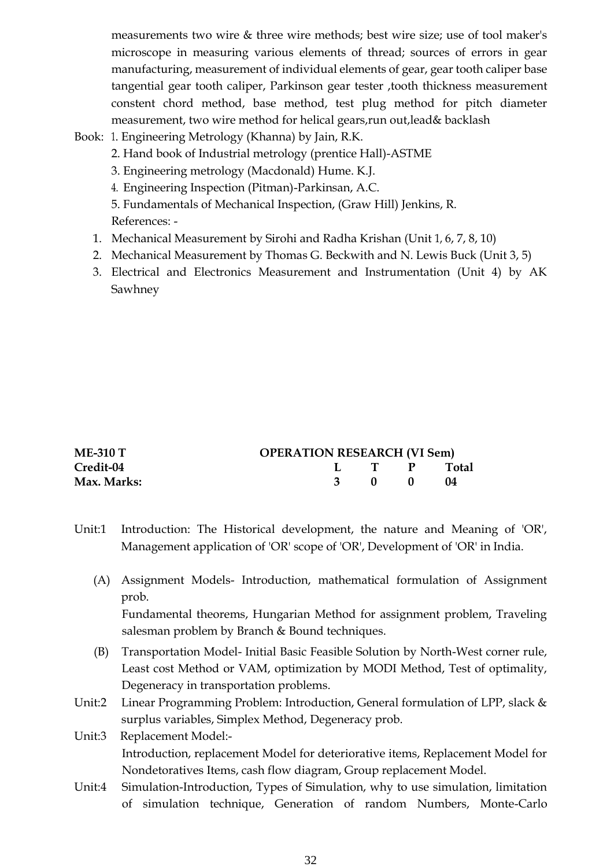measurements two wire & three wire methods; best wire size; use of tool maker's microscope in measuring various elements of thread; sources of errors in gear manufacturing, measurement of individual elements of gear, gear tooth caliper base tangential gear tooth caliper, Parkinson gear tester ,tooth thickness measurement constent chord method, base method, test plug method for pitch diameter measurement, two wire method for helical gears,run out,lead& backlash

- Book: 1. Engineering Metrology (Khanna) by Jain, R.K.
	- 2. Hand book of Industrial metrology (prentice Hall)-ASTME
	- 3. Engineering metrology (Macdonald) Hume. K.J.
	- 4. Engineering Inspection (Pitman)-Parkinsan, A.C.

5. Fundamentals of Mechanical Inspection, (Graw Hill) Jenkins, R. References: -

- 1. Mechanical Measurement by Sirohi and Radha Krishan (Unit 1, 6, 7, 8, 10)
- 2. Mechanical Measurement by Thomas G. Beckwith and N. Lewis Buck (Unit 3, 5)
- 3. Electrical and Electronics Measurement and Instrumentation (Unit 4) by AK Sawhney

| <b>ME-310 T</b> | <b>OPERATION RESEARCH (VI Sem)</b> |       |             |
|-----------------|------------------------------------|-------|-------------|
| Credit-04       |                                    |       | L T P Total |
| Max. Marks:     |                                    | 3 0 0 | - 04        |

- Unit:1 Introduction: The Historical development, the nature and Meaning of 'OR', Management application of 'OR' scope of 'OR', Development of 'OR' in India.
	- (A) Assignment Models- Introduction, mathematical formulation of Assignment prob. Fundamental theorems, Hungarian Method for assignment problem, Traveling

salesman problem by Branch & Bound techniques.

- (B) Transportation Model- Initial Basic Feasible Solution by North-West corner rule, Least cost Method or VAM, optimization by MODI Method, Test of optimality, Degeneracy in transportation problems.
- Unit:2 Linear Programming Problem: Introduction, General formulation of LPP, slack & surplus variables, Simplex Method, Degeneracy prob.
- Unit:3 Replacement Model:- Introduction, replacement Model for deteriorative items, Replacement Model for Nondetoratives Items, cash flow diagram, Group replacement Model.
- Unit:4 Simulation-Introduction, Types of Simulation, why to use simulation, limitation of simulation technique, Generation of random Numbers, Monte-Carlo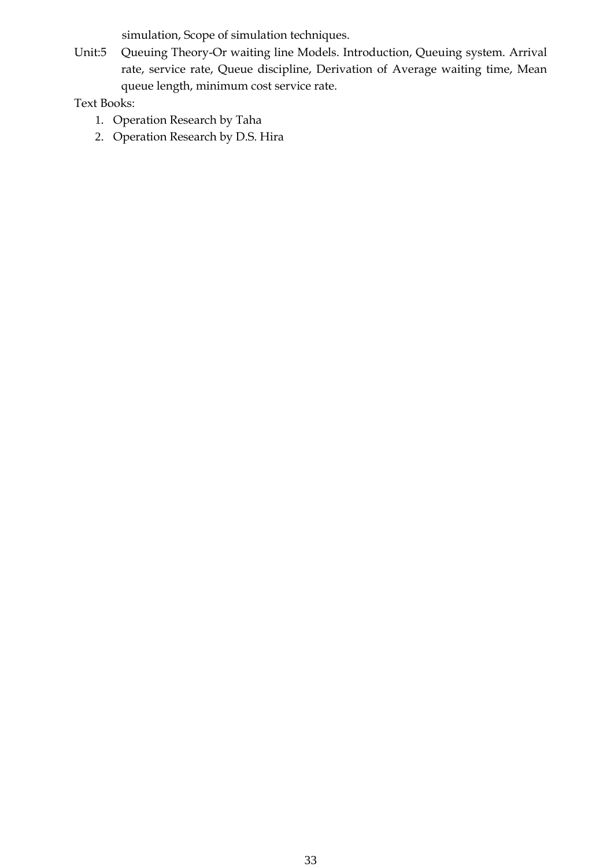simulation, Scope of simulation techniques.

Unit:5 Queuing Theory-Or waiting line Models. Introduction, Queuing system. Arrival rate, service rate, Queue discipline, Derivation of Average waiting time, Mean queue length, minimum cost service rate.

Text Books:

- 1. Operation Research by Taha
- 2. Operation Research by D.S. Hira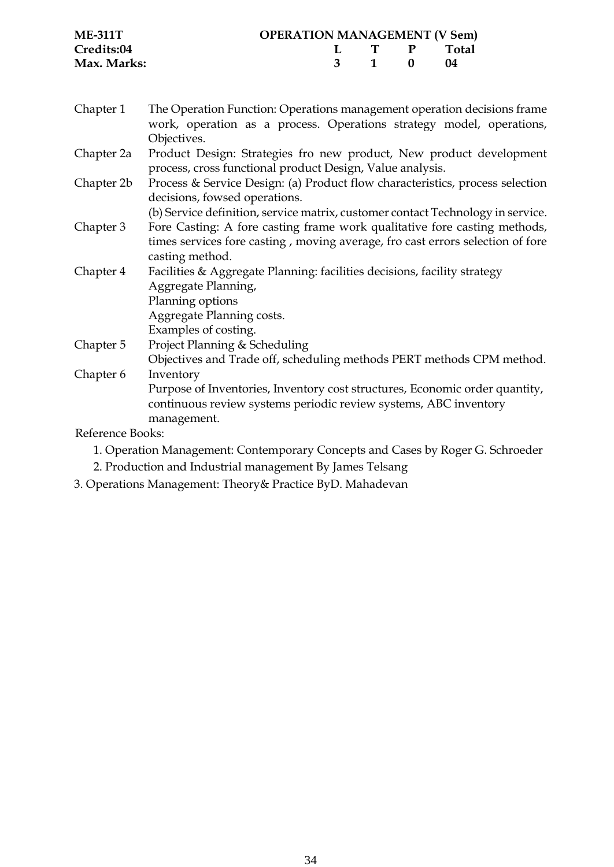| <b>ME-311T</b> | <b>OPERATION MANAGEMENT (V Sem)</b> |       |             |  |
|----------------|-------------------------------------|-------|-------------|--|
| Credits:04     |                                     |       | L T P Total |  |
| Max. Marks:    |                                     | 3 1 0 | $\sqrt{14}$ |  |

- Chapter 1 The Operation Function: Operations management operation decisions frame work, operation as a process. Operations strategy model, operations, Objectives.
- Chapter 2a Product Design: Strategies fro new product, New product development process, cross functional product Design, Value analysis.
- Chapter 2b Process & Service Design: (a) Product flow characteristics, process selection decisions, fowsed operations.

(b) Service definition, service matrix, customer contact Technology in service.

- Chapter 3 Fore Casting: A fore casting frame work qualitative fore casting methods, times services fore casting , moving average, fro cast errors selection of fore casting method.
- Chapter 4 Facilities & Aggregate Planning: facilities decisions, facility strategy Aggregate Planning, Planning options Aggregate Planning costs. Examples of costing. Chapter 5 Project Planning & Scheduling
- Objectives and Trade off, scheduling methods PERT methods CPM method. Chapter 6 Inventory Purpose of Inventories, Inventory cost structures, Economic order quantity, continuous review systems periodic review systems, ABC inventory

management.

Reference Books:

- 1. Operation Management: Contemporary Concepts and Cases by Roger G. Schroeder
- 2. Production and Industrial management By James Telsang
- 3. Operations Management: Theory& Practice ByD. Mahadevan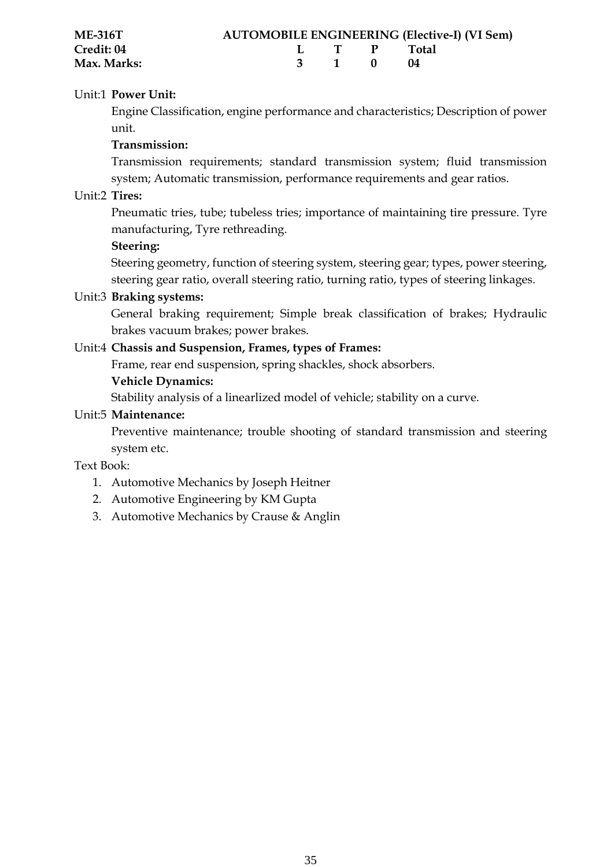| <b>ME-316T</b>    |  |             | <b>AUTOMOBILE ENGINEERING (Elective-I) (VI Sem)</b> |
|-------------------|--|-------------|-----------------------------------------------------|
| <b>Credit: 04</b> |  | L T P Total |                                                     |
| Max. Marks:       |  | 3 1 0 04    |                                                     |

## Unit:1 **Power Unit:**

Engine Classification, engine performance and characteristics; Description of power unit.

#### **Transmission:**

Transmission requirements; standard transmission system; fluid transmission system; Automatic transmission, performance requirements and gear ratios.

#### Unit:2 **Tires:**

Pneumatic tries, tube; tubeless tries; importance of maintaining tire pressure. Tyre manufacturing, Tyre rethreading.

#### **Steering:**

Steering geometry, function of steering system, steering gear; types, power steering, steering gear ratio, overall steering ratio, turning ratio, types of steering linkages.

#### Unit:3 **Braking systems:**

General braking requirement; Simple break classification of brakes; Hydraulic brakes vacuum brakes; power brakes.

### Unit:4 **Chassis and Suspension, Frames, types of Frames:**

Frame, rear end suspension, spring shackles, shock absorbers.

#### **Vehicle Dynamics:**

Stability analysis of a linearlized model of vehicle; stability on a curve.

#### Unit:5 **Maintenance:**

Preventive maintenance; trouble shooting of standard transmission and steering system etc.

Text Book:

- 1. Automotive Mechanics by Joseph Heitner
- 2. Automotive Engineering by KM Gupta
- 3. Automotive Mechanics by Crause & Anglin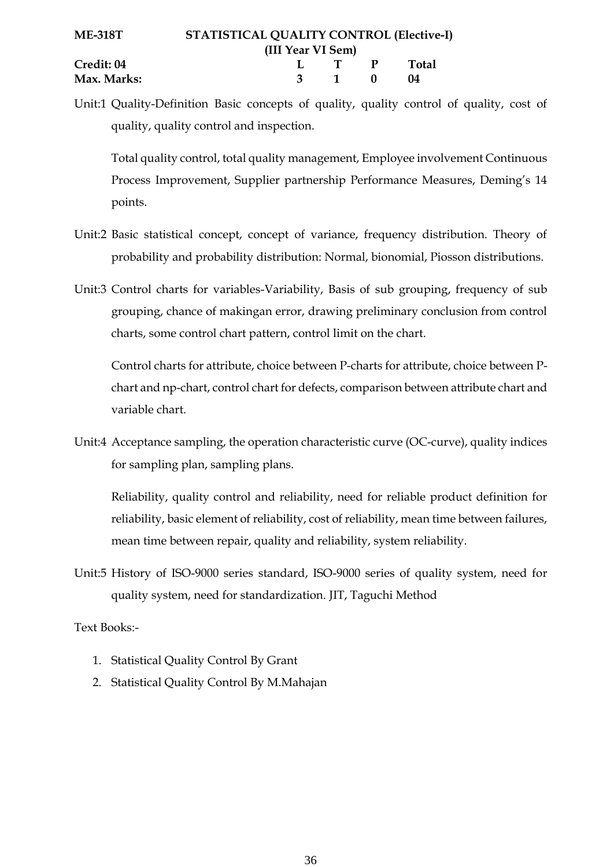Unit:1 Quality-Definition Basic concepts of quality, quality control of quality, cost of quality, quality control and inspection.

Total quality control, total quality management, Employee involvement Continuous Process Improvement, Supplier partnership Performance Measures, Deming's 14 points.

- Unit:2 Basic statistical concept, concept of variance, frequency distribution. Theory of probability and probability distribution: Normal, bionomial, Piosson distributions.
- Unit:3 Control charts for variables-Variability, Basis of sub grouping, frequency of sub grouping, chance of makingan error, drawing preliminary conclusion from control charts, some control chart pattern, control limit on the chart.

Control charts for attribute, choice between P-charts for attribute, choice between Pchart and np-chart, control chart for defects, comparison between attribute chart and variable chart.

Unit:4 Acceptance sampling, the operation characteristic curve (OC-curve), quality indices for sampling plan, sampling plans.

Reliability, quality control and reliability, need for reliable product definition for reliability, basic element of reliability, cost of reliability, mean time between failures, mean time between repair, quality and reliability, system reliability.

Unit:5 History of ISO-9000 series standard, ISO-9000 series of quality system, need for quality system, need for standardization. JIT, Taguchi Method

Text Books:-

- 1. Statistical Quality Control By Grant
- 2. Statistical Quality Control By M.Mahajan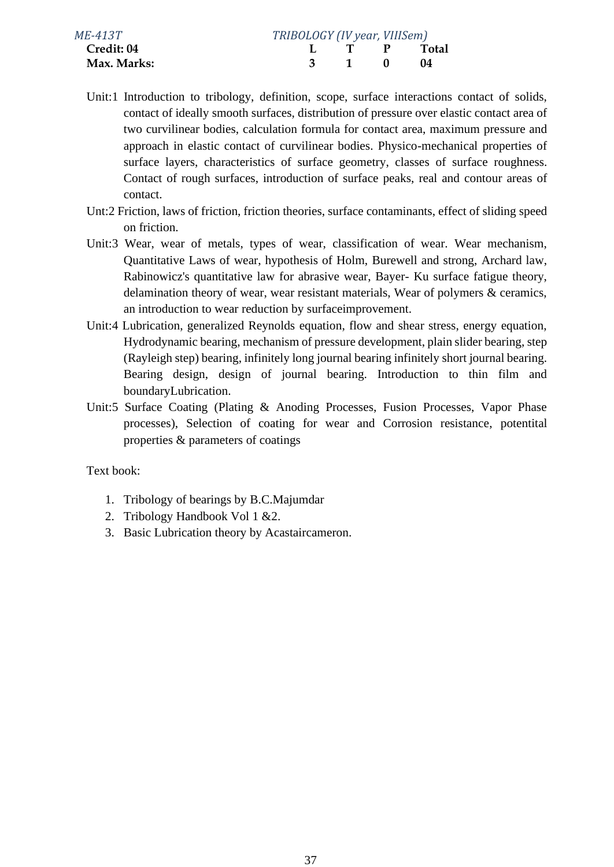| ME-413T           | TRIBOLOGY (IV year, VIIISem) |                                          |              |              |
|-------------------|------------------------------|------------------------------------------|--------------|--------------|
| <b>Credit: 04</b> |                              |                                          | $\mathbf{P}$ | <b>Total</b> |
| Max. Marks:       |                              | $\begin{array}{ccc} & 1 & 0 \end{array}$ |              | -04          |
|                   |                              |                                          |              |              |

- Unit:1 Introduction to tribology, definition, scope, surface interactions contact of solids, contact of ideally smooth surfaces, distribution of pressure over elastic contact area of two curvilinear bodies, calculation formula for contact area, maximum pressure and approach in elastic contact of curvilinear bodies. Physico-mechanical properties of surface layers, characteristics of surface geometry, classes of surface roughness. Contact of rough surfaces, introduction of surface peaks, real and contour areas of contact.
- Unt:2 Friction, laws of friction, friction theories, surface contaminants, effect of sliding speed on friction.
- Unit:3 Wear, wear of metals, types of wear, classification of wear. Wear mechanism, Quantitative Laws of wear, hypothesis of Holm, Burewell and strong, Archard law, Rabinowicz's quantitative law for abrasive wear, Bayer- Ku surface fatigue theory, delamination theory of wear, wear resistant materials, Wear of polymers & ceramics, an introduction to wear reduction by surfaceimprovement.
- Unit:4 Lubrication, generalized Reynolds equation, flow and shear stress, energy equation, Hydrodynamic bearing, mechanism of pressure development, plain slider bearing, step (Rayleigh step) bearing, infinitely long journal bearing infinitely short journal bearing. Bearing design, design of journal bearing. Introduction to thin film and boundaryLubrication.
- Unit:5 Surface Coating (Plating & Anoding Processes, Fusion Processes, Vapor Phase processes), Selection of coating for wear and Corrosion resistance, potentital properties & parameters of coatings

Text book:

- 1. Tribology of bearings by B.C.Majumdar
- 2. Tribology Handbook Vol 1 &2.
- 3. Basic Lubrication theory by Acastaircameron.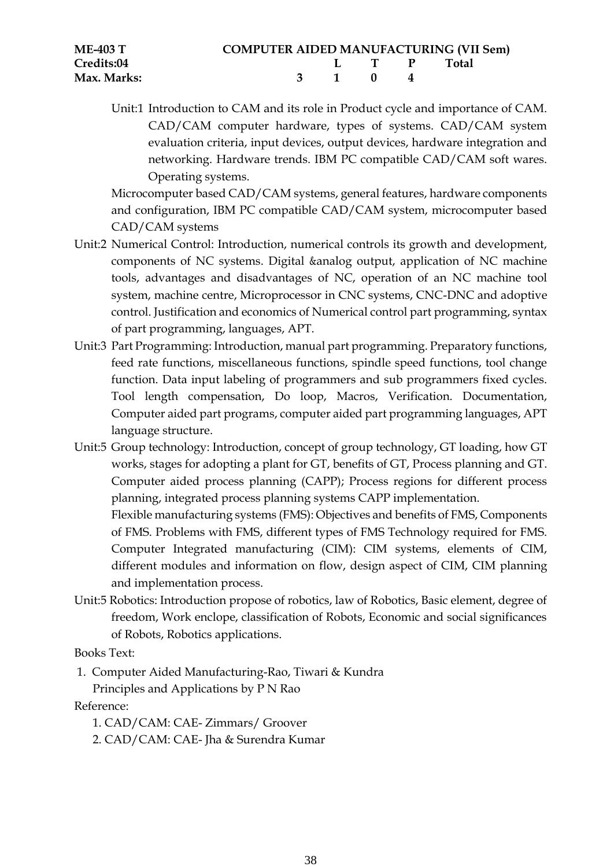| <b>ME-403 T</b> | <b>COMPUTER AIDED MANUFACTURING (VII Sem)</b> |             |  |  |
|-----------------|-----------------------------------------------|-------------|--|--|
| Credits:04      |                                               | L T P Total |  |  |
| Max. Marks:     |                                               | 3 1 0 4     |  |  |

Unit:1 Introduction to CAM and its role in Product cycle and importance of CAM. CAD/CAM computer hardware, types of systems. CAD/CAM system evaluation criteria, input devices, output devices, hardware integration and networking. Hardware trends. IBM PC compatible CAD/CAM soft wares. Operating systems.

Microcomputer based CAD/CAM systems, general features, hardware components and configuration, IBM PC compatible CAD/CAM system, microcomputer based CAD/CAM systems

- Unit:2 Numerical Control: Introduction, numerical controls its growth and development, components of NC systems. Digital &analog output, application of NC machine tools, advantages and disadvantages of NC, operation of an NC machine tool system, machine centre, Microprocessor in CNC systems, CNC-DNC and adoptive control. Justification and economics of Numerical control part programming, syntax of part programming, languages, APT.
- Unit:3 Part Programming: Introduction, manual part programming. Preparatory functions, feed rate functions, miscellaneous functions, spindle speed functions, tool change function. Data input labeling of programmers and sub programmers fixed cycles. Tool length compensation, Do loop, Macros, Verification. Documentation, Computer aided part programs, computer aided part programming languages, APT language structure.
- Unit:5 Group technology: Introduction, concept of group technology, GT loading, how GT works, stages for adopting a plant for GT, benefits of GT, Process planning and GT. Computer aided process planning (CAPP); Process regions for different process planning, integrated process planning systems CAPP implementation. Flexible manufacturing systems (FMS): Objectives and benefits of FMS, Components of FMS. Problems with FMS, different types of FMS Technology required for FMS. Computer Integrated manufacturing (CIM): CIM systems, elements of CIM, different modules and information on flow, design aspect of CIM, CIM planning and implementation process.
- Unit:5 Robotics: Introduction propose of robotics, law of Robotics, Basic element, degree of freedom, Work enclope, classification of Robots, Economic and social significances of Robots, Robotics applications.

Books Text:

1. Computer Aided Manufacturing-Rao, Tiwari & Kundra

Principles and Applications by P N Rao

Reference:

1. CAD/CAM: CAE- Zimmars/ Groover

2. CAD/CAM: CAE- Jha & Surendra Kumar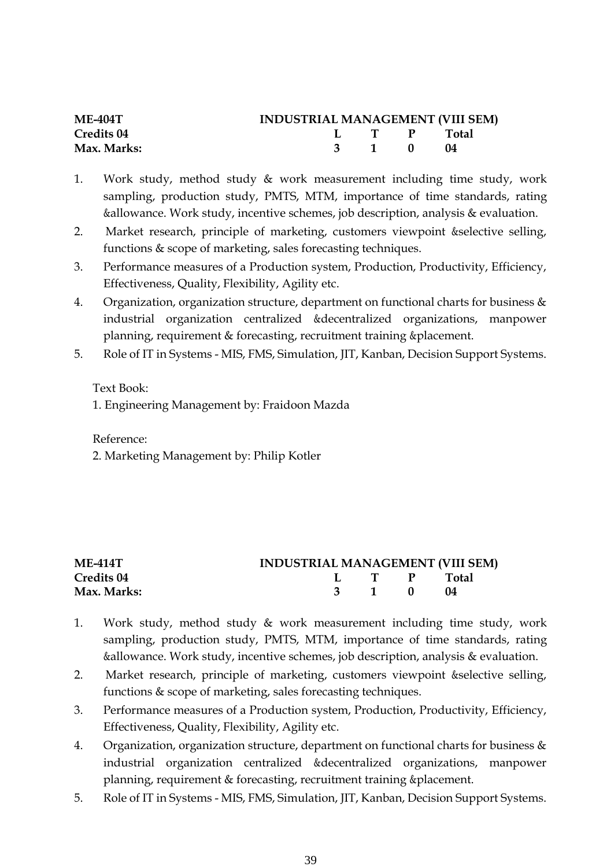| <b>ME-404T</b>    | <b>INDUSTRIAL MANAGEMENT (VIII SEM)</b> |             |  |
|-------------------|-----------------------------------------|-------------|--|
| <b>Credits 04</b> |                                         | I T P Total |  |
| Max. Marks:       |                                         | 3 1 0 04    |  |

- 1. Work study, method study & work measurement including time study, work sampling, production study, PMTS, MTM, importance of time standards, rating &allowance. Work study, incentive schemes, job description, analysis & evaluation.
- 2. Market research, principle of marketing, customers viewpoint &selective selling, functions & scope of marketing, sales forecasting techniques.
- 3. Performance measures of a Production system, Production, Productivity, Efficiency, Effectiveness, Quality, Flexibility, Agility etc.
- 4. Organization, organization structure, department on functional charts for business  $\&$ industrial organization centralized &decentralized organizations, manpower planning, requirement & forecasting, recruitment training &placement.
- 5. Role of IT in Systems MIS, FMS, Simulation, JIT, Kanban, Decision Support Systems.

Text Book:

1. Engineering Management by: Fraidoon Mazda

Reference:

2. Marketing Management by: Philip Kotler

| ME-414T           | <b>INDUSTRIAL MANAGEMENT (VIII SEM)</b> |             |  |
|-------------------|-----------------------------------------|-------------|--|
| <b>Credits 04</b> |                                         | L T P Total |  |
| Max. Marks:       |                                         | 3 1 0 04    |  |

- 1. Work study, method study & work measurement including time study, work sampling, production study, PMTS, MTM, importance of time standards, rating &allowance. Work study, incentive schemes, job description, analysis & evaluation.
- 2. Market research, principle of marketing, customers viewpoint &selective selling, functions & scope of marketing, sales forecasting techniques.
- 3. Performance measures of a Production system, Production, Productivity, Efficiency, Effectiveness, Quality, Flexibility, Agility etc.
- 4. Organization, organization structure, department on functional charts for business  $\&$ industrial organization centralized &decentralized organizations, manpower planning, requirement & forecasting, recruitment training &placement.
- 5. Role of IT in Systems MIS, FMS, Simulation, JIT, Kanban, Decision Support Systems.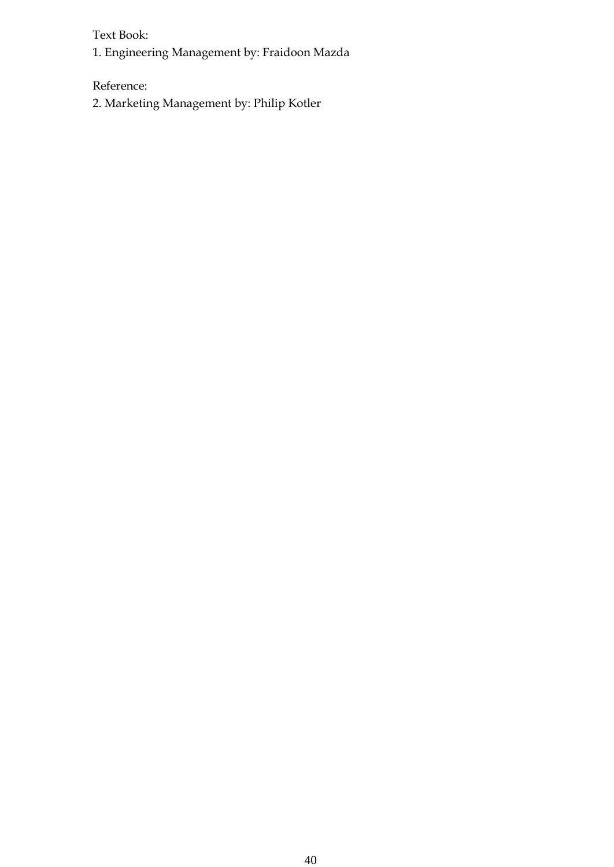Text Book:

1. Engineering Management by: Fraidoon Mazda

Reference:

2. Marketing Management by: Philip Kotler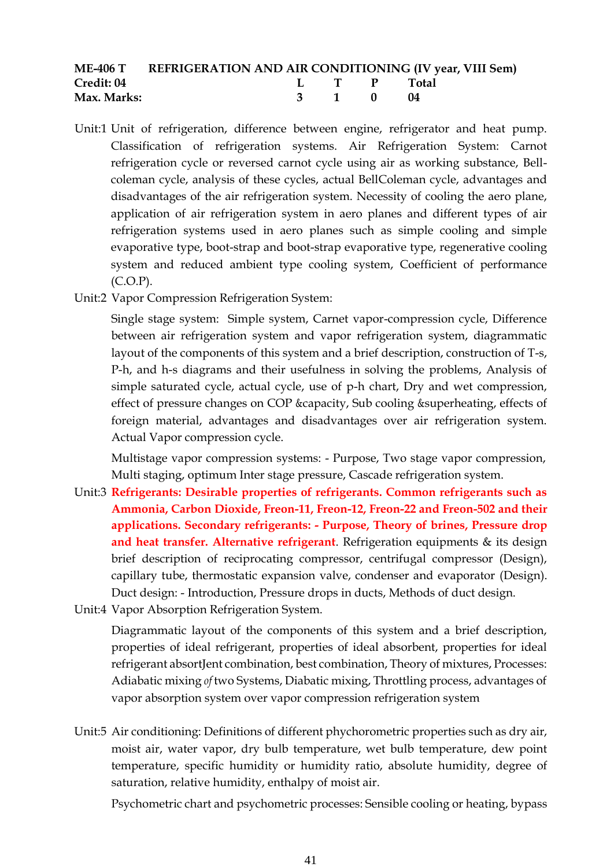|                   | ME-406 T REFRIGERATION AND AIR CONDITIONING (IV year, VIII Sem) |          |             |  |
|-------------------|-----------------------------------------------------------------|----------|-------------|--|
| <b>Credit: 04</b> |                                                                 |          | L T P Total |  |
| Max. Marks:       |                                                                 | 3 1 0 04 |             |  |

- Unit:1 Unit of refrigeration, difference between engine, refrigerator and heat pump. Classification of refrigeration systems. Air Refrigeration System: Carnot refrigeration cycle or reversed carnot cycle using air as working substance, Bellcoleman cycle, analysis of these cycles, actual BellColeman cycle, advantages and disadvantages of the air refrigeration system. Necessity of cooling the aero plane, application of air refrigeration system in aero planes and different types of air refrigeration systems used in aero planes such as simple cooling and simple evaporative type, boot-strap and boot-strap evaporative type, regenerative cooling system and reduced ambient type cooling system, Coefficient of performance (C.O.P).
- Unit:2 Vapor Compression Refrigeration System:

Single stage system: Simple system, Carnet vapor-compression cycle, Difference between air refrigeration system and vapor refrigeration system, diagrammatic layout of the components of this system and a brief description, construction of T-s, P-h, and h-s diagrams and their usefulness in solving the problems, Analysis of simple saturated cycle, actual cycle, use of p-h chart, Dry and wet compression, effect of pressure changes on COP &capacity, Sub cooling &superheating, effects of foreign material, advantages and disadvantages over air refrigeration system. Actual Vapor compression cycle.

Multistage vapor compression systems: - Purpose, Two stage vapor compression, Multi staging, optimum Inter stage pressure, Cascade refrigeration system.

- Unit:3 **Refrigerants: Desirable properties of refrigerants. Common refrigerants such as Ammonia, Carbon Dioxide, Freon-11, Freon-12, Freon-22 and Freon-502 and their applications. Secondary refrigerants: - Purpose, Theory of brines, Pressure drop and heat transfer. Alternative refrigerant**. Refrigeration equipments & its design brief description of reciprocating compressor, centrifugal compressor (Design), capillary tube, thermostatic expansion valve, condenser and evaporator (Design). Duct design: - Introduction, Pressure drops in ducts, Methods of duct design.
- Unit:4 Vapor Absorption Refrigeration System.

Diagrammatic layout of the components of this system and a brief description, properties of ideal refrigerant, properties of ideal absorbent, properties for ideal refrigerant absortJent combination, best combination, Theory of mixtures, Processes: Adiabatic mixing *of* two Systems, Diabatic mixing, Throttling process, advantages of vapor absorption system over vapor compression refrigeration system

Unit:5 Air conditioning: Definitions of different phychorometric properties such as dry air, moist air, water vapor, dry bulb temperature, wet bulb temperature, dew point temperature, specific humidity or humidity ratio, absolute humidity, degree of saturation, relative humidity, enthalpy of moist air.

Psychometric chart and psychometric processes: Sensible cooling or heating, bypass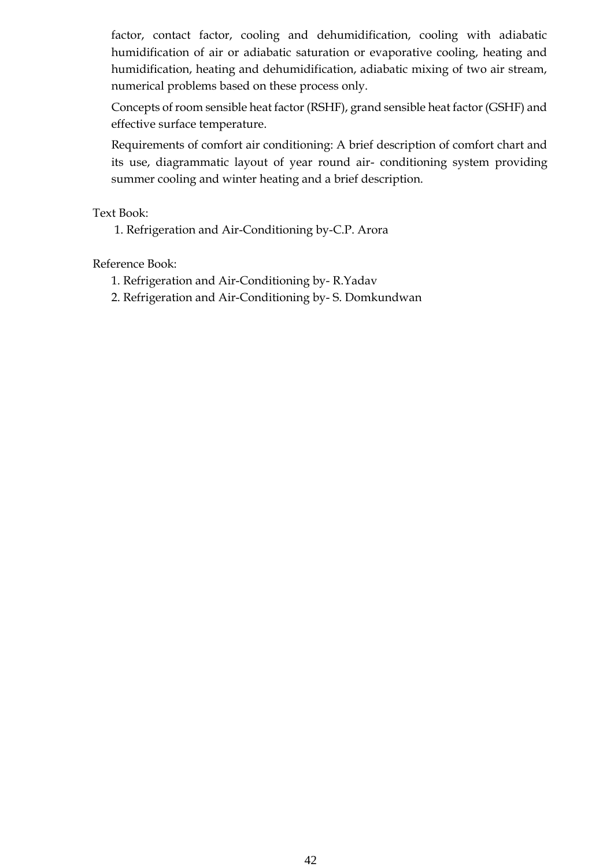factor, contact factor, cooling and dehumidification, cooling with adiabatic humidification of air or adiabatic saturation or evaporative cooling, heating and humidification, heating and dehumidification, adiabatic mixing of two air stream, numerical problems based on these process only.

Concepts of room sensible heat factor (RSHF), grand sensible heat factor (GSHF) and effective surface temperature.

Requirements of comfort air conditioning: A brief description of comfort chart and its use, diagrammatic layout of year round air- conditioning system providing summer cooling and winter heating and a brief description.

Text Book:

1. Refrigeration and Air-Conditioning by-C.P. Arora

Reference Book:

- 1. Refrigeration and Air-Conditioning by- R.Yadav
- 2. Refrigeration and Air-Conditioning by- S. Domkundwan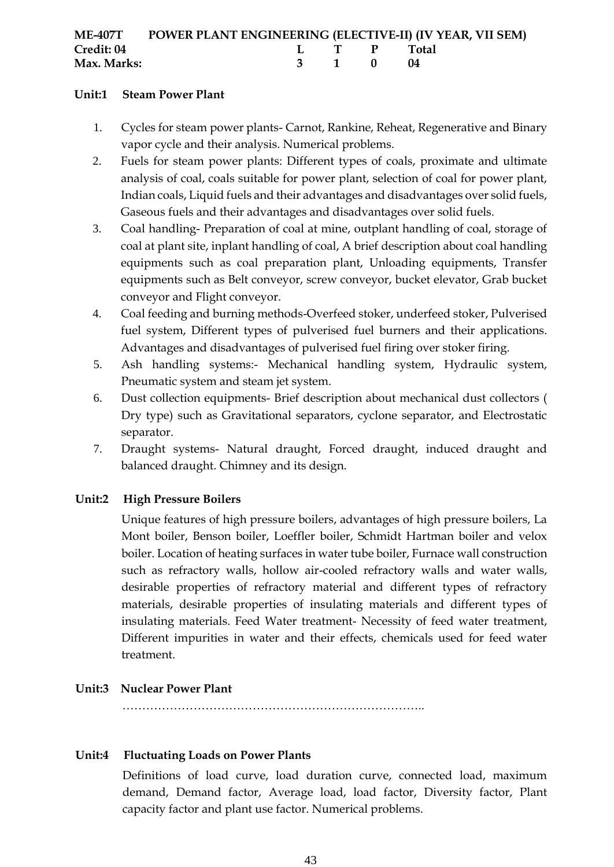|             | ME-407T POWER PLANT ENGINEERING (ELECTIVE-II) (IV YEAR, VII SEM) |  |          |             |  |
|-------------|------------------------------------------------------------------|--|----------|-------------|--|
| Credit: 04  |                                                                  |  |          | L T P Total |  |
| Max. Marks: |                                                                  |  | 3 1 0 04 |             |  |

# **Unit:1 Steam Power Plant**

- 1. Cycles for steam power plants- Carnot, Rankine, Reheat, Regenerative and Binary vapor cycle and their analysis. Numerical problems.
- 2. Fuels for steam power plants: Different types of coals, proximate and ultimate analysis of coal, coals suitable for power plant, selection of coal for power plant, Indian coals, Liquid fuels and their advantages and disadvantages over solid fuels, Gaseous fuels and their advantages and disadvantages over solid fuels.
- 3. Coal handling- Preparation of coal at mine, outplant handling of coal, storage of coal at plant site, inplant handling of coal, A brief description about coal handling equipments such as coal preparation plant, Unloading equipments, Transfer equipments such as Belt conveyor, screw conveyor, bucket elevator, Grab bucket conveyor and Flight conveyor.
- 4. Coal feeding and burning methods-Overfeed stoker, underfeed stoker, Pulverised fuel system, Different types of pulverised fuel burners and their applications. Advantages and disadvantages of pulverised fuel firing over stoker firing.
- 5. Ash handling systems:- Mechanical handling system, Hydraulic system, Pneumatic system and steam jet system.
- 6. Dust collection equipments- Brief description about mechanical dust collectors ( Dry type) such as Gravitational separators, cyclone separator, and Electrostatic separator.
- 7. Draught systems- Natural draught, Forced draught, induced draught and balanced draught. Chimney and its design.

# **Unit:2 High Pressure Boilers**

Unique features of high pressure boilers, advantages of high pressure boilers, La Mont boiler, Benson boiler, Loeffler boiler, Schmidt Hartman boiler and velox boiler. Location of heating surfaces in water tube boiler, Furnace wall construction such as refractory walls, hollow air-cooled refractory walls and water walls, desirable properties of refractory material and different types of refractory materials, desirable properties of insulating materials and different types of insulating materials. Feed Water treatment- Necessity of feed water treatment, Different impurities in water and their effects, chemicals used for feed water treatment.

# **Unit:3 Nuclear Power Plant**

…………………………………………………………………..

#### **Unit:4 Fluctuating Loads on Power Plants**

Definitions of load curve, load duration curve, connected load, maximum demand, Demand factor, Average load, load factor, Diversity factor, Plant capacity factor and plant use factor. Numerical problems.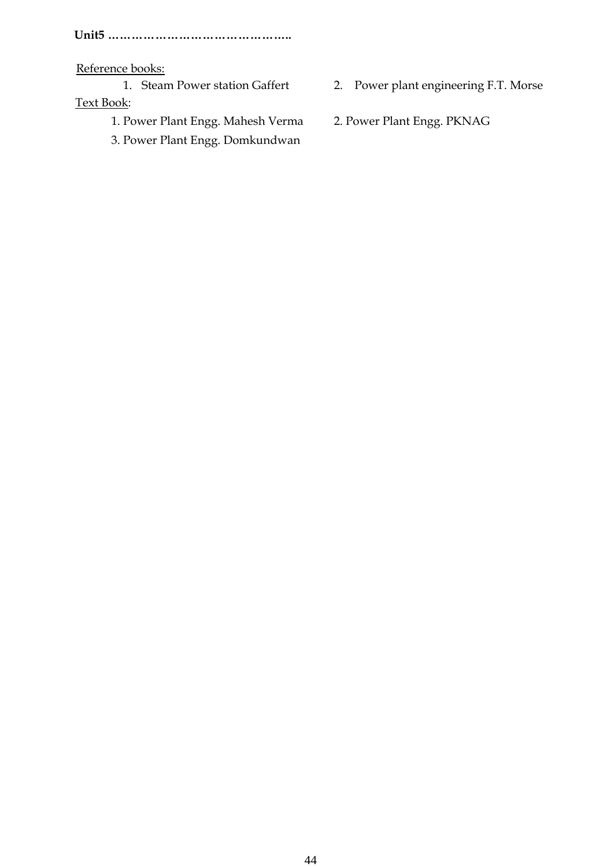**Unit5 ………………………………………..**

Reference books:

Text Book:

- 1. Steam Power station Gaffert 2. Power plant engineering F.T. Morse
- 1. Power Plant Engg. Mahesh Verma 2. Power Plant Engg. PKNAG
- 3. Power Plant Engg. Domkundwan
-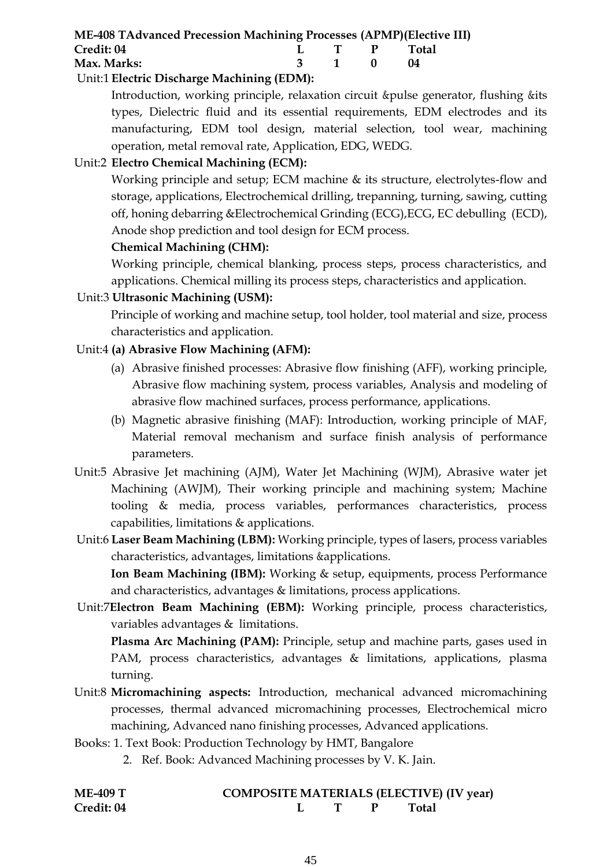| <b>ME-408 TAdvanced Precession Machining Processes (APMP) (Elective III)</b>                                                                                                                                                                                                                                                       |  |          |             |  |
|------------------------------------------------------------------------------------------------------------------------------------------------------------------------------------------------------------------------------------------------------------------------------------------------------------------------------------|--|----------|-------------|--|
| Credit: 04                                                                                                                                                                                                                                                                                                                         |  |          | L T P Total |  |
| Max. Marks:                                                                                                                                                                                                                                                                                                                        |  | 3 1 0 04 |             |  |
| $\mathbf{r}$ $\mathbf{r}$ $\mathbf{r}$ $\mathbf{r}$ $\mathbf{r}$ $\mathbf{r}$ $\mathbf{r}$ $\mathbf{r}$ $\mathbf{r}$ $\mathbf{r}$ $\mathbf{r}$ $\mathbf{r}$ $\mathbf{r}$ $\mathbf{r}$ $\mathbf{r}$ $\mathbf{r}$ $\mathbf{r}$ $\mathbf{r}$ $\mathbf{r}$ $\mathbf{r}$ $\mathbf{r}$ $\mathbf{r}$ $\mathbf{r}$ $\mathbf{r}$ $\mathbf{$ |  |          |             |  |

# Unit:1 **Electric Discharge Machining (EDM):**

Introduction, working principle, relaxation circuit &pulse generator, flushing &its types, Dielectric fluid and its essential requirements, EDM electrodes and its manufacturing, EDM tool design, material selection, tool wear, machining operation, metal removal rate, Application, EDG, WEDG.

# Unit:2 **Electro Chemical Machining (ECM):**

Working principle and setup; ECM machine & its structure, electrolytes-flow and storage, applications, Electrochemical drilling, trepanning, turning, sawing, cutting off, honing debarring &Electrochemical Grinding (ECG),ECG, EC debulling (ECD), Anode shop prediction and tool design for ECM process.

# **Chemical Machining (CHM):**

Working principle, chemical blanking, process steps, process characteristics, and applications. Chemical milling its process steps, characteristics and application.

# Unit:3 **Ultrasonic Machining (USM):**

Principle of working and machine setup, tool holder, tool material and size, process characteristics and application.

# Unit:4 **(a) Abrasive Flow Machining (AFM):**

- (a) Abrasive finished processes: Abrasive flow finishing (AFF), working principle, Abrasive flow machining system, process variables, Analysis and modeling of abrasive flow machined surfaces, process performance, applications.
- (b) Magnetic abrasive finishing (MAF): Introduction, working principle of MAF, Material removal mechanism and surface finish analysis of performance parameters.
- Unit:5 Abrasive Jet machining (AJM), Water Jet Machining (WJM), Abrasive water jet Machining (AWJM), Their working principle and machining system; Machine tooling & media, process variables, performances characteristics, process capabilities, limitations & applications.
- Unit:6 **Laser Beam Machining (LBM):** Working principle, types of lasers, process variables characteristics, advantages, limitations &applications.

**Ion Beam Machining (IBM):** Working & setup, equipments, process Performance and characteristics, advantages & limitations, process applications.

Unit:7**Electron Beam Machining (EBM):** Working principle, process characteristics, variables advantages & limitations.

**Plasma Arc Machining (PAM):** Principle, setup and machine parts, gases used in PAM, process characteristics, advantages & limitations, applications, plasma turning.

- Unit:8 **Micromachining aspects:** Introduction, mechanical advanced micromachining processes, thermal advanced micromachining processes, Electrochemical micro machining, Advanced nano finishing processes, Advanced applications.
- Books: 1. Text Book: Production Technology by HMT, Bangalore
	- 2. Ref. Book: Advanced Machining processes by V. K. Jain.

| <b>ME-409 T</b> |  | <b>COMPOSITE MATERIALS (ELECTIVE) (IV year)</b> |
|-----------------|--|-------------------------------------------------|
| Credit: 04      |  | Total                                           |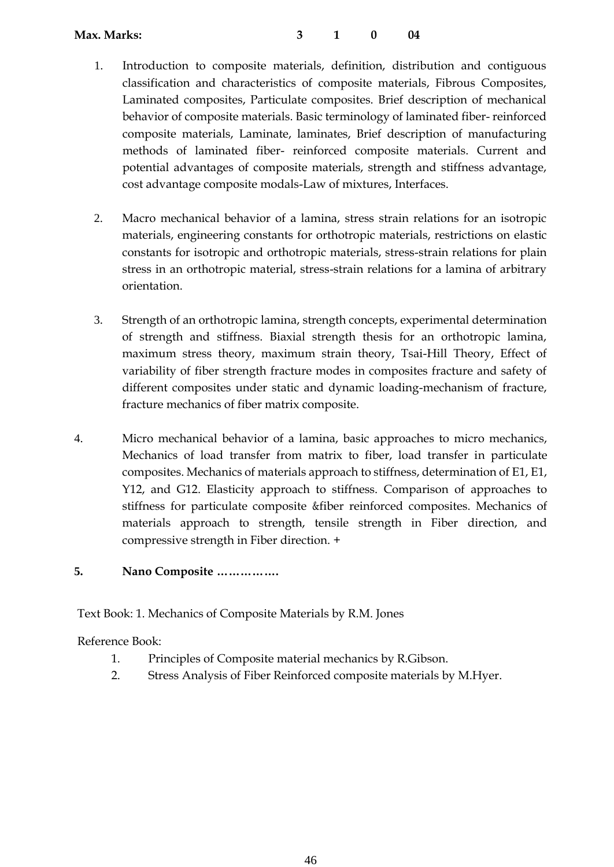- 1. Introduction to composite materials, definition, distribution and contiguous classification and characteristics of composite materials, Fibrous Composites, Laminated composites, Particulate composites. Brief description of mechanical behavior of composite materials. Basic terminology of laminated fiber- reinforced composite materials, Laminate, laminates, Brief description of manufacturing methods of laminated fiber- reinforced composite materials. Current and potential advantages of composite materials, strength and stiffness advantage, cost advantage composite modals-Law of mixtures, Interfaces.
- 2. Macro mechanical behavior of a lamina, stress strain relations for an isotropic materials, engineering constants for orthotropic materials, restrictions on elastic constants for isotropic and orthotropic materials, stress-strain relations for plain stress in an orthotropic material, stress-strain relations for a lamina of arbitrary orientation.
- 3. Strength of an orthotropic lamina, strength concepts, experimental determination of strength and stiffness. Biaxial strength thesis for an orthotropic lamina, maximum stress theory, maximum strain theory, Tsai-Hill Theory, Effect of variability of fiber strength fracture modes in composites fracture and safety of different composites under static and dynamic loading-mechanism of fracture, fracture mechanics of fiber matrix composite.
- 4. Micro mechanical behavior of a lamina, basic approaches to micro mechanics, Mechanics of load transfer from matrix to fiber, load transfer in particulate composites. Mechanics of materials approach to stiffness, determination of E1, E1, Y12, and G12. Elasticity approach to stiffness. Comparison of approaches to stiffness for particulate composite &fiber reinforced composites. Mechanics of materials approach to strength, tensile strength in Fiber direction, and compressive strength in Fiber direction. +

# **5. Nano Composite …………….**

Text Book: 1. Mechanics of Composite Materials by R.M. Jones

Reference Book:

- 1. Principles of Composite material mechanics by R.Gibson.
- 2. Stress Analysis of Fiber Reinforced composite materials by M.Hyer.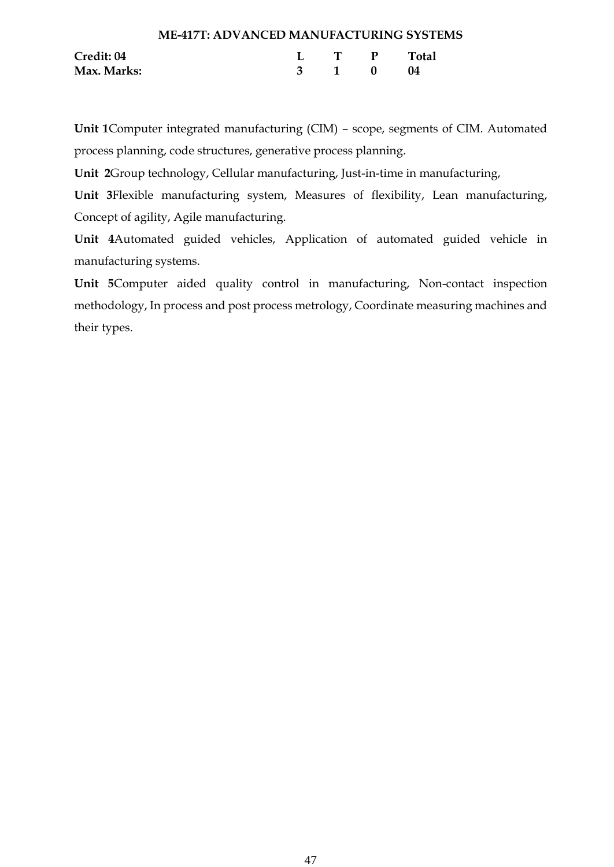|             | <b>ME-417T: ADVANCED MANUFACTURING SYSTEMS</b> |       |             |
|-------------|------------------------------------------------|-------|-------------|
| Credit: 04  |                                                |       | L T P Total |
| Max. Marks: |                                                | 3 1 0 | - 04        |

**Unit 1**Computer integrated manufacturing (CIM) – scope, segments of CIM. Automated process planning, code structures, generative process planning.

**Unit 2**Group technology, Cellular manufacturing, Just-in-time in manufacturing,

**Unit 3**Flexible manufacturing system, Measures of flexibility, Lean manufacturing, Concept of agility, Agile manufacturing.

**Unit 4**Automated guided vehicles, Application of automated guided vehicle in manufacturing systems.

**Unit 5**Computer aided quality control in manufacturing, Non-contact inspection methodology, In process and post process metrology, Coordinate measuring machines and their types.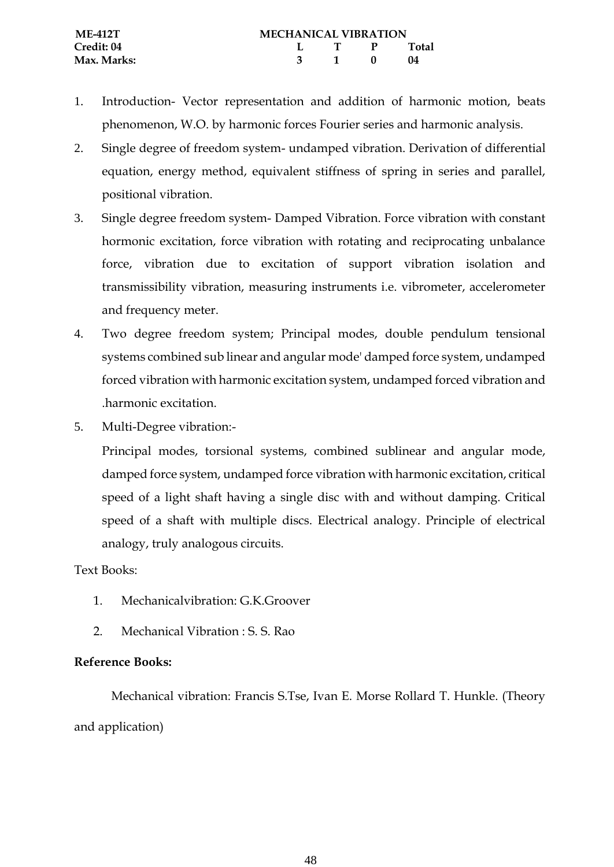- 1. Introduction- Vector representation and addition of harmonic motion, beats phenomenon, W.O. by harmonic forces Fourier series and harmonic analysis.
- 2. Single degree of freedom system- undamped vibration. Derivation of differential equation, energy method, equivalent stiffness of spring in series and parallel, positional vibration.
- 3. Single degree freedom system- Damped Vibration. Force vibration with constant hormonic excitation, force vibration with rotating and reciprocating unbalance force, vibration due to excitation of support vibration isolation and transmissibility vibration, measuring instruments i.e. vibrometer, accelerometer and frequency meter.
- 4. Two degree freedom system; Principal modes, double pendulum tensional systems combined sub linear and angular mode' damped force system, undamped forced vibration with harmonic excitation system, undamped forced vibration and .harmonic excitation.
- 5. Multi-Degree vibration:-

Principal modes, torsional systems, combined sublinear and angular mode, damped force system, undamped force vibration with harmonic excitation, critical speed of a light shaft having a single disc with and without damping. Critical speed of a shaft with multiple discs. Electrical analogy. Principle of electrical analogy, truly analogous circuits.

# Text Books:

- 1. Mechanicalvibration: G.K.Groover
- 2. Mechanical Vibration : S. S. Rao

# **Reference Books:**

Mechanical vibration: Francis S.Tse, Ivan E. Morse Rollard T. Hunkle. (Theory and application)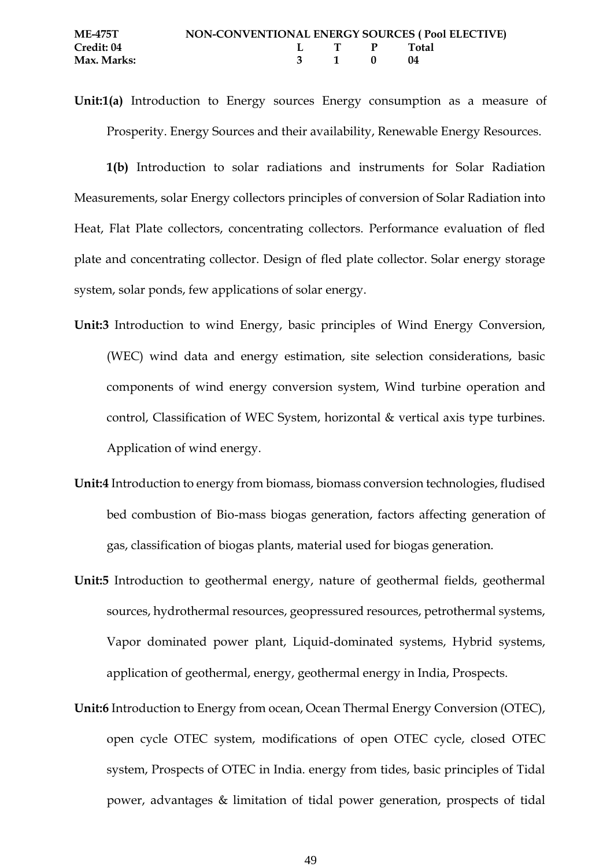**Unit:1(a)** Introduction to Energy sources Energy consumption as a measure of Prosperity. Energy Sources and their availability, Renewable Energy Resources.

**1(b)** Introduction to solar radiations and instruments for Solar Radiation Measurements, solar Energy collectors principles of conversion of Solar Radiation into Heat, Flat Plate collectors, concentrating collectors. Performance evaluation of fled plate and concentrating collector. Design of fled plate collector. Solar energy storage system, solar ponds, few applications of solar energy.

- **Unit:3** Introduction to wind Energy, basic principles of Wind Energy Conversion, (WEC) wind data and energy estimation, site selection considerations, basic components of wind energy conversion system, Wind turbine operation and control, Classification of WEC System, horizontal & vertical axis type turbines. Application of wind energy.
- **Unit:4** Introduction to energy from biomass, biomass conversion technologies, fludised bed combustion of Bio-mass biogas generation, factors affecting generation of gas, classification of biogas plants, material used for biogas generation.
- **Unit:5** Introduction to geothermal energy, nature of geothermal fields, geothermal sources, hydrothermal resources, geopressured resources, petrothermal systems, Vapor dominated power plant, Liquid-dominated systems, Hybrid systems, application of geothermal, energy, geothermal energy in India, Prospects.
- **Unit:6** Introduction to Energy from ocean, Ocean Thermal Energy Conversion (OTEC), open cycle OTEC system, modifications of open OTEC cycle, closed OTEC system, Prospects of OTEC in India. energy from tides, basic principles of Tidal power, advantages & limitation of tidal power generation, prospects of tidal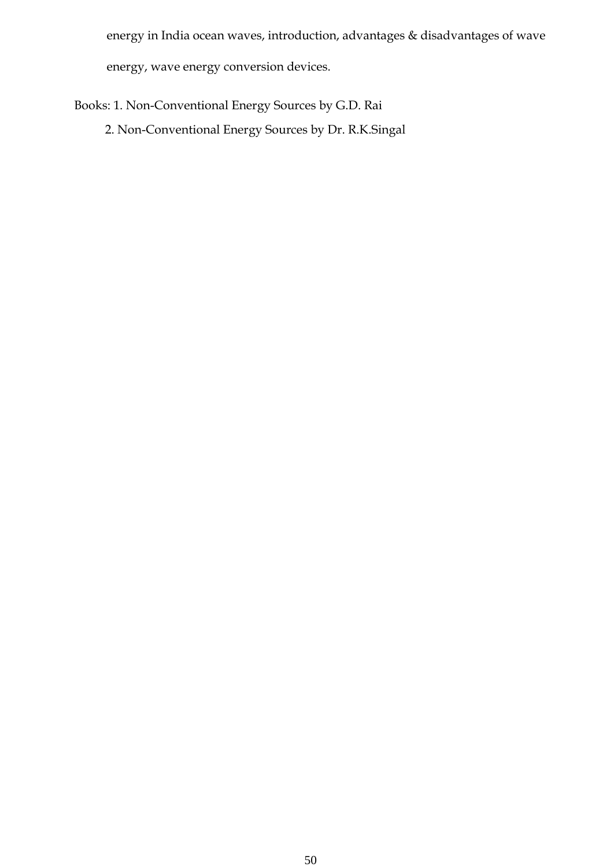energy in India ocean waves, introduction, advantages & disadvantages of wave

energy, wave energy conversion devices.

Books: 1. Non-Conventional Energy Sources by G.D. Rai

2. Non-Conventional Energy Sources by Dr. R.K.Singal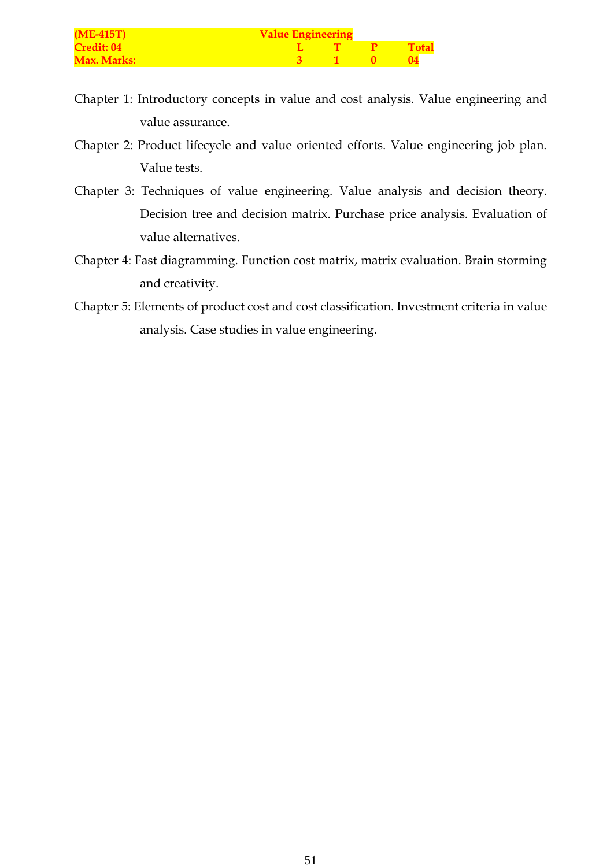| $(ME-415T)$        | <b>Value Engineering</b> |  |  |              |  |  |
|--------------------|--------------------------|--|--|--------------|--|--|
| <b>Credit: 04</b>  |                          |  |  | <b>Total</b> |  |  |
| <b>Max. Marks:</b> |                          |  |  |              |  |  |

- Chapter 1: Introductory concepts in value and cost analysis. Value engineering and value assurance.
- Chapter 2: Product lifecycle and value oriented efforts. Value engineering job plan. Value tests.
- Chapter 3: Techniques of value engineering. Value analysis and decision theory. Decision tree and decision matrix. Purchase price analysis. Evaluation of value alternatives.
- Chapter 4: Fast diagramming. Function cost matrix, matrix evaluation. Brain storming and creativity.
- Chapter 5: Elements of product cost and cost classification. Investment criteria in value analysis. Case studies in value engineering.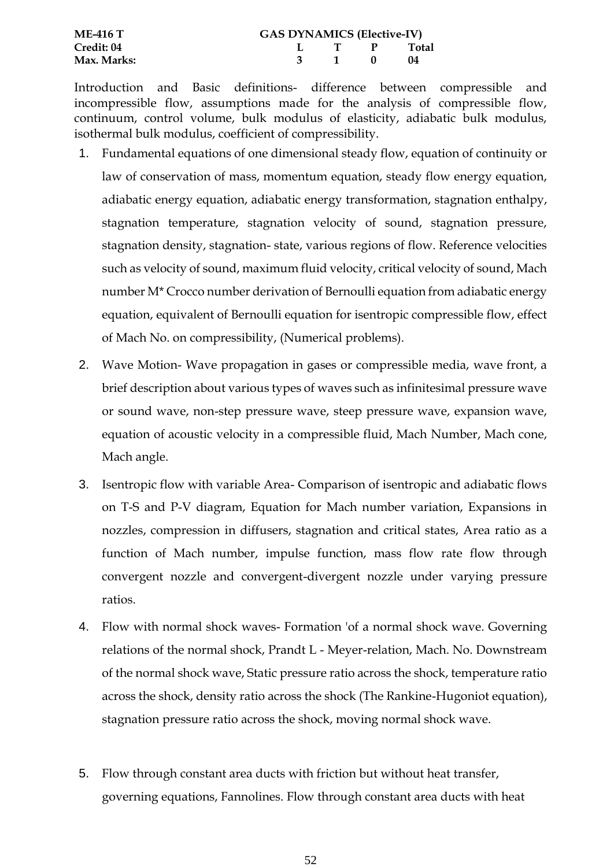| <b>ME-416 T</b> | <b>GAS DYNAMICS (Elective-IV)</b> |       |  |             |  |  |  |  |
|-----------------|-----------------------------------|-------|--|-------------|--|--|--|--|
| Credit: 04      |                                   |       |  | L T P Total |  |  |  |  |
| Max. Marks: )   |                                   | 3 1 0 |  | -04         |  |  |  |  |

Introduction and Basic definitions- difference between compressible and incompressible flow, assumptions made for the analysis of compressible flow, continuum, control volume, bulk modulus of elasticity, adiabatic bulk modulus, isothermal bulk modulus, coefficient of compressibility.

- 1. Fundamental equations of one dimensional steady flow, equation of continuity or law of conservation of mass, momentum equation, steady flow energy equation, adiabatic energy equation, adiabatic energy transformation, stagnation enthalpy, stagnation temperature, stagnation velocity of sound, stagnation pressure, stagnation density, stagnation- state, various regions of flow. Reference velocities such as velocity of sound, maximum fluid velocity, critical velocity of sound, Mach number M\* Crocco number derivation of Bernoulli equation from adiabatic energy equation, equivalent of Bernoulli equation for isentropic compressible flow, effect of Mach No. on compressibility, (Numerical problems).
- 2. Wave Motion- Wave propagation in gases or compressible media, wave front, a brief description about various types of waves such as infinitesimal pressure wave or sound wave, non-step pressure wave, steep pressure wave, expansion wave, equation of acoustic velocity in a compressible fluid, Mach Number, Mach cone, Mach angle.
- 3. Isentropic flow with variable Area- Comparison of isentropic and adiabatic flows on T-S and P-V diagram, Equation for Mach number variation, Expansions in nozzles, compression in diffusers, stagnation and critical states, Area ratio as a function of Mach number, impulse function, mass flow rate flow through convergent nozzle and convergent-divergent nozzle under varying pressure ratios.
- 4. Flow with normal shock waves- Formation 'of a normal shock wave. Governing relations of the normal shock, Prandt L - Meyer-relation, Mach. No. Downstream of the normal shock wave, Static pressure ratio across the shock, temperature ratio across the shock, density ratio across the shock (The Rankine-Hugoniot equation), stagnation pressure ratio across the shock, moving normal shock wave.
- 5. Flow through constant area ducts with friction but without heat transfer, governing equations, Fannolines. Flow through constant area ducts with heat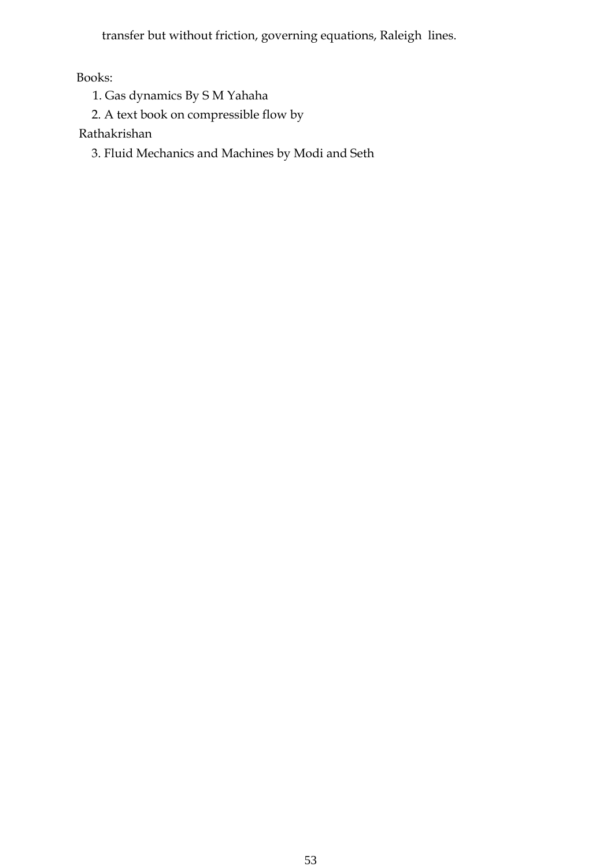transfer but without friction, governing equations, Raleigh lines.

Books:

- 1. Gas dynamics By S M Yahaha
- 2. A text book on compressible flow by

Rathakrishan

3. Fluid Mechanics and Machines by Modi and Seth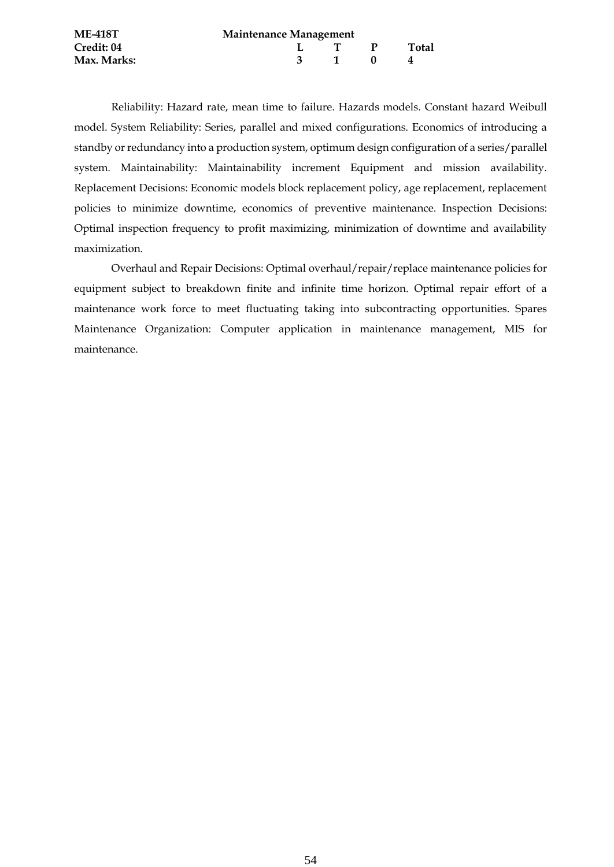| <b>ME-418T</b> | <b>Maintenance Management</b> |  |              |       |  |  |  |
|----------------|-------------------------------|--|--------------|-------|--|--|--|
| Credit: 04     |                               |  |              | Total |  |  |  |
| Max. Marks:    |                               |  | $\mathbf{0}$ |       |  |  |  |

Reliability: Hazard rate, mean time to failure. Hazards models. Constant hazard Weibull model. System Reliability: Series, parallel and mixed configurations. Economics of introducing a standby or redundancy into a production system, optimum design configuration of a series/parallel system. Maintainability: Maintainability increment Equipment and mission availability. Replacement Decisions: Economic models block replacement policy, age replacement, replacement policies to minimize downtime, economics of preventive maintenance. Inspection Decisions: Optimal inspection frequency to profit maximizing, minimization of downtime and availability maximization.

Overhaul and Repair Decisions: Optimal overhaul/repair/replace maintenance policies for equipment subject to breakdown finite and infinite time horizon. Optimal repair effort of a maintenance work force to meet fluctuating taking into subcontracting opportunities. Spares Maintenance Organization: Computer application in maintenance management, MIS for maintenance.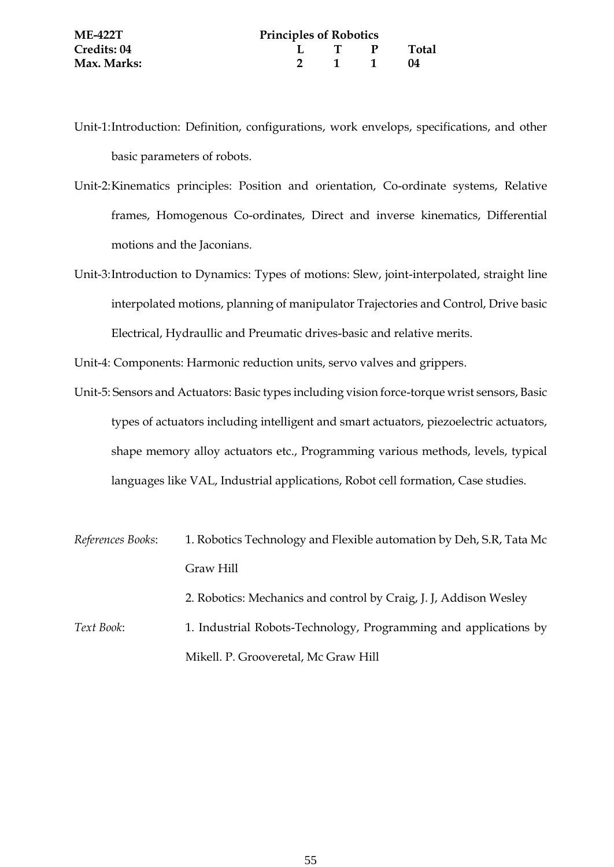- Unit-2:Kinematics principles: Position and orientation, Co-ordinate systems, Relative frames, Homogenous Co-ordinates, Direct and inverse kinematics, Differential motions and the Jaconians.
- Unit-3:Introduction to Dynamics: Types of motions: Slew, joint-interpolated, straight line interpolated motions, planning of manipulator Trajectories and Control, Drive basic Electrical, Hydraullic and Preumatic drives-basic and relative merits.

Unit-4: Components: Harmonic reduction units, servo valves and grippers.

- Unit-5: Sensors and Actuators: Basic types including vision force-torque wrist sensors, Basic types of actuators including intelligent and smart actuators, piezoelectric actuators, shape memory alloy actuators etc., Programming various methods, levels, typical languages like VAL, Industrial applications, Robot cell formation, Case studies.
- *References Books*: 1. Robotics Technology and Flexible automation by Deh, S.R, Tata Mc Graw Hill 2. Robotics: Mechanics and control by Craig, J. J, Addison Wesley *Text Book*: 1. Industrial Robots-Technology, Programming and applications by

Mikell. P. Grooveretal, Mc Graw Hill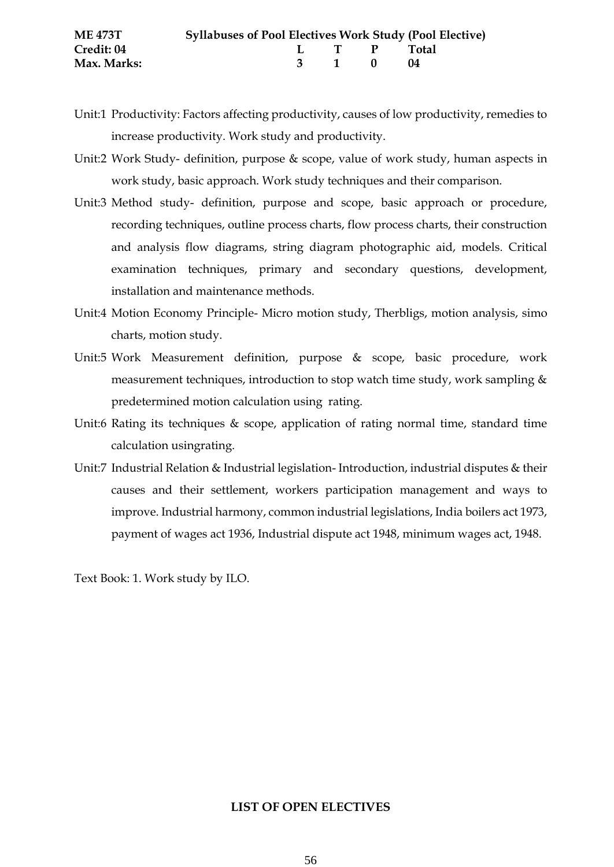- Unit:1 Productivity: Factors affecting productivity, causes of low productivity, remedies to increase productivity. Work study and productivity.
- Unit:2 Work Study- definition, purpose & scope, value of work study, human aspects in work study, basic approach. Work study techniques and their comparison.
- Unit:3 Method study- definition, purpose and scope, basic approach or procedure, recording techniques, outline process charts, flow process charts, their construction and analysis flow diagrams, string diagram photographic aid, models. Critical examination techniques, primary and secondary questions, development, installation and maintenance methods.
- Unit:4 Motion Economy Principle- Micro motion study, Therbligs, motion analysis, simo charts, motion study.
- Unit:5 Work Measurement definition, purpose & scope, basic procedure, work measurement techniques, introduction to stop watch time study, work sampling & predetermined motion calculation using rating.
- Unit:6 Rating its techniques & scope, application of rating normal time, standard time calculation usingrating.
- Unit:7 Industrial Relation & Industrial legislation- Introduction, industrial disputes & their causes and their settlement, workers participation management and ways to improve. Industrial harmony, common industrial legislations, India boilers act 1973, payment of wages act 1936, Industrial dispute act 1948, minimum wages act, 1948.

Text Book: 1. Work study by ILO.

#### **LIST OF OPEN ELECTIVES**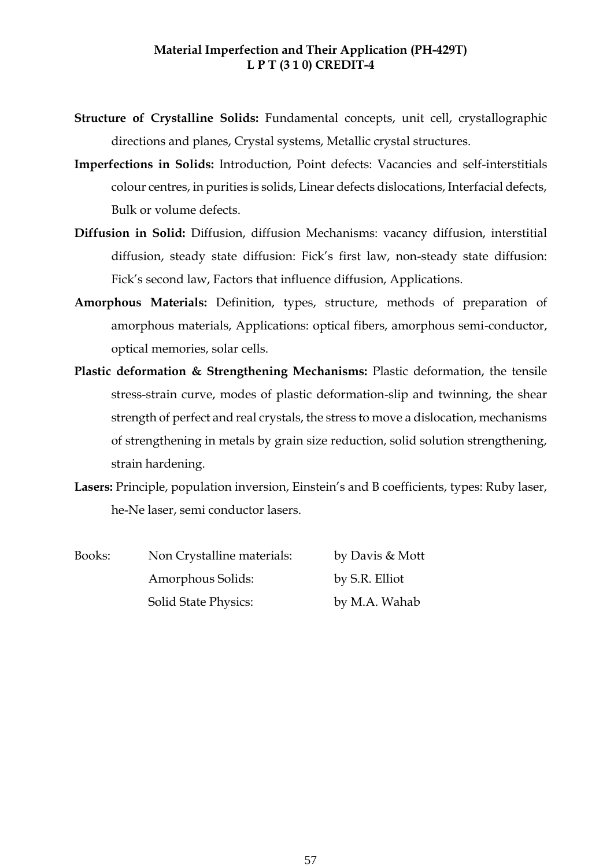# **Material Imperfection and Their Application (PH-429T) L P T (3 1 0) CREDIT-4**

- **Structure of Crystalline Solids:** Fundamental concepts, unit cell, crystallographic directions and planes, Crystal systems, Metallic crystal structures.
- **Imperfections in Solids:** Introduction, Point defects: Vacancies and self-interstitials colour centres, in purities is solids, Linear defects dislocations, Interfacial defects, Bulk or volume defects.
- **Diffusion in Solid:** Diffusion, diffusion Mechanisms: vacancy diffusion, interstitial diffusion, steady state diffusion: Fick's first law, non-steady state diffusion: Fick's second law, Factors that influence diffusion, Applications.
- **Amorphous Materials:** Definition, types, structure, methods of preparation of amorphous materials, Applications: optical fibers, amorphous semi-conductor, optical memories, solar cells.
- **Plastic deformation & Strengthening Mechanisms:** Plastic deformation, the tensile stress-strain curve, modes of plastic deformation-slip and twinning, the shear strength of perfect and real crystals, the stress to move a dislocation, mechanisms of strengthening in metals by grain size reduction, solid solution strengthening, strain hardening.
- **Lasers:** Principle, population inversion, Einstein's and B coefficients, types: Ruby laser, he-Ne laser, semi conductor lasers.

| Books: | Non Crystalline materials:  | by Davis & Mott |
|--------|-----------------------------|-----------------|
|        | Amorphous Solids:           | by S.R. Elliot  |
|        | <b>Solid State Physics:</b> | by M.A. Wahab   |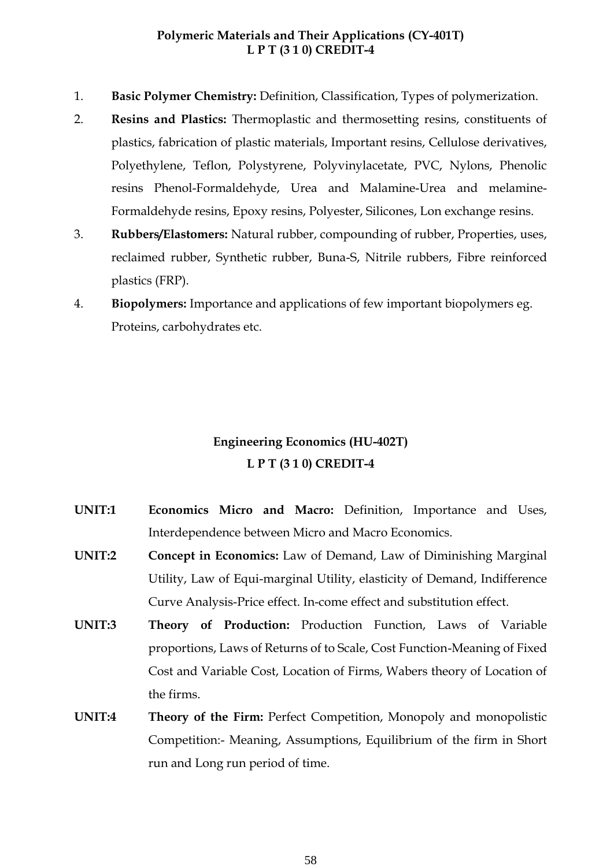# **Polymeric Materials and Their Applications (CY-401T) L P T (3 1 0) CREDIT-4**

- 1. **Basic Polymer Chemistry:** Definition, Classification, Types of polymerization.
- 2. **Resins and Plastics:** Thermoplastic and thermosetting resins, constituents of plastics, fabrication of plastic materials, Important resins, Cellulose derivatives, Polyethylene, Teflon, Polystyrene, Polyvinylacetate, PVC, Nylons, Phenolic resins Phenol-Formaldehyde, Urea and Malamine-Urea and melamine-Formaldehyde resins, Epoxy resins, Polyester, Silicones, Lon exchange resins.
- 3. **Rubbers/Elastomers:** Natural rubber, compounding of rubber, Properties, uses, reclaimed rubber, Synthetic rubber, Buna-S, Nitrile rubbers, Fibre reinforced plastics (FRP).
- 4. **Biopolymers:** Importance and applications of few important biopolymers eg. Proteins, carbohydrates etc.

# **Engineering Economics (HU-402T) L P T (3 1 0) CREDIT-4**

- **UNIT:1 Economics Micro and Macro:** Definition, Importance and Uses, Interdependence between Micro and Macro Economics.
- **UNIT:2 Concept in Economics:** Law of Demand, Law of Diminishing Marginal Utility, Law of Equi-marginal Utility, elasticity of Demand, Indifference Curve Analysis-Price effect. In-come effect and substitution effect.
- **UNIT:3 Theory of Production:** Production Function, Laws of Variable proportions, Laws of Returns of to Scale, Cost Function-Meaning of Fixed Cost and Variable Cost, Location of Firms, Wabers theory of Location of the firms.
- **UNIT:4 Theory of the Firm:** Perfect Competition, Monopoly and monopolistic Competition:- Meaning, Assumptions, Equilibrium of the firm in Short run and Long run period of time.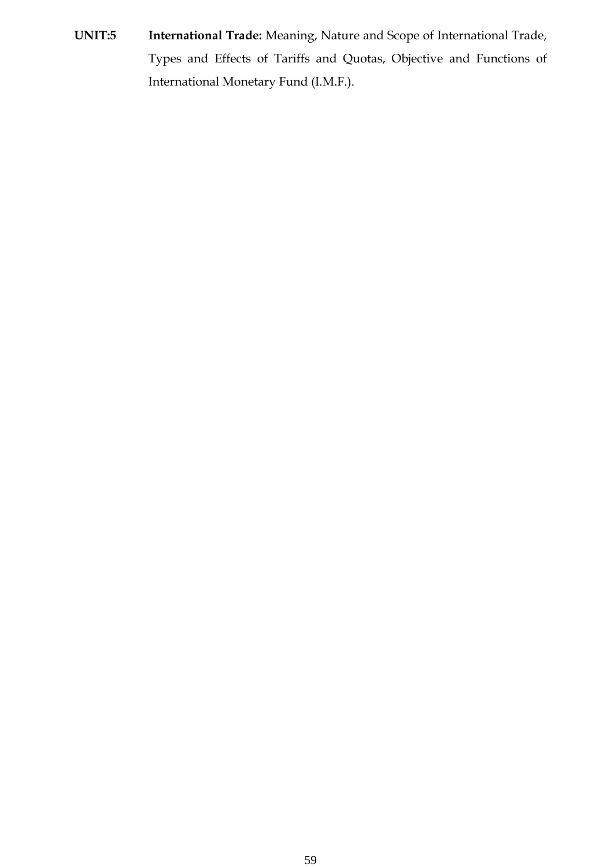**UNIT:5 International Trade:** Meaning, Nature and Scope of International Trade, Types and Effects of Tariffs and Quotas, Objective and Functions of International Monetary Fund (I.M.F.).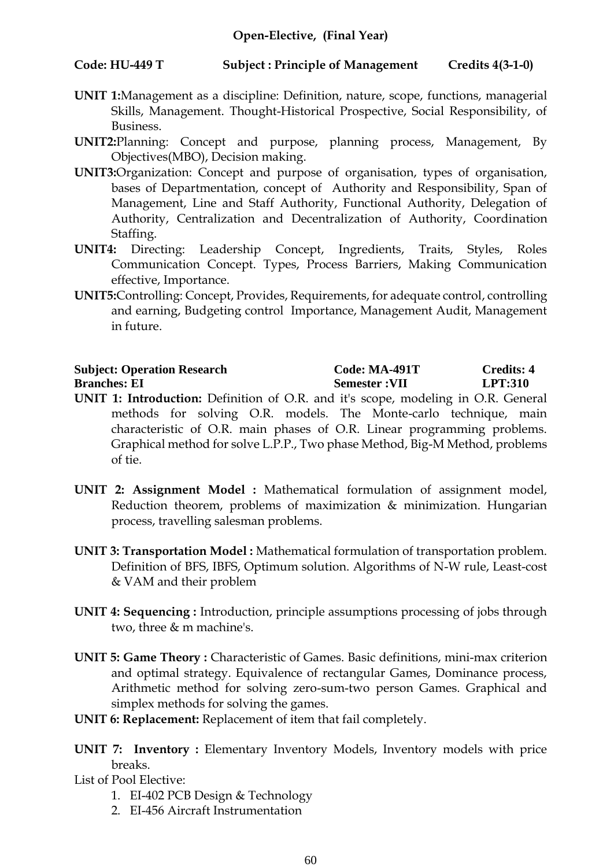# **Code: HU-449 T Subject : Principle of Management Credits 4(3-1-0)**

- **UNIT 1:**Management as a discipline: Definition, nature, scope, functions, managerial Skills, Management. Thought-Historical Prospective, Social Responsibility, of Business.
- **UNIT2:**Planning: Concept and purpose, planning process, Management, By Objectives(MBO), Decision making.
- **UNIT3:**Organization: Concept and purpose of organisation, types of organisation, bases of Departmentation, concept of Authority and Responsibility, Span of Management, Line and Staff Authority, Functional Authority, Delegation of Authority, Centralization and Decentralization of Authority, Coordination Staffing.
- **UNIT4:** Directing: Leadership Concept, Ingredients, Traits, Styles, Roles Communication Concept. Types, Process Barriers, Making Communication effective, Importance.
- **UNIT5:**Controlling: Concept, Provides, Requirements, for adequate control, controlling and earning, Budgeting control Importance, Management Audit, Management in future.

| <b>Subject: Operation Research</b> | <b>Code: MA-491T</b> | Credits: 4     |
|------------------------------------|----------------------|----------------|
| <b>Branches: EI</b>                | <b>Semester:VII</b>  | <b>LPT:310</b> |

- **UNIT 1: Introduction:** Definition of O.R. and it's scope, modeling in O.R. General methods for solving O.R. models. The Monte-carlo technique, main characteristic of O.R. main phases of O.R. Linear programming problems. Graphical method for solve L.P.P., Two phase Method, Big-M Method, problems of tie.
- **UNIT 2: Assignment Model :** Mathematical formulation of assignment model, Reduction theorem, problems of maximization & minimization. Hungarian process, travelling salesman problems.
- **UNIT 3: Transportation Model :** Mathematical formulation of transportation problem. Definition of BFS, IBFS, Optimum solution. Algorithms of N-W rule, Least-cost & VAM and their problem
- **UNIT 4: Sequencing :** Introduction, principle assumptions processing of jobs through two, three & m machine's.
- **UNIT 5: Game Theory :** Characteristic of Games. Basic definitions, mini-max criterion and optimal strategy. Equivalence of rectangular Games, Dominance process, Arithmetic method for solving zero-sum-two person Games. Graphical and simplex methods for solving the games.
- **UNIT 6: Replacement:** Replacement of item that fail completely.
- **UNIT 7: Inventory :** Elementary Inventory Models, Inventory models with price breaks.

List of Pool Elective:

- 1. EI-402 PCB Design & Technology
- 2. EI-456 Aircraft Instrumentation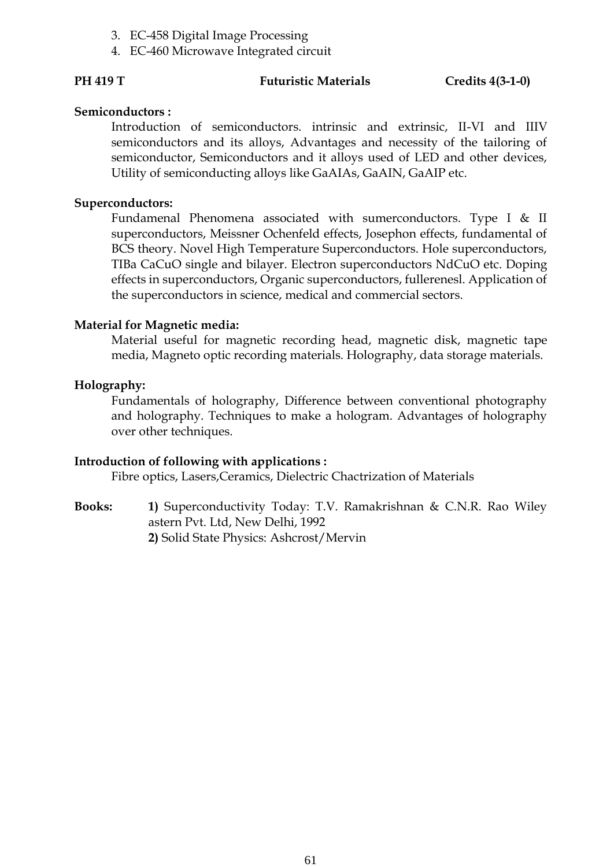- 3. EC-458 Digital Image Processing
- 4. EC-460 Microwave Integrated circuit

#### PH 419 T **Futuristic Materials** Credits 4(3-1-0)

#### **Semiconductors :**

Introduction of semiconductors. intrinsic and extrinsic, II-VI and IIIV semiconductors and its alloys, Advantages and necessity of the tailoring of semiconductor, Semiconductors and it alloys used of LED and other devices, Utility of semiconducting alloys like GaAIAs, GaAIN, GaAIP etc.

#### **Superconductors:**

Fundamenal Phenomena associated with sumerconductors. Type I & II superconductors, Meissner Ochenfeld effects, Josephon effects, fundamental of BCS theory. Novel High Temperature Superconductors. Hole superconductors, TIBa CaCuO single and bilayer. Electron superconductors NdCuO etc. Doping effects in superconductors, Organic superconductors, fullerenesl. Application of the superconductors in science, medical and commercial sectors.

#### **Material for Magnetic media:**

Material useful for magnetic recording head, magnetic disk, magnetic tape media, Magneto optic recording materials. Holography, data storage materials.

#### **Holography:**

Fundamentals of holography, Difference between conventional photography and holography. Techniques to make a hologram. Advantages of holography over other techniques.

# **Introduction of following with applications :**

Fibre optics, Lasers,Ceramics, Dielectric Chactrization of Materials

**Books: 1)** Superconductivity Today: T.V. Ramakrishnan & C.N.R. Rao Wiley astern Pvt. Ltd, New Delhi, 1992 **2)** Solid State Physics: Ashcrost/Mervin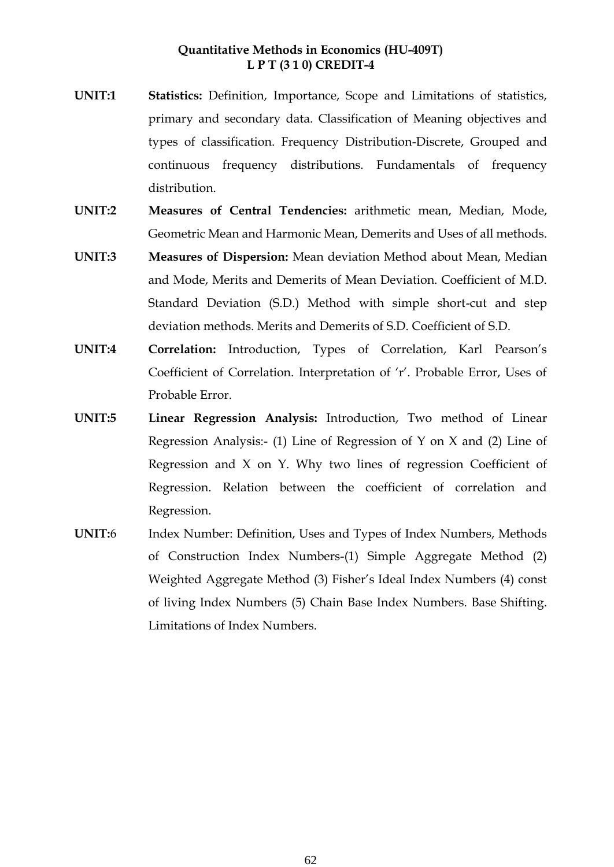# **Quantitative Methods in Economics (HU-409T) L P T (3 1 0) CREDIT-4**

- **UNIT:1 Statistics:** Definition, Importance, Scope and Limitations of statistics, primary and secondary data. Classification of Meaning objectives and types of classification. Frequency Distribution-Discrete, Grouped and continuous frequency distributions. Fundamentals of frequency distribution.
- **UNIT:2 Measures of Central Tendencies:** arithmetic mean, Median, Mode, Geometric Mean and Harmonic Mean, Demerits and Uses of all methods.
- **UNIT:3 Measures of Dispersion:** Mean deviation Method about Mean, Median and Mode, Merits and Demerits of Mean Deviation. Coefficient of M.D. Standard Deviation (S.D.) Method with simple short-cut and step deviation methods. Merits and Demerits of S.D. Coefficient of S.D.
- **UNIT:4 Correlation:** Introduction, Types of Correlation, Karl Pearson's Coefficient of Correlation. Interpretation of 'r'. Probable Error, Uses of Probable Error.
- **UNIT:5 Linear Regression Analysis:** Introduction, Two method of Linear Regression Analysis:- (1) Line of Regression of Y on X and (2) Line of Regression and X on Y. Why two lines of regression Coefficient of Regression. Relation between the coefficient of correlation and Regression.
- **UNIT:**6 Index Number: Definition, Uses and Types of Index Numbers, Methods of Construction Index Numbers-(1) Simple Aggregate Method (2) Weighted Aggregate Method (3) Fisher's Ideal Index Numbers (4) const of living Index Numbers (5) Chain Base Index Numbers. Base Shifting. Limitations of Index Numbers.